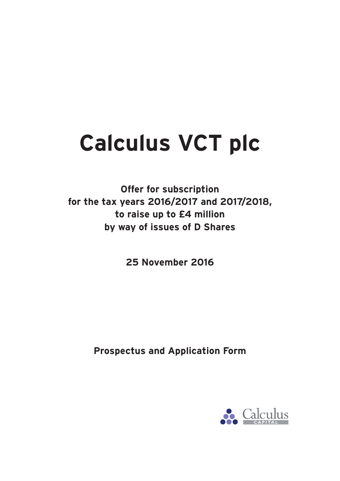# **Calculus VCT plc**

**Offer for subscription for the tax years 2016/2017 and 2017/2018, to raise up to £4 million by way of issues of D Shares**

**25 November 2016**

**Prospectus and Application Form**

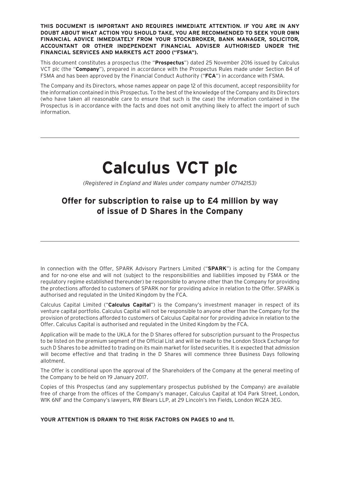**THIS DOCUMENT IS IMPORTANT AND REQUIRES IMMEDIATE ATTENTION. IF YOU ARE IN ANY DOUBT ABOUT WHAT ACTION YOU SHOULD TAKE, YOU ARE RECOMMENDED TO SEEK YOUR OWN FINANCIAL ADVICE IMMEDIATELY FROM YOUR STOCKBROKER, BANK MANAGER, SOLICITOR, ACCOUNTANT OR OTHER INDEPENDENT FINANCIAL ADVISER AUTHORISED UNDER THE FINANCIAL SERVICES AND MARKETS ACT 2000 ("FSMA").**

This document constitutes a prospectus (the "**Prospectus**") dated 25 November 2016 issued by Calculus VCT plc (the "**Company**"), prepared in accordance with the Prospectus Rules made under Section 84 of FSMA and has been approved by the Financial Conduct Authority ("**FCA**") in accordance with FSMA.

The Company and its Directors, whose names appear on page 12 of this document, accept responsibility for the information contained in this Prospectus. To the best of the knowledge of the Company and its Directors (who have taken all reasonable care to ensure that such is the case) the information contained in the Prospectus is in accordance with the facts and does not omit anything likely to affect the import of such information.

# **Calculus VCT plc**

*(Registered in England and Wales under company number 07142153)*

# **Offer for subscription to raise up to £4 million by way of issue of D Shares in the Company**

In connection with the Offer, SPARK Advisory Partners Limited ("**SPARK**") is acting for the Company and for no-one else and will not (subject to the responsibilities and liabilities imposed by FSMA or the regulatory regime established thereunder) be responsible to anyone other than the Company for providing the protections afforded to customers of SPARK nor for providing advice in relation to the Offer. SPARK is authorised and regulated in the United Kingdom by the FCA.

Calculus Capital Limited ("**Calculus Capital**") is the Company's investment manager in respect of its venture capital portfolio. Calculus Capital will not be responsible to anyone other than the Company for the provision of protections afforded to customers of Calculus Capital nor for providing advice in relation to the Offer. Calculus Capital is authorised and regulated in the United Kingdom by the FCA.

Application will be made to the UKLA for the D Shares offered for subscription pursuant to the Prospectus to be listed on the premium segment of the Official List and will be made to the London Stock Exchange for such D Shares to be admitted to trading on its main market for listed securities. It is expected that admission will become effective and that trading in the D Shares will commence three Business Days following allotment.

The Offer is conditional upon the approval of the Shareholders of the Company at the general meeting of the Company to be held on 19 January 2017.

Copies of this Prospectus (and any supplementary prospectus published by the Company) are available free of charge from the offices of the Company's manager, Calculus Capital at 104 Park Street, London, W1K 6NF and the Company's lawyers, RW Blears LLP, at 29 Lincoln's Inn Fields, London WC2A 3EG.

**YOUR ATTENTION IS DRAWN TO THE RISK FACTORS ON PAGES 10 and 11.**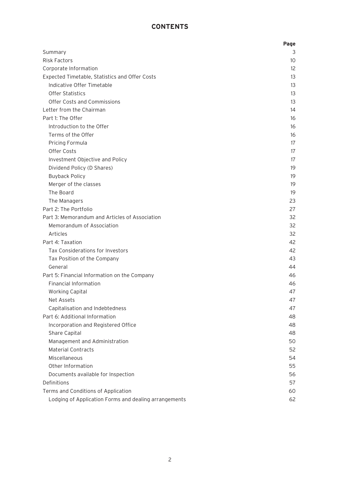# **CONTENTS**

|                                                       | Page |
|-------------------------------------------------------|------|
| Summary                                               | 3    |
| <b>Risk Factors</b>                                   | 10   |
| Corporate Information                                 | 12   |
| Expected Timetable, Statistics and Offer Costs        | 13   |
| Indicative Offer Timetable                            | 13   |
| <b>Offer Statistics</b>                               | 13   |
| <b>Offer Costs and Commissions</b>                    | 13   |
| Letter from the Chairman                              | 14   |
| Part 1: The Offer                                     | 16   |
| Introduction to the Offer                             | 16   |
| Terms of the Offer                                    | 16   |
| Pricing Formula                                       | 17   |
| Offer Costs                                           | 17   |
| Investment Objective and Policy                       | 17   |
| Dividend Policy (D Shares)                            | 19   |
| <b>Buyback Policy</b>                                 | 19   |
| Merger of the classes                                 | 19   |
| The Board                                             | 19   |
| The Managers                                          | 23   |
| Part 2: The Portfolio                                 | 27   |
| Part 3: Memorandum and Articles of Association        | 32   |
| Memorandum of Association                             | 32   |
| Articles                                              | 32   |
| Part 4: Taxation                                      | 42   |
| Tax Considerations for Investors                      | 42   |
| Tax Position of the Company                           | 43   |
| General                                               | 44   |
| Part 5: Financial Information on the Company          | 46   |
| <b>Financial Information</b>                          | 46   |
| <b>Working Capital</b>                                | 47   |
| Net Assets                                            | 47   |
| Capitalisation and Indebtedness                       | 47   |
| Part 6: Additional Information                        | 48   |
| Incorporation and Registered Office                   | 48   |
| Share Capital                                         | 48   |
| Management and Administration                         | 50   |
| <b>Material Contracts</b>                             | 52   |
| Miscellaneous                                         | 54   |
| Other Information                                     | 55   |
| Documents available for Inspection                    | 56   |
| Definitions                                           | 57   |
| Terms and Conditions of Application                   | 60   |
| Lodging of Application Forms and dealing arrangements | 62   |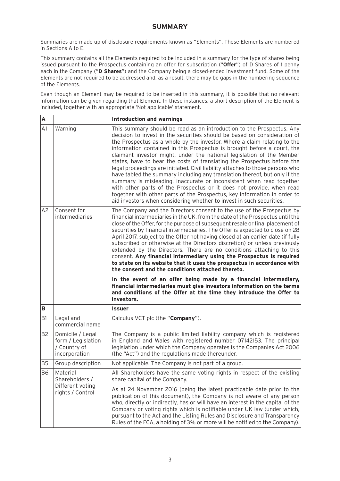### **SUMMARY**

Summaries are made up of disclosure requirements known as "Elements". These Elements are numbered in Sections A to E.

This summary contains all the Elements required to be included in a summary for the type of shares being issued pursuant to the Prospectus containing an offer for subscription ("**Offer**") of D Shares of 1 penny each in the Company ("**D Shares**") and the Company being a closed-ended investment fund. Some of the Elements are not required to be addressed and, as a result, there may be gaps in the numbering sequence of the Elements.

Even though an Element may be required to be inserted in this summary, it is possible that no relevant information can be given regarding that Element. In these instances, a short description of the Element is included, together with an appropriate 'Not applicable' statement.

| A              |                                                                         | <b>Introduction and warnings</b>                                                                                                                                                                                                                                                                                                                                                                                                                                                                                                                                                                                                                                                                                                                                                                                                                                                                                                                                                                         |
|----------------|-------------------------------------------------------------------------|----------------------------------------------------------------------------------------------------------------------------------------------------------------------------------------------------------------------------------------------------------------------------------------------------------------------------------------------------------------------------------------------------------------------------------------------------------------------------------------------------------------------------------------------------------------------------------------------------------------------------------------------------------------------------------------------------------------------------------------------------------------------------------------------------------------------------------------------------------------------------------------------------------------------------------------------------------------------------------------------------------|
| A1             | Warning                                                                 | This summary should be read as an introduction to the Prospectus. Any<br>decision to invest in the securities should be based on consideration of<br>the Prospectus as a whole by the investor. Where a claim relating to the<br>information contained in this Prospectus is brought before a court, the<br>claimant investor might, under the national legislation of the Member<br>states, have to bear the costs of translating the Prospectus before the<br>legal proceedings are initiated. Civil liability attaches to those persons who<br>have tabled the summary including any translation thereof, but only if the<br>summary is misleading, inaccurate or inconsistent when read together<br>with other parts of the Prospectus or it does not provide, when read<br>together with other parts of the Prospectus, key information in order to<br>aid investors when considering whether to invest in such securities.                                                                         |
| A <sub>2</sub> | Consent for<br>intermediaries                                           | The Company and the Directors consent to the use of the Prospectus by<br>financial intermediaries in the UK, from the date of the Prospectus until the<br>close of the Offer, for the purpose of subsequent resale or final placement of<br>securities by financial intermediaries. The Offer is expected to close on 28<br>April 2017, subject to the Offer not having closed at an earlier date (if fully<br>subscribed or otherwise at the Directors discretion) or unless previously<br>extended by the Directors. There are no conditions attaching to this<br>consent. Any financial intermediary using the Prospectus is required<br>to state on its website that it uses the prospectus in accordance with<br>the consent and the conditions attached thereto.<br>In the event of an offer being made by a financial intermediary,<br>financial intermediaries must give investors information on the terms<br>and conditions of the Offer at the time they introduce the Offer to<br>investors. |
| B              |                                                                         | <b>Issuer</b>                                                                                                                                                                                                                                                                                                                                                                                                                                                                                                                                                                                                                                                                                                                                                                                                                                                                                                                                                                                            |
| B <sub>1</sub> | Legal and<br>commercial name                                            | Calculus VCT plc (the "Company").                                                                                                                                                                                                                                                                                                                                                                                                                                                                                                                                                                                                                                                                                                                                                                                                                                                                                                                                                                        |
| B <sub>2</sub> | Domicile / Legal<br>form / Legislation<br>/ Country of<br>incorporation | The Company is a public limited liability company which is registered<br>in England and Wales with registered number 07142153. The principal<br>legislation under which the Company operates is the Companies Act 2006<br>(the "Act") and the regulations made thereunder.                                                                                                                                                                                                                                                                                                                                                                                                                                                                                                                                                                                                                                                                                                                               |
| B <sub>5</sub> | Group description                                                       | Not applicable. The Company is not part of a group.                                                                                                                                                                                                                                                                                                                                                                                                                                                                                                                                                                                                                                                                                                                                                                                                                                                                                                                                                      |
| <b>B6</b>      | Material<br>Shareholders /                                              | All Shareholders have the same voting rights in respect of the existing<br>share capital of the Company.                                                                                                                                                                                                                                                                                                                                                                                                                                                                                                                                                                                                                                                                                                                                                                                                                                                                                                 |
|                | Different voting<br>rights / Control                                    | As at 24 November 2016 (being the latest practicable date prior to the<br>publication of this document), the Company is not aware of any person<br>who, directly or indirectly, has or will have an interest in the capital of the                                                                                                                                                                                                                                                                                                                                                                                                                                                                                                                                                                                                                                                                                                                                                                       |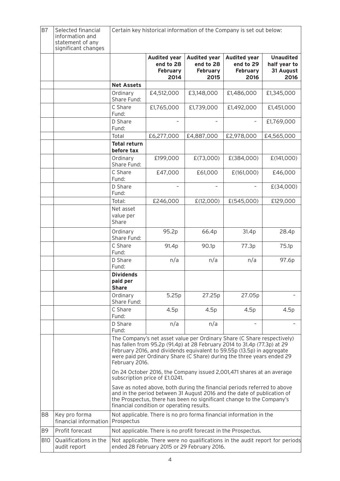| <b>B7</b>  | Selected financial<br>information and<br>statement of any<br>significant changes | Certain key historical information of the Company is set out below:                                                         |                                                             |                                                                |                                                                                                                                                                                                                                                                                                         |                                                       |
|------------|----------------------------------------------------------------------------------|-----------------------------------------------------------------------------------------------------------------------------|-------------------------------------------------------------|----------------------------------------------------------------|---------------------------------------------------------------------------------------------------------------------------------------------------------------------------------------------------------------------------------------------------------------------------------------------------------|-------------------------------------------------------|
|            |                                                                                  |                                                                                                                             | <b>Audited year</b><br>end to 28<br><b>February</b><br>2014 | <b>Audited year</b><br>end to 28<br><b>February</b><br>2015    | <b>Audited year</b><br>end to 29<br><b>February</b><br>2016                                                                                                                                                                                                                                             | <b>Unaudited</b><br>half year to<br>31 August<br>2016 |
|            |                                                                                  | <b>Net Assets</b>                                                                                                           |                                                             |                                                                |                                                                                                                                                                                                                                                                                                         |                                                       |
|            |                                                                                  | Ordinary<br>Share Fund:                                                                                                     | £4,512,000                                                  | £3,148,000                                                     | £1,486,000                                                                                                                                                                                                                                                                                              | £1,345,000                                            |
|            |                                                                                  | C Share<br>Fund:                                                                                                            | £1,765,000                                                  | £1,739,000                                                     | £1,492,000                                                                                                                                                                                                                                                                                              | £1,451,000                                            |
|            |                                                                                  | D Share<br>Fund:                                                                                                            |                                                             |                                                                |                                                                                                                                                                                                                                                                                                         | £1,769,000                                            |
|            |                                                                                  | Total                                                                                                                       | £6,277,000                                                  | £4,887,000                                                     | £2,978,000                                                                                                                                                                                                                                                                                              | £4,565,000                                            |
|            |                                                                                  | <b>Total return</b><br>before tax                                                                                           |                                                             |                                                                |                                                                                                                                                                                                                                                                                                         |                                                       |
|            |                                                                                  | Ordinary<br>Share Fund:                                                                                                     | £199,000                                                    | E(73,000)                                                      | £(384,000)                                                                                                                                                                                                                                                                                              | E(141,000)                                            |
|            |                                                                                  | C Share<br>Fund:                                                                                                            | £47,000                                                     | £61,000                                                        | E(161,000)                                                                                                                                                                                                                                                                                              | £46,000                                               |
|            |                                                                                  | D Share<br>Fund:                                                                                                            |                                                             |                                                                |                                                                                                                                                                                                                                                                                                         | E(34,000)                                             |
|            |                                                                                  | Total:                                                                                                                      | £246,000                                                    | E(12,000)                                                      | E(545,000)                                                                                                                                                                                                                                                                                              | £129,000                                              |
|            |                                                                                  | Net asset<br>value per<br>Share                                                                                             |                                                             |                                                                |                                                                                                                                                                                                                                                                                                         |                                                       |
|            |                                                                                  | Ordinary<br>Share Fund:                                                                                                     | 95.2p                                                       | 66.4p                                                          | 31.4p                                                                                                                                                                                                                                                                                                   | 28.4p                                                 |
|            |                                                                                  | C Share<br>Fund:                                                                                                            | 91.4p                                                       | 90.1p                                                          | 77.3p                                                                                                                                                                                                                                                                                                   | 75.1p                                                 |
|            |                                                                                  | D Share<br>Fund:                                                                                                            | n/a                                                         | n/a                                                            | n/a                                                                                                                                                                                                                                                                                                     | 97.6p                                                 |
|            |                                                                                  | <b>Dividends</b><br>paid per<br><b>Share</b>                                                                                |                                                             |                                                                |                                                                                                                                                                                                                                                                                                         |                                                       |
|            |                                                                                  | Ordinary<br>Share Fund:                                                                                                     | 5.25p                                                       | 27.25p                                                         | 27.05p                                                                                                                                                                                                                                                                                                  |                                                       |
|            |                                                                                  | C Share<br>Fund:                                                                                                            | 4.5p                                                        | 4.5p                                                           | 4.5p                                                                                                                                                                                                                                                                                                    | 4.5p                                                  |
|            |                                                                                  | D Share<br>Fund:                                                                                                            | n/a                                                         | n/a                                                            |                                                                                                                                                                                                                                                                                                         |                                                       |
|            |                                                                                  | February 2016.                                                                                                              |                                                             |                                                                | The Company's net asset value per Ordinary Share (C Share respectively)<br>has fallen from 95.2p (91.4p) at 28 February 2014 to 31.4p (77.3p) at 29<br>February 2016, and dividends equivalent to 59.55p (13.5p) in aggregate<br>were paid per Ordinary Share (C Share) during the three years ended 29 |                                                       |
|            |                                                                                  | On 24 October 2016, the Company issued 2,001,471 shares at an average<br>subscription price of £1.0241.                     |                                                             |                                                                |                                                                                                                                                                                                                                                                                                         |                                                       |
|            |                                                                                  |                                                                                                                             | financial condition or operating results.                   |                                                                | Save as noted above, both during the financial periods referred to above<br>and in the period between 31 August 2016 and the date of publication of<br>the Prospectus, there has been no significant change to the Company's                                                                            |                                                       |
| B8         | Key pro forma<br>financial information                                           | Prospectus                                                                                                                  |                                                             |                                                                | Not applicable. There is no pro forma financial information in the                                                                                                                                                                                                                                      |                                                       |
| B9         | Profit forecast                                                                  |                                                                                                                             |                                                             | Not applicable. There is no profit forecast in the Prospectus. |                                                                                                                                                                                                                                                                                                         |                                                       |
| <b>B10</b> | Qualifications in the<br>audit report                                            | Not applicable. There were no qualifications in the audit report for periods<br>ended 28 February 2015 or 29 February 2016. |                                                             |                                                                |                                                                                                                                                                                                                                                                                                         |                                                       |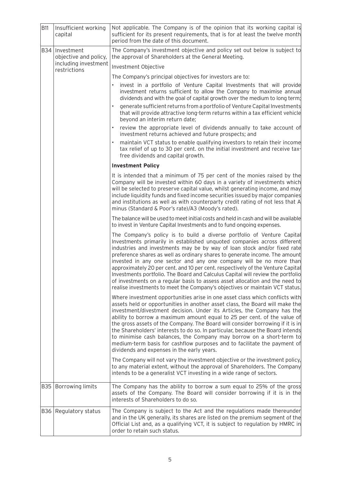| <b>B11</b> | Insufficient working<br>capital           | Not applicable. The Company is of the opinion that its working capital is<br>sufficient for its present requirements, that is for at least the twelve month<br>period from the date of this document.                                                                                                                                                                                                                                                                                                                                                                                                                                                                                                                       |
|------------|-------------------------------------------|-----------------------------------------------------------------------------------------------------------------------------------------------------------------------------------------------------------------------------------------------------------------------------------------------------------------------------------------------------------------------------------------------------------------------------------------------------------------------------------------------------------------------------------------------------------------------------------------------------------------------------------------------------------------------------------------------------------------------------|
|            | B34   Investment<br>objective and policy, | The Company's investment objective and policy set out below is subject to<br>the approval of Shareholders at the General Meeting.                                                                                                                                                                                                                                                                                                                                                                                                                                                                                                                                                                                           |
|            | including investment<br>restrictions      | Investment Objective                                                                                                                                                                                                                                                                                                                                                                                                                                                                                                                                                                                                                                                                                                        |
|            |                                           | The Company's principal objectives for investors are to:                                                                                                                                                                                                                                                                                                                                                                                                                                                                                                                                                                                                                                                                    |
|            |                                           | invest in a portfolio of Venture Capital Investments that will provide<br>investment returns sufficient to allow the Company to maximise annual<br>dividends and with the goal of capital growth over the medium to long term;                                                                                                                                                                                                                                                                                                                                                                                                                                                                                              |
|            |                                           | generate sufficient returns from a portfolio of Venture Capital Investments<br>that will provide attractive long-term returns within a tax efficient vehicle<br>beyond an interim return date;                                                                                                                                                                                                                                                                                                                                                                                                                                                                                                                              |
|            |                                           | review the appropriate level of dividends annually to take account of<br>investment returns achieved and future prospects; and                                                                                                                                                                                                                                                                                                                                                                                                                                                                                                                                                                                              |
|            |                                           | maintain VCT status to enable qualifying investors to retain their income<br>tax relief of up to 30 per cent. on the initial investment and receive tax-<br>free dividends and capital growth.                                                                                                                                                                                                                                                                                                                                                                                                                                                                                                                              |
|            |                                           | <b>Investment Policy</b>                                                                                                                                                                                                                                                                                                                                                                                                                                                                                                                                                                                                                                                                                                    |
|            |                                           | It is intended that a minimum of 75 per cent of the monies raised by the<br>Company will be invested within 60 days in a variety of investments which<br>will be selected to preserve capital value, whilst generating income, and may<br>include liquidity funds and fixed income securities issued by major companies<br>and institutions as well as with counterparty credit rating of not less that A<br>minus (Standard & Poor's rate)/A3 (Moody's rated).                                                                                                                                                                                                                                                             |
|            |                                           | The balance will be used to meet initial costs and held in cash and will be available<br>to invest in Venture Capital Investments and to fund ongoing expenses.                                                                                                                                                                                                                                                                                                                                                                                                                                                                                                                                                             |
|            |                                           | The Company's policy is to build a diverse portfolio of Venture Capital<br>Investments primarily in established unquoted companies across different<br>industries and investments may be by way of loan stock and/or fixed rate<br>preference shares as well as ordinary shares to generate income. The amount<br>invested in any one sector and any one company will be no more than<br>approximately 20 per cent. and 10 per cent. respectively of the Venture Capital<br>Investments portfolio. The Board and Calculus Capital will review the portfolio<br>of investments on a regular basis to assess asset allocation and the need to<br>realise investments to meet the Company's objectives or maintain VCT status. |
|            |                                           | Where investment opportunities arise in one asset class which conflicts with<br>assets held or opportunities in another asset class, the Board will make the<br>investment/divestment decision. Under its Articles, the Company has the<br>ability to borrow a maximum amount equal to 25 per cent. of the value of<br>the gross assets of the Company. The Board will consider borrowing if it is in<br>the Shareholders' interests to do so. In particular, because the Board intends<br>to minimise cash balances, the Company may borrow on a short-term to<br>medium-term basis for cashflow purposes and to facilitate the payment of<br>dividends and expenses in the early years.                                   |
|            |                                           | The Company will not vary the investment objective or the investment policy,<br>to any material extent, without the approval of Shareholders. The Company<br>intends to be a generalist VCT investing in a wide range of sectors.                                                                                                                                                                                                                                                                                                                                                                                                                                                                                           |
| B35        | <b>Borrowing limits</b>                   | The Company has the ability to borrow a sum equal to 25% of the gross<br>assets of the Company. The Board will consider borrowing if it is in the<br>interests of Shareholders to do so.                                                                                                                                                                                                                                                                                                                                                                                                                                                                                                                                    |
| B36        | Regulatory status                         | The Company is subject to the Act and the regulations made thereunder<br>and in the UK generally, its shares are listed on the premium segment of the<br>Official List and, as a qualifying VCT, it is subject to regulation by HMRC in<br>order to retain such status.                                                                                                                                                                                                                                                                                                                                                                                                                                                     |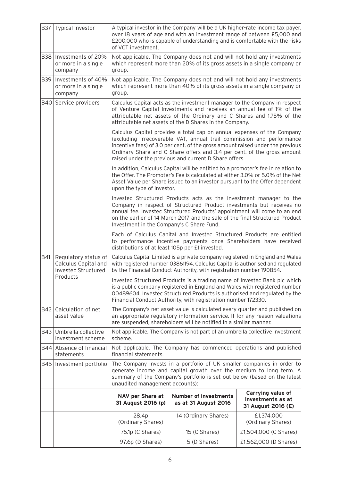| <b>B37</b>                                                                             | Typical investor                                           | A typical investor in the Company will be a UK higher-rate income tax payer,<br>over 18 years of age and with an investment range of between £5,000 and<br>£200,000 who is capable of understanding and is comfortable with the risks<br>of VCT investment.                                           |                                                                                                                                                                                                                                                                                                                                                                        |                                                              |  |
|----------------------------------------------------------------------------------------|------------------------------------------------------------|-------------------------------------------------------------------------------------------------------------------------------------------------------------------------------------------------------------------------------------------------------------------------------------------------------|------------------------------------------------------------------------------------------------------------------------------------------------------------------------------------------------------------------------------------------------------------------------------------------------------------------------------------------------------------------------|--------------------------------------------------------------|--|
|                                                                                        | B38   Investments of 20%<br>or more in a single<br>company | Not applicable. The Company does not and will not hold any investments<br>which represent more than 20% of its gross assets in a single company or<br>group.                                                                                                                                          |                                                                                                                                                                                                                                                                                                                                                                        |                                                              |  |
| <b>B39</b>                                                                             | Investments of 40%<br>or more in a single<br>company       | Not applicable. The Company does not and will not hold any investments<br>which represent more than 40% of its gross assets in a single company or<br>group.                                                                                                                                          |                                                                                                                                                                                                                                                                                                                                                                        |                                                              |  |
|                                                                                        | B40 Service providers                                      | Calculus Capital acts as the investment manager to the Company in respect<br>of Venture Capital Investments and receives an annual fee of 1% of the<br>attributable net assets of the Ordinary and C Shares and 1.75% of the<br>attributable net assets of the D Shares in the Company.               |                                                                                                                                                                                                                                                                                                                                                                        |                                                              |  |
|                                                                                        |                                                            |                                                                                                                                                                                                                                                                                                       | Calculus Capital provides a total cap on annual expenses of the Company<br>(excluding irrecoverable VAT, annual trail commission and performance<br>incentive fees) of 3.0 per cent. of the gross amount raised under the previous<br>Ordinary Share and C Share offers and 3.4 per cent. of the gross amount<br>raised under the previous and current D Share offers. |                                                              |  |
|                                                                                        |                                                            | upon the type of investor.                                                                                                                                                                                                                                                                            | In addition, Calculus Capital will be entitled to a promoter's fee in relation to<br>the Offer. The Promoter's Fee is calculated at either 3.0% or 5.0% of the Net<br>Asset Value per Share issued to an investor pursuant to the Offer dependent                                                                                                                      |                                                              |  |
|                                                                                        |                                                            | Investment in the Company's C Share Fund.                                                                                                                                                                                                                                                             | Investec Structured Products acts as the investment manager to the<br>Company in respect of Structured Product investments but receives no<br>annual fee. Investec Structured Products' appointment will come to an end<br>on the earlier of 14 March 2017 and the sale of the final Structured Product                                                                |                                                              |  |
|                                                                                        |                                                            | distributions of at least 105p per £1 invested.                                                                                                                                                                                                                                                       | Each of Calculus Capital and Investec Structured Products are entitled<br>to performance incentive payments once Shareholders have received                                                                                                                                                                                                                            |                                                              |  |
| B41<br>Regulatory status of<br>Calculus Capital and<br>Investec Structured<br>Products |                                                            | Calculus Capital Limited is a private company registered in England and Wales<br>with registered number 03861194. Calculus Capital is authorised and regulated<br>by the Financial Conduct Authority, with registration number 190854.                                                                |                                                                                                                                                                                                                                                                                                                                                                        |                                                              |  |
|                                                                                        |                                                            | Investec Structured Products is a trading name of Investec Bank plc which<br>is a public company registered in England and Wales with registered number<br>00489604. Investec Structured Products is authorised and regulated by the<br>Financial Conduct Authority, with registration number 172330. |                                                                                                                                                                                                                                                                                                                                                                        |                                                              |  |
| <b>B42</b>                                                                             | Calculation of net<br>asset value                          | The Company's net asset value is calculated every quarter and published on<br>an appropriate regulatory information service. If for any reason valuations<br>are suspended, shareholders will be notified in a similar manner.                                                                        |                                                                                                                                                                                                                                                                                                                                                                        |                                                              |  |
| B43                                                                                    | Umbrella collective<br>investment scheme                   | Not applicable. The Company is not part of an umbrella collective investment<br>scheme.                                                                                                                                                                                                               |                                                                                                                                                                                                                                                                                                                                                                        |                                                              |  |
|                                                                                        | B44 Absence of financial<br>statements                     | Not applicable. The Company has commenced operations and published<br>financial statements.                                                                                                                                                                                                           |                                                                                                                                                                                                                                                                                                                                                                        |                                                              |  |
| <b>B45</b>                                                                             | Investment portfolio                                       | unaudited management accounts):                                                                                                                                                                                                                                                                       | The Company invests in a portfolio of UK smaller companies in order to<br>generate income and capital growth over the medium to long term. A<br>summary of the Company's portfolio is set out below (based on the latest                                                                                                                                               |                                                              |  |
|                                                                                        |                                                            | NAV per Share at<br>31 August 2016 (p)                                                                                                                                                                                                                                                                | <b>Number of investments</b><br>as at 31 August 2016                                                                                                                                                                                                                                                                                                                   | Carrying value of<br>investments as at<br>31 August 2016 (£) |  |
|                                                                                        |                                                            | 28.4p<br>(Ordinary Shares)                                                                                                                                                                                                                                                                            | 14 (Ordinary Shares)                                                                                                                                                                                                                                                                                                                                                   | £1,374,000<br>(Ordinary Shares)                              |  |
|                                                                                        |                                                            | 75.1p (C Shares)                                                                                                                                                                                                                                                                                      | 15 (C Shares)                                                                                                                                                                                                                                                                                                                                                          | £1,504,000 (C Shares)                                        |  |
|                                                                                        |                                                            | 97.6p (D Shares)                                                                                                                                                                                                                                                                                      | 5 (D Shares)                                                                                                                                                                                                                                                                                                                                                           | £1,562,000 (D Shares)                                        |  |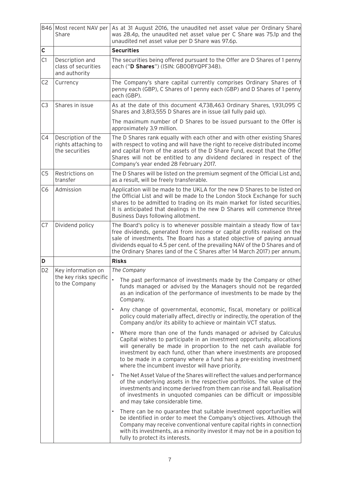|                | B46 Most recent NAV per<br>Share                            | As at 31 August 2016, the unaudited net asset value per Ordinary Share<br>was 28.4p, the unaudited net asset value per C Share was 75.1p and the<br>unaudited net asset value per D Share was 97.6p.                                                                                                                                                                                                                          |  |  |
|----------------|-------------------------------------------------------------|-------------------------------------------------------------------------------------------------------------------------------------------------------------------------------------------------------------------------------------------------------------------------------------------------------------------------------------------------------------------------------------------------------------------------------|--|--|
| $\mathsf c$    |                                                             | <b>Securities</b>                                                                                                                                                                                                                                                                                                                                                                                                             |  |  |
| C1             | Description and<br>class of securities<br>and authority     | The securities being offered pursuant to the Offer are D Shares of 1 penny<br>each ("D Shares") (ISIN: GBOOBYQPF348).                                                                                                                                                                                                                                                                                                         |  |  |
| C <sub>2</sub> | Currency                                                    | The Company's share capital currently comprises Ordinary Shares of 1<br>penny each (GBP), C Shares of 1 penny each (GBP) and D Shares of 1 penny<br>each (GBP).                                                                                                                                                                                                                                                               |  |  |
| C <sub>3</sub> | Shares in issue                                             | As at the date of this document 4,738,463 Ordinary Shares, 1,931,095 C<br>Shares and 3,813,555 D Shares are in issue (all fully paid up).                                                                                                                                                                                                                                                                                     |  |  |
|                |                                                             | The maximum number of D Shares to be issued pursuant to the Offer is<br>approximately 3.9 million.                                                                                                                                                                                                                                                                                                                            |  |  |
| C4             | Description of the<br>rights attaching to<br>the securities | The D Shares rank equally with each other and with other existing Shares<br>with respect to voting and will have the right to receive distributed income<br>and capital from of the assets of the D Share Fund, except that the Offer<br>Shares will not be entitled to any dividend declared in respect of the<br>Company's year ended 28 February 2017.                                                                     |  |  |
| C <sub>5</sub> | Restrictions on<br>transfer                                 | The D Shares will be listed on the premium segment of the Official List and,<br>as a result, will be freely transferable.                                                                                                                                                                                                                                                                                                     |  |  |
| C <sub>6</sub> | Admission                                                   | Application will be made to the UKLA for the new D Shares to be listed on<br>the Official List and will be made to the London Stock Exchange for such<br>shares to be admitted to trading on its main market for listed securities.<br>It is anticipated that dealings in the new D Shares will commence three<br>Business Days following allotment.                                                                          |  |  |
| C7             | Dividend policy                                             | The Board's policy is to whenever possible maintain a steady flow of tax-<br>free dividends, generated from income or capital profits realised on the<br>sale of investments. The Board has a stated objective of paying annual<br>dividends equal to 4.5 per cent. of the prevailing NAV of the D Shares and of<br>the Ordinary Shares (and of the C Shares after 14 March 2017) per annum.                                  |  |  |
| D              |                                                             | <b>Risks</b>                                                                                                                                                                                                                                                                                                                                                                                                                  |  |  |
| D <sub>2</sub> | Key information on                                          | The Company                                                                                                                                                                                                                                                                                                                                                                                                                   |  |  |
|                | the key risks specific<br>to the Company                    | The past performance of investments made by the Company or other<br>funds managed or advised by the Managers should not be regarded<br>as an indication of the performance of investments to be made by the<br>Company.                                                                                                                                                                                                       |  |  |
|                |                                                             | Any change of governmental, economic, fiscal, monetary or political<br>$\bullet$<br>policy could materially affect, directly or indirectly, the operation of the<br>Company and/or its ability to achieve or maintain VCT status.                                                                                                                                                                                             |  |  |
|                |                                                             | Where more than one of the funds managed or advised by Calculus<br>$\bullet$<br>Capital wishes to participate in an investment opportunity, allocations<br>will generally be made in proportion to the net cash available for<br>investment by each fund, other than where investments are proposed<br>to be made in a company where a fund has a pre-existing investment<br>where the incumbent investor will have priority. |  |  |
|                |                                                             | The Net Asset Value of the Shares will reflect the values and performance<br>$\bullet$<br>of the underlying assets in the respective portfolios. The value of the<br>investments and income derived from them can rise and fall. Realisation<br>of investments in unquoted companies can be difficult or impossible<br>and may take considerable time.                                                                        |  |  |
|                |                                                             | There can be no guarantee that suitable investment opportunities will<br>$\bullet$<br>be identified in order to meet the Company's objectives. Although the<br>Company may receive conventional venture capital rights in connection<br>with its investments, as a minority investor it may not be in a position to<br>fully to protect its interests.                                                                        |  |  |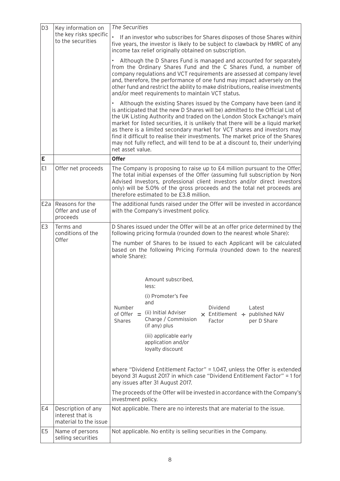| D <sub>3</sub> | Key information on                                              | The Securities                                                                                                                                                                                                                                                                                                                                                                                                                                                                                                                                                                         |  |  |
|----------------|-----------------------------------------------------------------|----------------------------------------------------------------------------------------------------------------------------------------------------------------------------------------------------------------------------------------------------------------------------------------------------------------------------------------------------------------------------------------------------------------------------------------------------------------------------------------------------------------------------------------------------------------------------------------|--|--|
|                | the key risks specific<br>to the securities                     | If an investor who subscribes for Shares disposes of those Shares within<br>five years, the investor is likely to be subject to clawback by HMRC of any<br>income tax relief originally obtained on subscription.                                                                                                                                                                                                                                                                                                                                                                      |  |  |
|                |                                                                 | Although the D Shares Fund is managed and accounted for separately<br>from the Ordinary Shares Fund and the C Shares Fund, a number of<br>company regulations and VCT requirements are assessed at company level<br>and, therefore, the performance of one fund may impact adversely on the<br>other fund and restrict the ability to make distributions, realise investments<br>and/or meet requirements to maintain VCT status.                                                                                                                                                      |  |  |
|                |                                                                 | Although the existing Shares issued by the Company have been (and it<br>is anticipated that the new D Shares will be) admitted to the Official List of<br>the UK Listing Authority and traded on the London Stock Exchange's main<br>market for listed securities, it is unlikely that there will be a liquid market<br>as there is a limited secondary market for VCT shares and investors may<br>find it difficult to realise their investments. The market price of the Shares<br>may not fully reflect, and will tend to be at a discount to, their underlying<br>net asset value. |  |  |
| E              |                                                                 | <b>Offer</b>                                                                                                                                                                                                                                                                                                                                                                                                                                                                                                                                                                           |  |  |
| E1             | Offer net proceeds                                              | The Company is proposing to raise up to £4 million pursuant to the Offer.<br>The total initial expenses of the Offer (assuming full subscription by Non<br>Advised Investors, professional client investors and/or direct investors<br>only) will be 5.0% of the gross proceeds and the total net proceeds are<br>therefore estimated to be £3.8 million.                                                                                                                                                                                                                              |  |  |
| E2a            | Reasons for the<br>Offer and use of<br>proceeds                 | The additional funds raised under the Offer will be invested in accordance<br>with the Company's investment policy.                                                                                                                                                                                                                                                                                                                                                                                                                                                                    |  |  |
| E3             | Terms and<br>conditions of the                                  | D Shares issued under the Offer will be at an offer price determined by the<br>following pricing formula (rounded down to the nearest whole Share):                                                                                                                                                                                                                                                                                                                                                                                                                                    |  |  |
|                | Offer                                                           | The number of Shares to be issued to each Applicant will be calculated<br>based on the following Pricing Formula (rounded down to the nearest<br>whole Share):                                                                                                                                                                                                                                                                                                                                                                                                                         |  |  |
|                |                                                                 | Amount subscribed,<br>less:                                                                                                                                                                                                                                                                                                                                                                                                                                                                                                                                                            |  |  |
|                |                                                                 | (i) Promoter's Fee<br>and                                                                                                                                                                                                                                                                                                                                                                                                                                                                                                                                                              |  |  |
|                |                                                                 | Number<br>Dividend<br>Latest<br>(ii) Initial Adviser<br>of Offer $=$<br>$\times$ Entitlement $\div$ published NAV<br>Charge / Commission<br><b>Shares</b><br>Factor<br>per D Share<br>(if any) plus                                                                                                                                                                                                                                                                                                                                                                                    |  |  |
|                |                                                                 | (iii) applicable early<br>application and/or<br>loyalty discount                                                                                                                                                                                                                                                                                                                                                                                                                                                                                                                       |  |  |
|                |                                                                 | where "Dividend Entitlement Factor" = 1.047, unless the Offer is extended<br>beyond 31 August 2017 in which case "Dividend Entitlement Factor" = 1 for<br>any issues after 31 August 2017.                                                                                                                                                                                                                                                                                                                                                                                             |  |  |
|                |                                                                 | The proceeds of the Offer will be invested in accordance with the Company's<br>investment policy.                                                                                                                                                                                                                                                                                                                                                                                                                                                                                      |  |  |
| E4             | Description of any<br>interest that is<br>material to the issue | Not applicable. There are no interests that are material to the issue.                                                                                                                                                                                                                                                                                                                                                                                                                                                                                                                 |  |  |
| E5             | Name of persons<br>selling securities                           | Not applicable. No entity is selling securities in the Company.                                                                                                                                                                                                                                                                                                                                                                                                                                                                                                                        |  |  |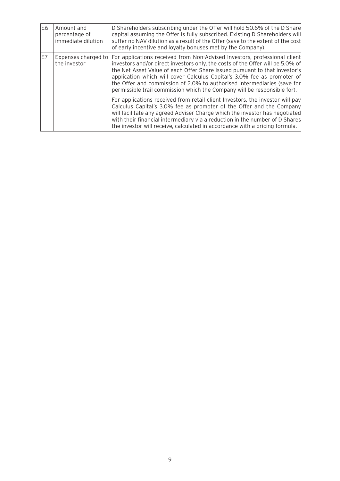| E <sub>6</sub>                            | Amount and<br>percentage of<br>immediate dilution | D Shareholders subscribing under the Offer will hold 50.6% of the D Share<br>capital assuming the Offer is fully subscribed. Existing D Shareholders will<br>suffer no NAV dilution as a result of the Offer (save to the extent of the cost<br>of early incentive and loyalty bonuses met by the Company).                                                                                                                                                                 |
|-------------------------------------------|---------------------------------------------------|-----------------------------------------------------------------------------------------------------------------------------------------------------------------------------------------------------------------------------------------------------------------------------------------------------------------------------------------------------------------------------------------------------------------------------------------------------------------------------|
| E7<br>Expenses charged to<br>the investor |                                                   | For applications received from Non-Advised Investors, professional client<br>investors and/or direct investors only, the costs of the Offer will be 5.0% of<br>the Net Asset Value of each Offer Share issued pursuant to that investor's<br>application which will cover Calculus Capital's 3.0% fee as promoter of<br>the Offer and commission of 2.0% to authorised intermediaries (save for<br>permissible trail commission which the Company will be responsible for). |
|                                           |                                                   | For applications received from retail client Investors, the investor will pay<br>Calculus Capital's 3.0% fee as promoter of the Offer and the Company<br>will facilitate any agreed Adviser Charge which the investor has negotiated<br>with their financial intermediary via a reduction in the number of D Shares<br>the investor will receive, calculated in accordance with a pricing formula.                                                                          |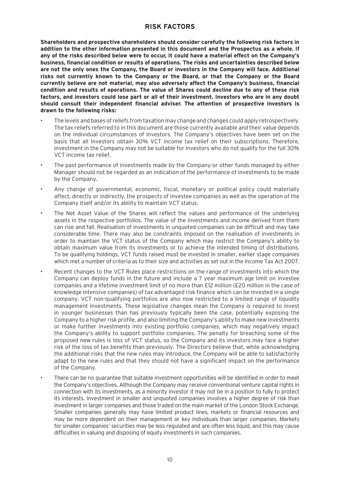# **RISK FACTORS**

**Shareholders and prospective shareholders should consider carefully the following risk factors in addition to the other information presented in this document and the Prospectus as a whole. If any of the risks described below were to occur, it could have a material effect on the Company's business, financial condition or results of operations. The risks and uncertainties described below are not the only ones the Company, the Board or investors in the Company will face. Additional risks not currently known to the Company or the Board, or that the Company or the Board currently believe are not material, may also adversely affect the Company's business, financial condition and results of operations. The value of Shares could decline due to any of these risk factors, and investors could lose part or all of their investment. Investors who are in any doubt should consult their independent financial adviser. The attention of prospective investors is drawn to the following risks:**

- The levels and bases of reliefs from taxation may change and changes could apply retrospectively. The tax reliefs referred to in this document are those currently available and their value depends on the individual circumstances of Investors. The Company's objectives have been set on the basis that all Investors obtain 30% VCT income tax relief on their subscriptions. Therefore, investment in the Company may not be suitable for Investors who do not qualify for the full 30% VCT income tax relief.
- The past performance of investments made by the Company or other funds managed by either Manager should not be regarded as an indication of the performance of investments to be made by the Company.
- Any change of governmental, economic, fiscal, monetary or political policy could materially affect, directly or indirectly, the prospects of investee companies as well as the operation of the Company itself and/or its ability to maintain VCT status.
- The Net Asset Value of the Shares will reflect the values and performance of the underlying assets in the respective portfolios. The value of the investments and income derived from them can rise and fall. Realisation of investments in unquoted companies can be difficult and may take considerable time. There may also be constraints imposed on the realisation of investments in order to maintain the VCT status of the Company which may restrict the Company's ability to obtain maximum value from its investments or to achieve the intended timing of distributions. To be qualifying holdings, VCT funds raised must be invested in smaller, earlier stage companies which met a number of criteria as to their size and activities as set out in the Income Tax Act 2007.
- Recent changes to the VCT Rules place restrictions on the range of investments into which the Company can deploy funds in the future and include a 7 year maximum age limit on investee companies and a lifetime investment limit of no more than £12 million (£20 million in the case of knowledge intensive companies) of tax advantaged risk finance which can be invested in a single company. VCT non-qualifying portfolios are also now restricted to a limited range of liquidity management investments. These legislative changes mean the Company is required to invest in younger businesses than has previously typically been the case, potentially exposing the Company to a higher risk profile, and also limiting the Company's ability to make new investments or make further investments into existing portfolio companies, which may negatively impact the Company's ability to support portfolio companies. The penalty for breaching some of the proposed new rules is loss of VCT status, so the Company and its investors may face a higher risk of the loss of tax benefits than previously. The Directors believe that, while acknowledging the additional risks that the new rules may introduce, the Company will be able to satisfactorily adapt to the new rules and that they should not have a significant impact on the performance of the Company.
- There can be no guarantee that suitable investment opportunities will be identified in order to meet the Company's objectives. Although the Company may receive conventional venture capital rights in connection with its investments, as a minority investor it may not be in a position to fully to protect its interests. Investment in smaller and unquoted companies involves a higher degree of risk than investment in larger companies and those traded on the main market of the London Stock Exchange. Smaller companies generally may have limited product lines, markets or financial resources and may be more dependent on their management or key individuals than larger companies. Markets for smaller companies' securities may be less regulated and are often less liquid, and this may cause difficulties in valuing and disposing of equity investments in such companies.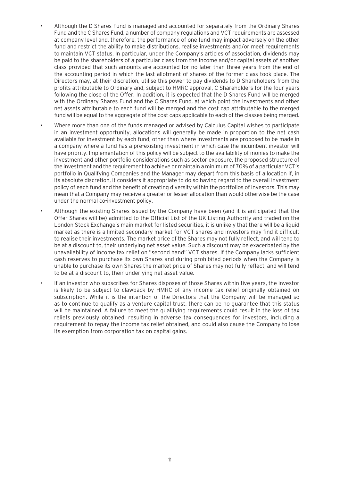- Although the D Shares Fund is managed and accounted for separately from the Ordinary Shares Fund and the C Shares Fund, a number of company regulations and VCT requirements are assessed at company level and, therefore, the performance of one fund may impact adversely on the other fund and restrict the ability to make distributions, realise investments and/or meet requirements to maintain VCT status. In particular, under the Company's articles of association, dividends may be paid to the shareholders of a particular class from the income and/or capital assets of another class provided that such amounts are accounted for no later than three years from the end of the accounting period in which the last allotment of shares of the former class took place. The Directors may, at their discretion, utilise this power to pay dividends to D Shareholders from the profits attributable to Ordinary and, subject to HMRC approval, C Shareholders for the four years following the close of the Offer. In addition, it is expected that the D Shares Fund will be merged with the Ordinary Shares Fund and the C Shares Fund, at which point the investments and other net assets attributable to each fund will be merged and the cost cap attributable to the merged fund will be equal to the aggregate of the cost caps applicable to each of the classes being merged.
- Where more than one of the funds managed or advised by Calculus Capital wishes to participate in an investment opportunity, allocations will generally be made in proportion to the net cash available for investment by each fund, other than where investments are proposed to be made in a company where a fund has a pre-existing investment in which case the incumbent investor will have priority. Implementation of this policy will be subject to the availability of monies to make the investment and other portfolio considerations such as sector exposure, the proposed structure of the investment and the requirement to achieve or maintain a minimum of 70% of a particular VCT's portfolio in Qualifying Companies and the Manager may depart from this basis of allocation if, in its absolute discretion, it considers it appropriate to do so having regard to the overall investment policy of each fund and the benefit of creating diversity within the portfolios of investors. This may mean that a Company may receive a greater or lesser allocation than would otherwise be the case under the normal co-investment policy.
- Although the existing Shares issued by the Company have been (and it is anticipated that the Offer Shares will be) admitted to the Official List of the UK Listing Authority and traded on the London Stock Exchange's main market for listed securities, it is unlikely that there will be a liquid market as there is a limited secondary market for VCT shares and investors may find it difficult to realise their investments. The market price of the Shares may not fully reflect, and will tend to be at a discount to, their underlying net asset value. Such a discount may be exacerbated by the unavailability of income tax relief on "second hand" VCT shares. If the Company lacks sufficient cash reserves to purchase its own Shares and during prohibited periods when the Company is unable to purchase its own Shares the market price of Shares may not fully reflect, and will tend to be at a discount to, their underlying net asset value.
- If an investor who subscribes for Shares disposes of those Shares within five years, the investor is likely to be subject to clawback by HMRC of any income tax relief originally obtained on subscription. While it is the intention of the Directors that the Company will be managed so as to continue to qualify as a venture capital trust, there can be no guarantee that this status will be maintained. A failure to meet the qualifying requirements could result in the loss of tax reliefs previously obtained, resulting in adverse tax consequences for investors, including a requirement to repay the income tax relief obtained, and could also cause the Company to lose its exemption from corporation tax on capital gains.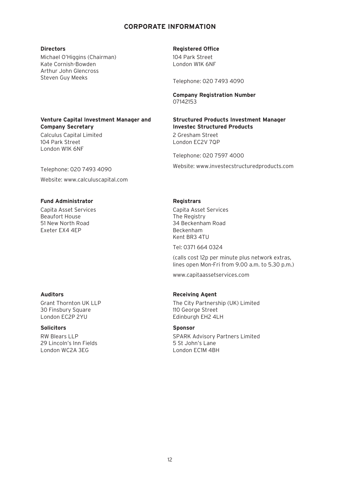# **CORPORATE INFORMATION**

#### **Directors**

Michael O'Higgins (Chairman) Kate Cornish-Bowden Arthur John Glencross Steven Guy Meeks

#### **Venture Capital Investment Manager and Company Secretary**

Calculus Capital Limited 104 Park Street London W1K 6NF

Telephone: 020 7493 4090 Website: www.calculuscapital.com

#### **Fund Administrator**

Capita Asset Services Beaufort House 51 New North Road Exeter EX4 4EP

#### **Auditors**

Grant Thornton UK LLP 30 Finsbury Square London EC2P 2YU

#### **Solicitors**

RW Blears LLP 29 Lincoln's Inn Fields London WC2A 3EG

#### **Registered Office**

104 Park Street London W1K 6NF

Telephone: 020 7493 4090

#### **Company Registration Number** 07142153

#### **Structured Products Investment Manager Investec Structured Products**

2 Gresham Street London EC2V 7QP

Telephone: 020 7597 4000

Website: www.investecstructuredproducts.com

#### **Registrars**

Capita Asset Services The Registry 34 Beckenham Road Beckenham Kent BR3 4TU

Tel: 0371 664 0324

(calls cost 12p per minute plus network extras, lines open Mon-Fri from 9.00 a.m. to 5.30 p.m.)

www.capitaassetservices.com

#### **Receiving Agent**

The City Partnership (UK) Limited 110 George Street Edinburgh EH2 4LH

#### **Sponsor**

SPARK Advisory Partners Limited 5 St John's Lane London EC1M 4BH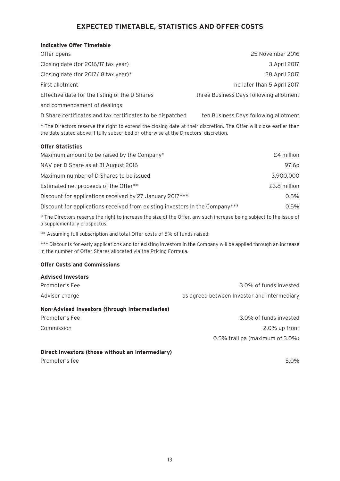# **EXPECTED TIMETABLE, STATISTICS AND OFFER COSTS**

#### **Indicative Offer Timetable**

| Offer opens                                                | 25 November 2016                        |
|------------------------------------------------------------|-----------------------------------------|
| Closing date (for 2016/17 tax year)                        | 3 April 2017                            |
| Closing date (for 2017/18 tax year)*                       | 28 April 2017                           |
| First allotment                                            | no later than 5 April 2017              |
| Effective date for the listing of the D Shares             | three Business Days following allotment |
| and commencement of dealings                               |                                         |
| D Share certificates and tax certificates to be dispatched | ten Business Days following allotment   |

\* The Directors reserve the right to extend the closing date at their discretion. The Offer will close earlier than the date stated above if fully subscribed or otherwise at the Directors' discretion.

#### **Offer Statistics**

| Maximum amount to be raised by the Company*                                  | £4 million   |
|------------------------------------------------------------------------------|--------------|
| NAV per D Share as at 31 August 2016                                         | 97.6p        |
| Maximum number of D Shares to be issued                                      | 3,900,000    |
| Estimated net proceeds of the Offer**                                        | £3.8 million |
| Discount for applications received by 27 January 2017***                     | 0.5%         |
| Discount for applications received from existing investors in the Company*** | $0.5\%$      |

\* The Directors reserve the right to increase the size of the Offer, any such increase being subject to the issue of a supplementary prospectus.

\*\* Assuming full subscription and total Offer costs of 5% of funds raised.

\*\*\* Discounts for early applications and for existing investors in the Company will be applied through an increase in the number of Offer Shares allocated via the Pricing Formula.

#### **Offer Costs and Commissions**

| <b>Advised Investors</b>                       |                                             |
|------------------------------------------------|---------------------------------------------|
| Promoter's Fee                                 | 3.0% of funds invested                      |
| Adviser charge                                 | as agreed between Investor and intermediary |
| Non-Advised Investors (through Intermediaries) |                                             |
| Promoter's Fee                                 | 3.0% of funds invested                      |
| Commission                                     | 2.0% up front                               |
|                                                | 0.5% trail pa (maximum of 3.0%)             |
|                                                |                                             |

#### **Direct Investors (those without an Intermediary)**

Promoter's fee 5.0%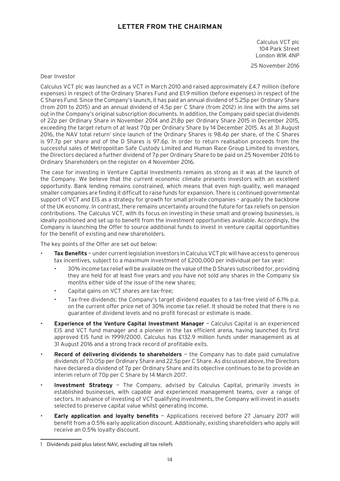# **LETTER FROM THE CHAIRMAN**

Calculus VCT plc 104 Park Street London W1K 4NP

25 November 2016

#### Dear Investor

Calculus VCT plc was launched as a VCT in March 2010 and raised approximately £4.7 million (before expenses) in respect of the Ordinary Shares Fund and £1.9 million (before expenses) in respect of the C Shares Fund. Since the Company's launch, it has paid an annual dividend of 5.25p per Ordinary Share (from 2011 to 2015) and an annual dividend of 4.5p per C Share (from 2012) in line with the aims set out in the Company's original subscription documents. In addition, the Company paid special dividends of 22p per Ordinary Share in November 2014 and 21.8p per Ordinary Share 2015 in December 2015, exceeding the target return of at least 70p per Ordinary Share by 14 December 2015. As at 31 August 2016, the NAV total return' since launch of the Ordinary Shares is 98.4p per share, of the C Shares is 97.7p per share and of the D Shares is 97.6p. In order to return realisation proceeds from the successful sales of Metropolitan Safe Custody Limited and Human Race Group Limited to investors, the Directors declared a further dividend of 7p per Ordinary Share to be paid on 25 November 2016 to Ordinary Shareholders on the register on 4 November 2016.

The case for investing in Venture Capital Investments remains as strong as it was at the launch of the Company. We believe that the current economic climate presents investors with an excellent opportunity. Bank lending remains constrained, which means that even high quality, well managed smaller companies are finding it difficult to raise funds for expansion. There is continued governmental support of VCT and EIS as a strategy for growth for small private companies – arguably the backbone of the UK economy. In contrast, there remains uncertainty around the future for tax reliefs on pension contributions. The Calculus VCT, with its focus on investing in these small and growing businesses, is ideally positioned and set up to benefit from the investment opportunities available. Accordingly, the Company is launching the Offer to source additional funds to invest in venture capital opportunities for the benefit of existing and new shareholders.

The key points of the Offer are set out below:

- **Tax Benefits** under current legislation investors in Calculus VCT plc will have access to generous tax incentives, subject to a maximum investment of £200,000 per individual per tax year:
	- 30% income tax relief will be available on the value of the D Shares subscribed for, providing they are held for at least five years and you have not sold any shares in the Company six months either side of the issue of the new shares;
	- Capital gains on VCT shares are tax-free;
	- Tax-free dividends: the Company's target dividend equates to a tax-free yield of 6.1% p.a. on the current offer price net of 30% income tax relief. It should be noted that there is no guarantee of dividend levels and no profit forecast or estimate is made.
- **Experience of the Venture Capital Investment Manager** Calculus Capital is an experienced EIS and VCT fund manager and a pioneer in the tax efficient arena, having launched its first approved EIS fund in 1999/2000. Calculus has £132.9 million funds under management as at 31 August 2016 and a strong track record of profitable exits.
- **Record of delivering dividends to shareholders** the Company has to date paid cumulative dividends of 70.05p per Ordinary Share and 22.5p per C Share. As discussed above, the Directors have declared a dividend of 7p per Ordinary Share and its objective continues to be to provide an interim return of 70p per C Share by 14 March 2017.
- **Investment Strategy** The Company, advised by Calculus Capital, primarily invests in established businesses, with capable and experienced management teams, over a range of sectors. In advance of investing of VCT qualifying investments, the Company will invest in assets selected to preserve capital value whilst generating income.
- **Early application and loyalty benefits** Applications received before 27 January 2017 will benefit from a 0.5% early application discount. Additionally, existing shareholders who apply will receive an 0.5% loyalty discount.

<sup>1</sup> Dividends paid plus latest NAV, excluding all tax reliefs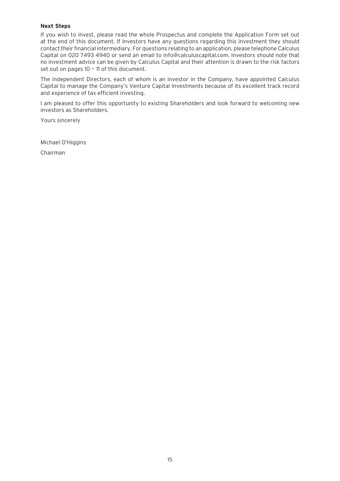#### **Next Steps**

If you wish to invest, please read the whole Prospectus and complete the Application Form set out at the end of this document. If Investors have any questions regarding this investment they should contact their financial intermediary. For questions relating to an application, please telephone Calculus Capital on 020 7493 4940 or send an email to info@calculuscapital.com. Investors should note that no investment advice can be given by Calculus Capital and their attention is drawn to the risk factors set out on pages  $10 - 11$  of this document.

The independent Directors, each of whom is an investor in the Company, have appointed Calculus Capital to manage the Company's Venture Capital Investments because of its excellent track record and experience of tax efficient investing.

I am pleased to offer this opportunity to existing Shareholders and look forward to welcoming new investors as Shareholders.

Yours sincerely

Michael O'Higgins

Chairman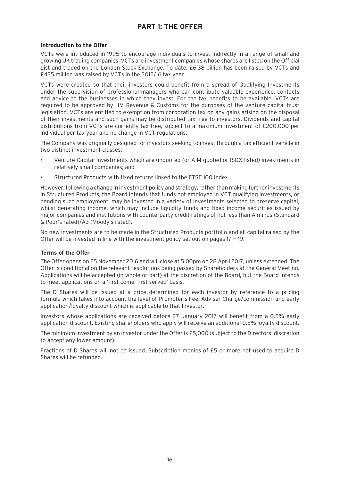# **PART 1: THE OFFER**

#### **Introduction to the Offer**

VCTs were introduced in 1995 to encourage individuals to invest indirectly in a range of small and growing UK trading companies. VCTs are investment companies whose shares are listed on the Official List and traded on the London Stock Exchange. To date, £6.38 billion has been raised by VCTs and £435 million was raised by VCTs in the 2015/16 tax year.

VCTs were created so that their investors could benefit from a spread of Qualifying Investments under the supervision of professional managers who can contribute valuable experience, contacts and advice to the businesses in which they invest. For the tax benefits to be available, VCTs are required to be approved by HM Revenue & Customs for the purposes of the venture capital trust legislation. VCTs are entitled to exemption from corporation tax on any gains arising on the disposal of their investments and such gains may be distributed tax-free to investors. Dividends and capital distributions from VCTs are currently tax-free, subject to a maximum investment of £200,000 per individual per tax year and no change in VCT regulations.

The Company was originally designed for investors seeking to invest through a tax efficient vehicle in two distinct investment classes:

- Venture Capital Investments which are unquoted (or AIM-quoted or ISDX-listed) investments in relatively small companies; and
- Structured Products with fixed returns linked to the FTSE 100 Index.

However, following a change in investment policy and strategy, rather than making further investments in Structured Products, the Board intends that funds not employed in VCT qualifying investments, or pending such employment, may be invested in a variety of investments selected to preserve capital, whilst generating income, which may include liquidity funds and fixed income securities issued by major companies and institutions with counterparty credit ratings of not less than A minus (Standard & Poor's rated)/A3 (Moody's rated).

No new investments are to be made in the Structured Products portfolio and all capital raised by the Offer will be invested in line with the investment policy set out on pages  $17 - 19$ .

#### **Terms of the Offer**

The Offer opens on 25 November 2016 and will close at 5.00pm on 28 April 2017, unless extended. The Offer is conditional on the relevant resolutions being passed by Shareholders at the General Meeting. Applications will be accepted (in whole or part) at the discretion of the Board, but the Board intends to meet applications on a 'first come, first served' basis.

The D Shares will be issued at a price determined for each investor by reference to a pricing formula which takes into account the level of Promoter's Fee, Adviser Charge/commission and early application/loyalty discount which is applicable to that Investor.

Investors whose applications are received before 27 January 2017 will benefit from a 0.5% early application discount. Existing shareholders who apply will receive an additional 0.5% loyalty discount.

The minimum investment by an investor under the Offer is £5,000 (subject to the Directors' discretion to accept any lower amount).

Fractions of D Shares will not be issued. Subscription monies of £5 or more not used to acquire D Shares will be refunded.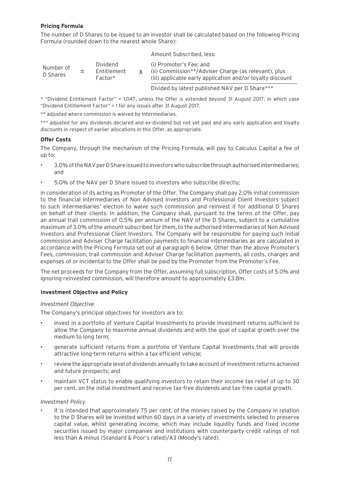#### **Pricing Formula**

The number of D Shares to be issued to an investor shall be calculated based on the following Pricing Formula (rounded down to the nearest whole Share):

|                       |                                      | Amount Subscribed, less:                                                                                                                      |
|-----------------------|--------------------------------------|-----------------------------------------------------------------------------------------------------------------------------------------------|
| Number of<br>D Shares | Dividend<br>Entitlement<br>$Factor*$ | (i) Promoter's Fee: and<br>(ii) Commission**/Adviser Charge (as relevant), plus<br>(iii) applicable early application and/or loyalty discount |
|                       |                                      | Divided by latest published NAV per D Share***                                                                                                |

\* "Dividend Entitlement Factor" = 1.047, unless the Offer is extended beyond 31 August 2017, in which case "Dividend Entitlement Factor" = 1 for any issues after 31 August 2017.

\*\* adjusted where commission is waived by Intermediaries.

\*\*\* adjusted for any dividends declared and ex-dividend but not yet paid and any early application and loyalty discounts in respect of earlier allocations in this Offer, as appropriate.

#### **Offer Costs**

The Company, through the mechanism of the Pricing Formula, will pay to Calculus Capital a fee of up to:

- 3.0% of the NAV per D Share issued to investors who subscribe through authorised intermediaries; and
- 5.0% of the NAV per D Share issued to investors who subscribe directly;

in consideration of its acting as Promoter of the Offer. The Company shall pay 2.0% initial commission to the financial intermediaries of Non Advised Investors and Professional Client Investors subject to such intermediaries' election to waive such commission and reinvest it for additional D Shares on behalf of their clients. In addition, the Company shall, pursuant to the terms of the Offer, pay an annual trail commission of 0.5% per annum of the NAV of the D Shares, subject to a cumulative maximum of 3.0% of the amount subscribed for them, to the authorised intermediaries of Non Advised Investors and Professional Client Investors. The Company will be responsible for paying such initial commission and Adviser Charge facilitation payments to financial intermediaries as are calculated in accordance with the Pricing Formula set out at paragraph 6 below. Other than the above Promoter's Fees, commission, trail commission and Adviser Charge facilitation payments, all costs, charges and expenses of or incidental to the Offer shall be paid by the Promoter from the Promoter's Fee.

The net proceeds for the Company from the Offer, assuming full subscription, Offer costs of 5.0% and ignoring reinvested commission, will therefore amount to approximately £3.8m.

#### **Investment Objective and Policy**

#### *Investment Objective*

The Company's principal objectives for investors are to:

- invest in a portfolio of Venture Capital Investments to provide investment returns sufficient to allow the Company to maximise annual dividends and with the goal of capital growth over the medium to long term;
- generate sufficient returns from a portfolio of Venture Capital Investments that will provide attractive long-term returns within a tax efficient vehicle;
- review the appropriate level of dividends annually to take account of investment returns achieved and future prospects; and
- maintain VCT status to enable qualifying investors to retain their income tax relief of up to 30 per cent. on the initial investment and receive tax-free dividends and tax-free capital growth.

#### *Investment Policy*

• It is intended that approximately 75 per cent. of the monies raised by the Company in relation to the D Shares will be invested within 60 days in a variety of investments selected to preserve capital value, whilst generating income, which may include liquidity funds and fixed income securities issued by major companies and institutions with counterparty credit ratings of not less than A minus (Standard & Poor's rated)/A3 (Moody's rated).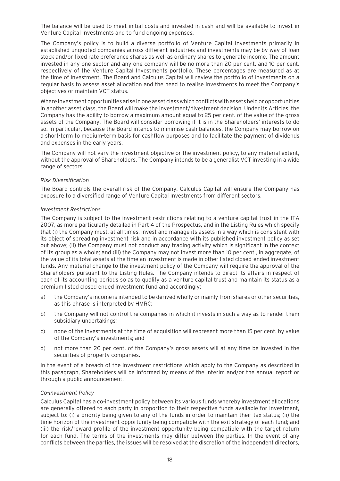The balance will be used to meet initial costs and invested in cash and will be available to invest in Venture Capital Investments and to fund ongoing expenses.

The Company's policy is to build a diverse portfolio of Venture Capital Investments primarily in established unquoted companies across different industries and investments may be by way of loan stock and/or fixed rate preference shares as well as ordinary shares to generate income. The amount invested in any one sector and any one company will be no more than 20 per cent. and 10 per cent. respectively of the Venture Capital Investments portfolio. These percentages are measured as at the time of investment. The Board and Calculus Capital will review the portfolio of investments on a regular basis to assess asset allocation and the need to realise investments to meet the Company's objectives or maintain VCT status.

Where investment opportunities arise in one asset class which conflicts with assets held or opportunities in another asset class, the Board will make the investment/divestment decision. Under its Articles, the Company has the ability to borrow a maximum amount equal to 25 per cent. of the value of the gross assets of the Company. The Board will consider borrowing if it is in the Shareholders' interests to do so. In particular, because the Board intends to minimise cash balances, the Company may borrow on a short-term to medium-term basis for cashflow purposes and to facilitate the payment of dividends and expenses in the early years.

The Company will not vary the investment objective or the investment policy, to any material extent, without the approval of Shareholders. The Company intends to be a generalist VCT investing in a wide range of sectors.

#### *Risk Diversification*

The Board controls the overall risk of the Company. Calculus Capital will ensure the Company has exposure to a diversified range of Venture Capital Investments from different sectors.

#### *Investment Restrictions*

The Company is subject to the investment restrictions relating to a venture capital trust in the ITA 2007, as more particularly detailed in Part 4 of the Prospectus, and in the Listing Rules which specify that (i) the Company must, at all times, invest and manage its assets in a way which is consistent with its object of spreading investment risk and in accordance with its published investment policy as set out above; (ii) the Company must not conduct any trading activity which is significant in the context of its group as a whole; and (iii) the Company may not invest more than 10 per cent., in aggregate, of the value of its total assets at the time an investment is made in other listed closed-ended investment funds. Any material change to the investment policy of the Company will require the approval of the Shareholders pursuant to the Listing Rules. The Company intends to direct its affairs in respect of each of its accounting periods so as to qualify as a venture capital trust and maintain its status as a premium listed closed ended investment fund and accordingly:

- a) the Company's income is intended to be derived wholly or mainly from shares or other securities, as this phrase is interpreted by HMRC;
- b) the Company will not control the companies in which it invests in such a way as to render them subsidiary undertakings;
- c) none of the investments at the time of acquisition will represent more than 15 per cent. by value of the Company's investments; and
- d) not more than 20 per cent. of the Company's gross assets will at any time be invested in the securities of property companies.

In the event of a breach of the investment restrictions which apply to the Company as described in this paragraph, Shareholders will be informed by means of the interim and/or the annual report or through a public announcement.

#### *Co-Investment Policy*

Calculus Capital has a co-investment policy between its various funds whereby investment allocations are generally offered to each party in proportion to their respective funds available for investment, subject to: (i) a priority being given to any of the funds in order to maintain their tax status; (ii) the time horizon of the investment opportunity being compatible with the exit strategy of each fund; and (iii) the risk/reward profile of the investment opportunity being compatible with the target return for each fund. The terms of the investments may differ between the parties. In the event of any conflicts between the parties, the issues will be resolved at the discretion of the independent directors,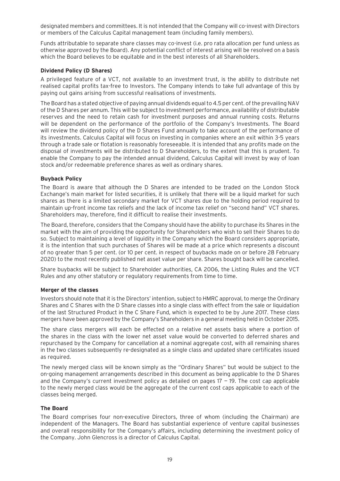designated members and committees. It is not intended that the Company will co-invest with Directors or members of the Calculus Capital management team (including family members).

Funds attributable to separate share classes may co-invest (i.e. pro rata allocation per fund unless as otherwise approved by the Board). Any potential conflict of interest arising will be resolved on a basis which the Board believes to be equitable and in the best interests of all Shareholders.

#### **Dividend Policy (D Shares)**

A privileged feature of a VCT, not available to an investment trust, is the ability to distribute net realised capital profits tax-free to Investors. The Company intends to take full advantage of this by paying out gains arising from successful realisations of investments.

The Board has a stated objective of paying annual dividends equal to 4.5 per cent. of the prevailing NAV of the D Shares per annum. This will be subject to investment performance, availability of distributable reserves and the need to retain cash for investment purposes and annual running costs. Returns will be dependent on the performance of the portfolio of the Company's Investments. The Board will review the dividend policy of the D Shares Fund annually to take account of the performance of its investments. Calculus Capital will focus on investing in companies where an exit within 3-5 years through a trade sale or flotation is reasonably foreseeable. It is intended that any profits made on the disposal of investments will be distributed to D Shareholders, to the extent that this is prudent. To enable the Company to pay the intended annual dividend, Calculus Capital will invest by way of loan stock and/or redeemable preference shares as well as ordinary shares.

#### **Buyback Policy**

The Board is aware that although the D Shares are intended to be traded on the London Stock Exchange's main market for listed securities, it is unlikely that there will be a liquid market for such shares as there is a limited secondary market for VCT shares due to the holding period required to maintain up-front income tax reliefs and the lack of income tax relief on "second hand" VCT shares. Shareholders may, therefore, find it difficult to realise their investments.

The Board, therefore, considers that the Company should have the ability to purchase its Shares in the market with the aim of providing the opportunity for Shareholders who wish to sell their Shares to do so. Subject to maintaining a level of liquidity in the Company which the Board considers appropriate, it is the intention that such purchases of Shares will be made at a price which represents a discount of no greater than 5 per cent. (or 10 per cent. in respect of buybacks made on or before 28 February 2020) to the most recently published net asset value per share. Shares bought back will be cancelled.

Share buybacks will be subject to Shareholder authorities, CA 2006, the Listing Rules and the VCT Rules and any other statutory or regulatory requirements from time to time.

#### **Merger of the classes**

Investors should note that it is the Directors' intention, subject to HMRC approval, to merge the Ordinary Shares and C Shares with the D Share classes into a single class with effect from the sale or liquidation of the last Structured Product in the C Share Fund, which is expected to be by June 2017. These class mergers have been approved by the Company's Shareholders in a general meeting held in October 2015.

The share class mergers will each be effected on a relative net assets basis where a portion of the shares in the class with the lower net asset value would be converted to deferred shares and repurchased by the Company for cancellation at a nominal aggregate cost, with all remaining shares in the two classes subsequently re-designated as a single class and updated share certificates issued as required.

The newly merged class will be known simply as the "Ordinary Shares" but would be subject to the on-going management arrangements described in this document as being applicable to the D Shares and the Company's current investment policy as detailed on pages 17 - 19. The cost cap applicable to the newly merged class would be the aggregate of the current cost caps applicable to each of the classes being merged.

#### **The Board**

The Board comprises four non-executive Directors, three of whom (including the Chairman) are independent of the Managers. The Board has substantial experience of venture capital businesses and overall responsibility for the Company's affairs, including determining the investment policy of the Company. John Glencross is a director of Calculus Capital.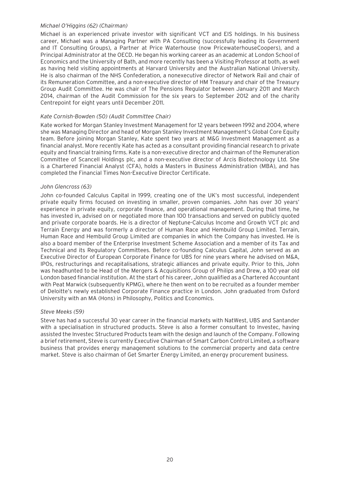#### *Michael O'Higgins (62) (Chairman)*

Michael is an experienced private investor with significant VCT and EIS holdings. In his business career, Michael was a Managing Partner with PA Consulting (successfully leading its Government and IT Consulting Groups), a Partner at Price Waterhouse (now PricewaterhouseCoopers), and a Principal Administrator at the OECD. He began his working career as an academic at London School of Economics and the University of Bath, and more recently has been a Visiting Professor at both, as well as having held visiting appointments at Harvard University and the Australian National University. He is also chairman of the NHS Confederation, a nonexecutive director of Network Rail and chair of its Remuneration Committee, and a non-executive director of HM Treasury and chair of the Treasury Group Audit Committee. He was chair of The Pensions Regulator between January 2011 and March 2014, chairman of the Audit Commission for the six years to September 2012 and of the charity Centrepoint for eight years until December 2011.

#### *Kate Cornish-Bowden (50) (Audit Committee Chair)*

Kate worked for Morgan Stanley Investment Management for 12 years between 1992 and 2004, where she was Managing Director and head of Morgan Stanley Investment Management's Global Core Equity team. Before joining Morgan Stanley, Kate spent two years at M&G Investment Management as a financial analyst. More recently Kate has acted as a consultant providing financial research to private equity and financial training firms. Kate is a non-executive director and chairman of the Remuneration Committee of Scancell Holdings plc, and a non-executive director of Arcis Biotechnology Ltd. She is a Chartered Financial Analyst (CFA), holds a Masters in Business Administration (MBA), and has completed the Financial Times Non-Executive Director Certificate.

#### *John Glencross (63)*

John co-founded Calculus Capital in 1999, creating one of the UK's most successful, independent private equity firms focused on investing in smaller, proven companies. John has over 30 years' experience in private equity, corporate finance, and operational management. During that time, he has invested in, advised on or negotiated more than 100 transactions and served on publicly quoted and private corporate boards. He is a director of Neptune-Calculus Income and Growth VCT plc and Terrain Energy and was formerly a director of Human Race and Hembuild Group Limited. Terrain, Human Race and Hembuild Group Limited are companies in which the Company has invested. He is also a board member of the Enterprise Investment Scheme Association and a member of its Tax and Technical and its Regulatory Committees. Before co-founding Calculus Capital, John served as an Executive Director of European Corporate Finance for UBS for nine years where he advised on M&A, IPOs, restructurings and recapitalisations, strategic alliances and private equity. Prior to this, John was headhunted to be Head of the Mergers & Acquisitions Group of Philips and Drew, a 100 year old London based financial institution. At the start of his career, John qualified as a Chartered Accountant with Peat Marwick (subsequently KPMG), where he then went on to be recruited as a founder member of Deloitte's newly established Corporate Finance practice in London. John graduated from Oxford University with an MA (Hons) in Philosophy, Politics and Economics.

#### *Steve Meeks (59)*

Steve has had a successful 30 year career in the financial markets with NatWest, UBS and Santander with a specialisation in structured products. Steve is also a former consultant to Investec, having assisted the Investec Structured Products team with the design and launch of the Company. Following a brief retirement, Steve is currently Executive Chairman of Smart Carbon Control Limited, a software business that provides energy management solutions to the commercial property and data centre market. Steve is also chairman of Get Smarter Energy Limited, an energy procurement business.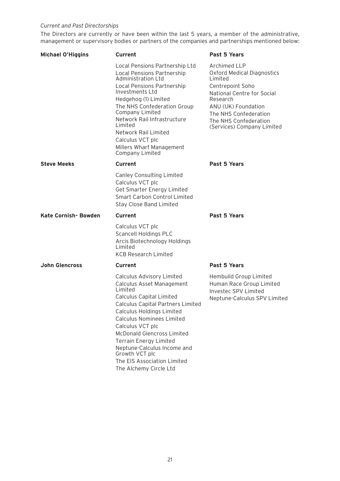#### *Current and Past Directorships*

The Directors are currently or have been within the last 5 years, a member of the administrative, management or supervisory bodies or partners of the companies and partnerships mentioned below:

| <b>Michael O'Higgins</b> | <b>Current</b>                                                                                                                                                                                                                                                                                                                                              | Past 5 Years                                                                                                                                                                                                                       |
|--------------------------|-------------------------------------------------------------------------------------------------------------------------------------------------------------------------------------------------------------------------------------------------------------------------------------------------------------------------------------------------------------|------------------------------------------------------------------------------------------------------------------------------------------------------------------------------------------------------------------------------------|
|                          | Local Pensions Partnership Ltd<br>Local Pensions Partnership<br>Administration Ltd<br><b>Local Pensions Partnership</b><br>Investments I td<br>Hedgehog (1) Limited<br>The NHS Confederation Group<br>Company Limited<br>Network Rail Infrastructure<br>I imited<br>Network Rail Limited<br>Calculus VCT plc<br>Millers Wharf Management<br>Company Limited | Archimed LLP<br><b>Oxford Medical Diagnostics</b><br>I imited<br>Centrepoint Soho<br>National Centre for Social<br>Research<br>ANU (UK) Foundation<br>The NHS Confederation<br>The NHS Confederation<br>(Services) Company Limited |
| <b>Steve Meeks</b>       | <b>Current</b>                                                                                                                                                                                                                                                                                                                                              | Past 5 Years                                                                                                                                                                                                                       |
|                          | <b>Canley Consulting Limited</b><br>Calculus VCT plc<br>Get Smarter Energy Limited<br>Smart Carbon Control Limited<br>Stay Close Band Limited                                                                                                                                                                                                               |                                                                                                                                                                                                                                    |
| Kate Cornish-Bowden      | Current                                                                                                                                                                                                                                                                                                                                                     | Past 5 Years                                                                                                                                                                                                                       |
|                          | Calculus VCT plc<br><b>Scancell Holdings PLC</b><br>Arcis Biotechnology Holdings<br>Limited<br><b>KCB Research Limited</b>                                                                                                                                                                                                                                  |                                                                                                                                                                                                                                    |
| <b>John Glencross</b>    | Current                                                                                                                                                                                                                                                                                                                                                     | Past 5 Years                                                                                                                                                                                                                       |
|                          | Calculus Advisory Limited<br>Calculus Asset Management<br>Limited<br>Calculus Capital Limited<br><b>Calculus Capital Partners Limited</b>                                                                                                                                                                                                                   | Hembuild Group Limited<br>Human Race Group Limited<br>Investec SPV Limited<br>Neptune-Calculus SPV Limited                                                                                                                         |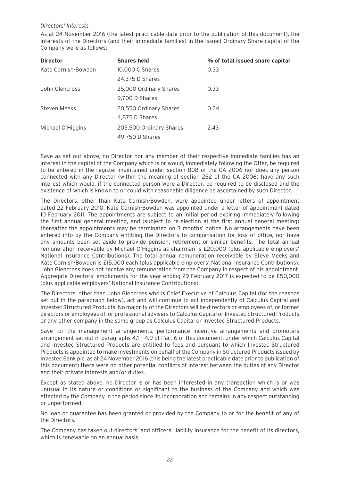#### *Directors' Interests*

As at 24 November 2016 (the latest practicable date prior to the publication of this document), the interests of the Directors (and their immediate families) in the issued Ordinary Share capital of the Company were as follows:

| <b>Director</b>     | <b>Shares held</b>      | % of total issued share capital |
|---------------------|-------------------------|---------------------------------|
| Kate Cornish-Bowden | 10,000 C Shares         | 0.33                            |
|                     | 24,375 D Shares         |                                 |
| John Glencross      | 25,000 Ordinary Shares  | 0.33                            |
|                     | 9,700 D Shares          |                                 |
| Steven Meeks        | 20,550 Ordinary Shares  | 0.24                            |
|                     | 4,875 D Shares          |                                 |
| Michael O'Higgins   | 205,500 Ordinary Shares | 2.43                            |
|                     | 49,750 D Shares         |                                 |

Save as set out above, no Director nor any member of their respective immediate families has an interest in the capital of the Company which is or would, immediately following the Offer, be required to be entered in the register maintained under section 808 of the CA 2006 nor does any person connected with any Director (within the meaning of section 252 of the CA 2006) have any such interest which would, if the connected person were a Director, be required to be disclosed and the existence of which is known to or could with reasonable diligence be ascertained by such Director.

The Directors, other than Kate Cornish-Bowden, were appointed under letters of appointment dated 22 February 2010. Kate Cornish-Bowden was appointed under a letter of appointment dated 10 February 2011. The appointments are subject to an initial period expiring immediately following the first annual general meeting, and (subject to re-election at the first annual general meeting) thereafter the appointments may be terminated on 3 months' notice. No arrangements have been entered into by the Company entitling the Directors to compensation for loss of office, nor have any amounts been set aside to provide pension, retirement or similar benefits. The total annual remuneration receivable by Michael O'Higgins as chairman is £20,000 (plus applicable employers' National Insurance Contributions). The total annual remuneration receivable by Steve Meeks and Kate Cornish-Bowden is £15,000 each (plus applicable employers' National Insurance Contributions). John Glencross does not receive any remuneration from the Company in respect of his appointment. Aggregate Directors' emoluments for the year ending 29 February 2017 is expected to be £50,000 (plus applicable employers' National Insurance Contributions).

The Directors, other than John Glencross who is Chief Executive of Calculus Capital (for the reasons set out in the paragraph below), act and will continue to act independently of Calculus Capital and Investec Structured Products. No majority of the Directors will be directors or employees of, or former directors or employees of, or professional advisers to Calculus Capital or Investec Structured Products or any other company in the same group as Calculus Capital or Investec Structured Products.

Save for the management arrangements, performance incentive arrangements and promoters arrangement set out in paragraphs 4.1 – 4.9 of Part 6 of this document, under which Calculus Capital and Investec Structured Products are entitled to fees and pursuant to which Investec Structured Products is appointed to make investments on behalf of the Company in Structured Products issued by Investec Bank plc, as at 24 November 2016 (this being the latest practicable date prior to publication of this document) there were no other potential conflicts of interest between the duties of any Director and their private interests and/or duties.

Except as stated above, no Director is or has been interested in any transaction which is or was unusual in its nature or conditions or significant to the business of the Company and which was effected by the Company in the period since its incorporation and remains in any respect outstanding or unperformed.

No loan or guarantee has been granted or provided by the Company to or for the benefit of any of the Directors.

The Company has taken out directors' and officers' liability insurance for the benefit of its directors, which is renewable on an annual basis.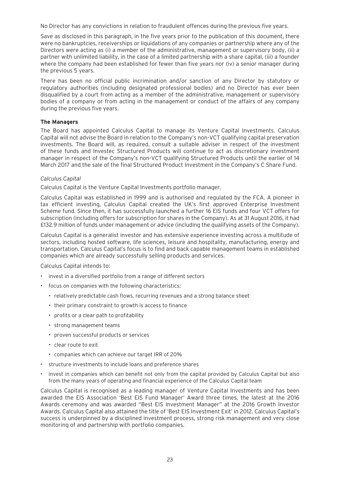No Director has any convictions in relation to fraudulent offences during the previous five years.

Save as disclosed in this paragraph, in the five years prior to the publication of this document, there were no bankruptcies, receiverships or liquidations of any companies or partnership where any of the Directors were acting as (i) a member of the administrative, management or supervisory body, (ii) a partner with unlimited liability, in the case of a limited partnership with a share capital, (iii) a founder where the company had been established for fewer than five years nor (iv) a senior manager during the previous 5 years.

There has been no official public incrimination and/or sanction of any Director by statutory or regulatory authorities (including designated professional bodies) and no Director has ever been disqualified by a court from acting as a member of the administrative, management or supervisory bodies of a company or from acting in the management or conduct of the affairs of any company during the previous five years.

#### **The Managers**

The Board has appointed Calculus Capital to manage its Venture Capital Investments. Calculus Capital will not advise the Board in relation to the Company's non-VCT qualifying capital preservation investments. The Board will, as required, consult a suitable adviser in respect of the investment of these funds and Investec Structured Products will continue to act as discretionary investment manager in respect of the Company's non-VCT qualifying Structured Products until the earlier of 14 March 2017 and the sale of the final Structured Product Investment in the Company's C Share Fund.

#### *Calculus Capital*

Calculus Capital is the Venture Capital Investments portfolio manager.

Calculus Capital was established in 1999 and is authorised and regulated by the FCA. A pioneer in tax efficient investing, Calculus Capital created the UK's first approved Enterprise Investment Scheme fund. Since then, it has successfully launched a further 16 EIS funds and four VCT offers for subscription (including offers for subscription for shares in the Company). As at 31 August 2016, it had £132.9 million of funds under management or advice (including the qualifying assets of the Company).

Calculus Capital is a generalist investor and has extensive experience investing across a multitude of sectors, including hosted software, life sciences, leisure and hospitality, manufacturing, energy and transportation. Calculus Capital's focus is to find and back capable management teams in established companies which are already successfully selling products and services.

Calculus Capital intends to:

- invest in a diversified portfolio from a range of different sectors
- focus on companies with the following characteristics:
	- relatively predictable cash flows, recurring revenues and a strong balance sheet
	- their primary constraint to growth is access to finance
	- profits or a clear path to profitability
	- strong management teams
	- proven successful products or services
	- clear route to exit
	- companies which can achieve our target IRR of 20%
- structure investments to include loans and preference shares
- invest in companies which can benefit not only from the capital provided by Calculus Capital but also from the many years of operating and financial experience of the Calculus Capital team

Calculus Capital is recognised as a leading manager of Venture Capital Investments and has been awarded the EIS Association 'Best EIS Fund Manager' Award three times, the latest at the 2016 Awards ceremony and was awarded "Best EIS Investment Manager" at the 2016 Growth Investor Awards. Calculus Capital also attained the title of 'Best EIS Investment Exit' in 2012. Calculus Capital's success is underpinned by a disciplined investment process, strong risk management and very close monitoring of and partnership with portfolio companies.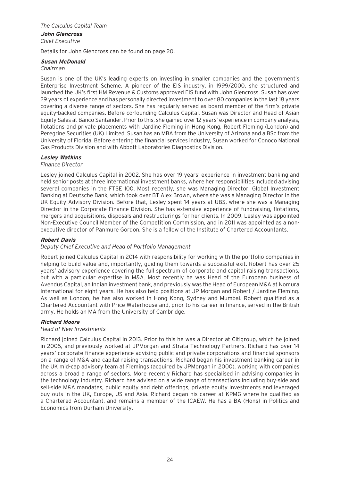#### *The Calculus Capital Team* **John Glencross** *Chief Executive*

Details for John Glencross can be found on page 20.

#### **Susan McDonald**

#### *Chairman*

Susan is one of the UK's leading experts on investing in smaller companies and the government's Enterprise Investment Scheme. A pioneer of the EIS industry, in 1999/2000, she structured and launched the UK's first HM Revenue & Customs approved EIS fund with John Glencross. Susan has over 29 years of experience and has personally directed investment to over 80 companies in the last 18 years covering a diverse range of sectors. She has regularly served as board member of the firm's private equity-backed companies. Before co-founding Calculus Capital, Susan was Director and Head of Asian Equity Sales at Banco Santander. Prior to this, she gained over 12 years' experience in company analysis, flotations and private placements with Jardine Fleming in Hong Kong, Robert Fleming (London) and Peregrine Securities (UK) Limited. Susan has an MBA from the University of Arizona and a BSc from the University of Florida. Before entering the financial services industry, Susan worked for Conoco National Gas Products Division and with Abbott Laboratories Diagnostics Division.

#### **Lesley Watkins**

#### *Finance Director*

Lesley joined Calculus Capital in 2002. She has over 19 years' experience in investment banking and held senior posts at three international investment banks, where her responsibilities included advising several companies in the FTSE 100. Most recently, she was Managing Director, Global Investment Banking at Deutsche Bank, which took over BT Alex Brown, where she was a Managing Director in the UK Equity Advisory Division. Before that, Lesley spent 14 years at UBS, where she was a Managing Director in the Corporate Finance Division. She has extensive experience of fundraising, flotations, mergers and acquisitions, disposals and restructurings for her clients. In 2009, Lesley was appointed Non-Executive Council Member of the Competition Commission, and in 2011 was appointed as a nonexecutive director of Panmure Gordon. She is a fellow of the Institute of Chartered Accountants.

#### **Robert Davis**

#### *Deputy Chief Executive and Head of Portfolio Management*

Robert joined Calculus Capital in 2014 with responsibility for working with the portfolio companies in helping to build value and, importantly, guiding them towards a successful exit. Robert has over 25 years' advisory experience covering the full spectrum of corporate and capital raising transactions, but with a particular expertise in M&A. Most recently he was Head of the European business of Avendus Capital, an Indian investment bank, and previously was the Head of European M&A at Nomura International for eight years. He has also held positions at JP Morgan and Robert / Jardine Fleming. As well as London, he has also worked in Hong Kong, Sydney and Mumbai. Robert qualified as a Chartered Accountant with Price Waterhouse and, prior to his career in finance, served in the British army. He holds an MA from the University of Cambridge.

#### **Richard Moore**

#### *Head of New Investments*

Richard joined Calculus Capital in 2013. Prior to this he was a Director at Citigroup, which he joined in 2005, and previously worked at JPMorgan and Strata Technology Partners. Richard has over 14 years' corporate finance experience advising public and private corporations and financial sponsors on a range of M&A and capital raising transactions. Richard began his investment banking career in the UK mid-cap advisory team at Flemings (acquired by JPMorgan in 2000), working with companies across a broad a range of sectors. More recently Richard has specialised in advising companies in the technology industry. Richard has advised on a wide range of transactions including buy-side and sell-side M&A mandates, public equity and debt offerings, private equity investments and leveraged buy outs in the UK, Europe, US and Asia. Richard began his career at KPMG where he qualified as a Chartered Accountant, and remains a member of the ICAEW. He has a BA (Hons) in Politics and Economics from Durham University.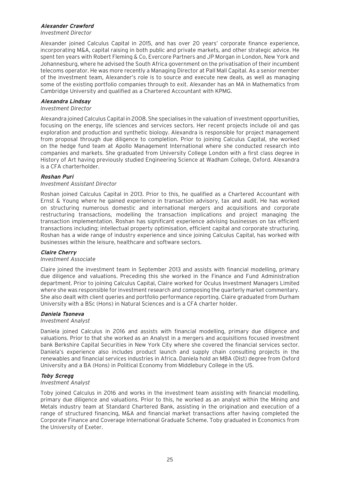#### **Alexander Crawford**

*Investment Director*

Alexander joined Calculus Capital in 2015, and has over 20 years' corporate finance experience, incorporating M&A, capital raising in both public and private markets, and other strategic advice. He spent ten years with Robert Fleming & Co, Evercore Partners and JP Morgan in London, New York and Johannesburg, where he advised the South Africa government on the privatisation of their incumbent telecoms operator. He was more recently a Managing Director at Pall Mall Capital. As a senior member of the investment team, Alexander's role is to source and execute new deals, as well as managing some of the existing portfolio companies through to exit. Alexander has an MA in Mathematics from Cambridge University and qualified as a Chartered Accountant with KPMG.

#### **Alexandra Lindsay**

#### *Investment Director*

Alexandra joined Calculus Capital in 2008. She specialises in the valuation of investment opportunities, focusing on the energy, life sciences and services sectors. Her recent projects include oil and gas exploration and production and synthetic biology. Alexandra is responsible for project management from proposal through due diligence to completion. Prior to joining Calculus Capital, she worked on the hedge fund team at Apollo Management International where she conducted research into companies and markets. She graduated from University College London with a first class degree in History of Art having previously studied Engineering Science at Wadham College, Oxford. Alexandra is a CFA charterholder.

#### **Roshan Puri**

#### *Investment Assistant Director*

Roshan joined Calculus Capital in 2013. Prior to this, he qualified as a Chartered Accountant with Ernst & Young where he gained experience in transaction advisory, tax and audit. He has worked on structuring numerous domestic and international mergers and acquisitions and corporate restructuring transactions, modelling the transaction implications and project managing the transaction implementation. Roshan has significant experience advising businesses on tax efficient transactions including; intellectual property optimisation, efficient capital and corporate structuring. Roshan has a wide range of industry experience and since joining Calculus Capital, has worked with businesses within the leisure, healthcare and software sectors.

#### **Claire Cherry**

#### *Investment Associate*

Claire joined the investment team in September 2013 and assists with financial modelling, primary due diligence and valuations. Preceding this she worked in the Finance and Fund Administration department. Prior to joining Calculus Capital, Claire worked for Oculus Investment Managers Limited where she was responsible for investment research and composing the quarterly market commentary. She also dealt with client queries and portfolio performance reporting. Claire graduated from Durham University with a BSc (Hons) in Natural Sciences and is a CFA charter holder.

#### **Daniela Tsoneva**

#### *Investment Analyst*

Daniela joined Calculus in 2016 and assists with financial modelling, primary due diligence and valuations. Prior to that she worked as an Analyst in a mergers and acquisitions focused investment bank Berkshire Capital Securities in New York City where she covered the financial services sector. Daniela's experience also includes product launch and supply chain consulting projects in the renewables and financial services industries in Africa. Daniela hold an MBA (Dist) degree from Oxford University and a BA (Hons) in Political Economy from Middlebury College in the US.

#### **Toby Scregg**

#### *Investment Analyst*

Toby joined Calculus in 2016 and works in the investment team assisting with financial modelling, primary due diligence and valuations. Prior to this, he worked as an analyst within the Mining and Metals industry team at Standard Chartered Bank, assisting in the origination and execution of a range of structured financing, M&A and financial market transactions after having completed the Corporate Finance and Coverage International Graduate Scheme. Toby graduated in Economics from the University of Exeter.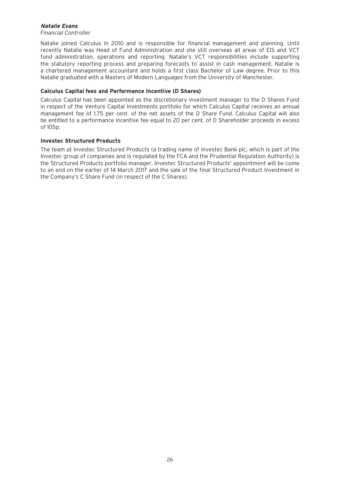#### **Natalie Evans**

#### *Financial Controller*

Natalie joined Calculus in 2010 and is responsible for financial management and planning. Until recently Natalie was Head of Fund Administration and she still overseas all areas of EIS and VCT fund administration, operations and reporting. Natalie's VCT responsibilities include supporting the statutory reporting process and preparing forecasts to assist in cash management. Natalie is a chartered management accountant and holds a first class Bachelor of Law degree. Prior to this Natalie graduated with a Masters of Modern Languages from the University of Manchester.

#### **Calculus Capital fees and Performance Incentive (D Shares)**

Calculus Capital has been appointed as the discretionary investment manager to the D Shares Fund in respect of the Venture Capital Investments portfolio for which Calculus Capital receives an annual management fee of 1.75 per cent. of the net assets of the D Share Fund. Calculus Capital will also be entitled to a performance incentive fee equal to 20 per cent. of D Shareholder proceeds in excess of 105p.

#### **Investec Structured Products**

The team at Investec Structured Products (a trading name of Investec Bank plc, which is part of the Investec group of companies and is regulated by the FCA and the Prudential Regulation Authority) is the Structured Products portfolio manager. Investec Structured Products' appointment will be come to an end on the earlier of 14 March 2017 and the sale of the final Structured Product Investment in the Company's C Share Fund (in respect of the C Shares).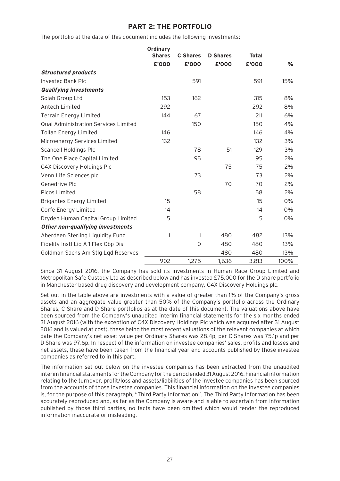# **PART 2: THE PORTFOLIO**

The portfolio at the date of this document includes the following investments:

|                                      | Ordinary      |                 |                 |              |               |
|--------------------------------------|---------------|-----------------|-----------------|--------------|---------------|
|                                      | <b>Shares</b> | <b>C</b> Shares | <b>D</b> Shares | <b>Total</b> |               |
|                                      | £'000         | £'000           | £'000           | £'000        | $\frac{0}{0}$ |
| <b>Structured products</b>           |               |                 |                 |              |               |
| <b>Investec Bank Plc</b>             |               | 591             |                 | 591          | 15%           |
| <b>Qualifying investments</b>        |               |                 |                 |              |               |
| Solab Group Ltd                      | 153           | 162             |                 | 315          | 8%            |
| Antech Limited                       | 292           |                 |                 | 292          | 8%            |
| <b>Terrain Energy Limited</b>        | 144           | 67              |                 | 211          | 6%            |
| Quai Administration Services Limited |               | 150             |                 | 150          | 4%            |
| <b>Tollan Energy Limited</b>         | 146           |                 |                 | 146          | 4%            |
| Microenergy Services Limited         | 132           |                 |                 | 132          | 3%            |
| Scancell Holdings Plc                |               | 78              | 51              | 129          | 3%            |
| The One Place Capital Limited        |               | 95              |                 | 95           | 2%            |
| C4X Discovery Holdings Plc           |               |                 | 75              | 75           | 2%            |
| Venn Life Sciences plc               |               | 73              |                 | 73           | 2%            |
| Genedrive Plc                        |               |                 | 70              | 70           | 2%            |
| Picos Limited                        |               | 58              |                 | 58           | 2%            |
| <b>Brigantes Energy Limited</b>      | 15            |                 |                 | 15           | 0%            |
| Corfe Energy Limited                 | 14            |                 |                 | 14           | 0%            |
| Dryden Human Capital Group Limited   | 5             |                 |                 | 5            | 0%            |
| Other non-qualifying investments     |               |                 |                 |              |               |
| Aberdeen Sterling Liquidity Fund     | 1             | $\mathbf{1}$    | 480             | 482          | 13%           |
| Fidelity Instl Liq A 1 Flex Gbp Dis  |               | $\circ$         | 480             | 480          | 13%           |
| Goldman Sachs Am Stlg Lgd Reserves   |               |                 | 480             | 480          | 13%           |
|                                      | 902           | 1,275           | 1,636           | 3,813        | 100%          |

Since 31 August 2016, the Company has sold its investments in Human Race Group Limited and Metropolitan Safe Custody Ltd as described below and has invested £75,000 for the D share portfolio in Manchester based drug discovery and development company, C4X Discovery Holdings plc.

Set out in the table above are investments with a value of greater than 1% of the Company's gross assets and an aggregate value greater than 50% of the Company's portfolio across the Ordinary Shares, C Share and D Share portfolios as at the date of this document. The valuations above have been sourced from the Company's unaudited interim financial statements for the six months ended 31 August 2016 (with the exception of C4X Discovery Holdings Plc which was acquired after 31 August 2016 and is valued at cost), these being the most recent valuations of the relevant companies at which date the Company's net asset value per Ordinary Shares was 28.4p, per C Shares was 75.1p and per D Share was 97.6p. In respect of the information on investee companies' sales, profits and losses and net assets, these have been taken from the financial year end accounts published by those investee companies as referred to in this part.

The information set out below on the investee companies has been extracted from the unaudited interim financial statements for the Company for the period ended 31 August 2016. Financial information relating to the turnover, profit/loss and assets/liabilities of the investee companies has been sourced from the accounts of those investee companies. This financial information on the investee companies is, for the purpose of this paragraph, "Third Party Information". The Third Party Information has been accurately reproduced and, as far as the Company is aware and is able to ascertain from information published by those third parties, no facts have been omitted which would render the reproduced information inaccurate or misleading.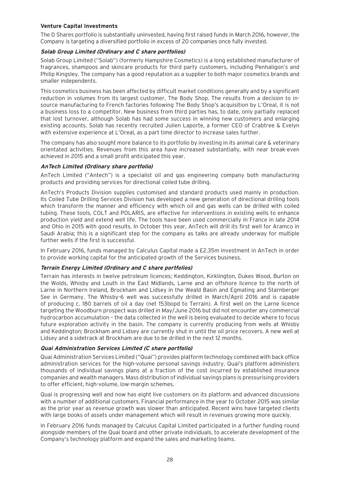#### **Venture Capital Investments**

The D Shares portfolio is substantially uninvested, having first raised funds in March 2016, however, the Company is targeting a diversified portfolio in excess of 20 companies once fully invested.

#### **Solab Group Limited (Ordinary and C share portfolios)**

Solab Group Limited ("Solab") (formerly Hampshire Cosmetics) is a long established manufacturer of fragrances, shampoos and skincare products for third party customers, including Penhaligon's and Philip Kingsley. The company has a good reputation as a supplier to both major cosmetics brands and smaller independents.

This cosmetics business has been affected by difficult market conditions generally and by a significant reduction in volumes from its largest customer, The Body Shop. The results from a decision to insource manufacturing to French factories following The Body Shop's acquisition by L'Oreal, it is not a business loss to a competitor. New business from third parties has, to date, only partially replaced that lost turnover, although Solab has had some success in winning new customers and enlarging existing accounts. Solab has recently recruited Julien Laporte, a former CEO of Crabtree & Evelyn with extensive experience at L'Oreal, as a part time director to increase sales further.

The company has also sought more balance to its portfolio by investing in its animal care & veterinary orientated activities. Revenues from this area have increased substantially, with near break-even achieved in 2015 and a small profit anticipated this year.

#### **AnTech Limited (Ordinary share portfolio)**

AnTech Limited ("Antech") is a specialist oil and gas engineering company both manufacturing products and providing services for directional coiled tube drilling.

AnTech's Products Division supplies customised and standard products used mainly in production. Its Coiled Tube Drilling Services Division has developed a new generation of directional drilling tools which transform the manner and efficiency with which oil and gas wells can be drilled with coiled tubing. These tools, COLT and POLARIS, are effective for interventions in existing wells to enhance production yield and extend well life. The tools have been used commercially in France in late 2014 and Ohio in 2015 with good results. In October this year, AnTech will drill its first well for Aramco in Saudi Arabia; this is a significant step for the company as talks are already underway for multiple further wells if the first is successful.

In February 2016, funds managed by Calculus Capital made a £2.35m investment in AnTech in order to provide working capital for the anticipated growth of the Services business.

#### **Terrain Energy Limited (Ordinary and C share portfolios)**

Terrain has interests in twelve petroleum licences; Keddington, Kirklington, Dukes Wood, Burton on the Wolds, Whisby and Louth in the East Midlands, Larne and an offshore licence to the north of Larne in Northern Ireland, Brockham and Lidsey in the Weald Basin and Egmating and Starnberger See in Germany. The Whisby-6 well was successfully drilled in March/April 2016 and is capable of producing c. 180 barrels of oil a day (net 153bopd to Terrain). A first well on the Larne licence targeting the Woodburn prospect was drilled in May/June 2016 but did not encounter any commercial hydrocarbon accumulation – the data collected in the well is being evaluated to decide where to focus future exploration activity in the basin. The company is currently producing from wells at Whisby and Keddington; Brockham and Lidsey are currently shut in until the oil price recovers. A new well at Lidsey and a sidetrack at Brockham are due to be drilled in the next 12 months.

#### **Quai Administration Services Limited (C share portfolio)**

Quai Administration Services Limited ("Quai") provides platform technology combined with back office administration services for the high-volume personal savings industry. Quai's platform administers thousands of individual savings plans at a fraction of the cost incurred by established insurance companies and wealth managers. Mass distribution of individual savings plans is pressurising providers to offer efficient, high-volume, low-margin schemes.

Quai is progressing well and now has eight live customers on its platform and advanced discussions with a number of additional customers. Financial performance in the year to October 2015 was similar as the prior year as revenue growth was slower than anticipated. Recent wins have targeted clients with large books of assets under management which will result in revenues growing more quickly.

In February 2016 funds managed by Calculus Capital Limited participated in a further funding round alongside members of the Quai board and other private individuals, to accelerate development of the Company's technology platform and expand the sales and marketing teams.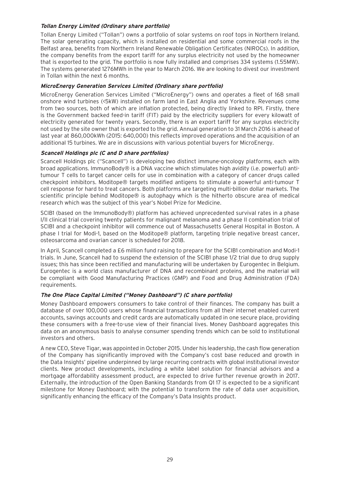#### **Tollan Energy Limited (Ordinary share portfolio)**

Tollan Energy Limited ("Tollan") owns a portfolio of solar systems on roof tops in Northern Ireland. The solar generating capacity, which is installed on residential and some commercial roofs in the Belfast area, benefits from Northern Ireland Renewable Obligation Certificates (NIROCs). In addition, the company benefits from the export tariff for any surplus electricity not used by the homeowner that is exported to the grid. The portfolio is now fully installed and comprises 334 systems (1.55MW). The systems generated 1276MWh in the year to March 2016. We are looking to divest our investment in Tollan within the next 6 months.

#### **MicroEnergy Generation Services Limited (Ordinary share portfolio)**

MicroEnergy Generation Services Limited ("MicroEnergy") owns and operates a fleet of 168 small onshore wind turbines (<5kW) installed on farm land in East Anglia and Yorkshire. Revenues come from two sources, both of which are inflation protected, being directly linked to RPI. Firstly, there is the Government backed feed-in tariff (FIT) paid by the electricity suppliers for every kilowatt of electricity generated for twenty years. Secondly, there is an export tariff for any surplus electricity not used by the site owner that is exported to the grid. Annual generation to 31 March 2016 is ahead of last year at 860,000kWh (2015: 640,000) this reflects improved operations and the acquisition of an additional 15 turbines. We are in discussions with various potential buyers for MicroEnergy.

#### **Scancell Holdings plc (C and D share portfolios)**

Scancell Holdings plc ("Scancell") is developing two distinct immune-oncology platforms, each with broad applications. ImmunoBody® is a DNA vaccine which stimulates high avidity (i.e. powerful) antitumour T cells to target cancer cells for use in combination with a category of cancer drugs called checkpoint inhibitors. Moditope® targets modified antigens to stimulate a powerful anti-tumour T cell response for hard to treat cancers. Both platforms are targeting multi-billion dollar markets. The scientific principle behind Moditope® is autophagy which is the hitherto obscure area of medical research which was the subject of this year's Nobel Prize for Medicine.

SCIB1 (based on the ImmunoBody®) platform has achieved unprecedented survival rates in a phase I/II clinical trial covering twenty patients for malignant melanoma and a phase II combination trial of SCIB1 and a checkpoint inhibitor will commence out of Massachusetts General Hospital in Boston. A phase I trial for Modi-1, based on the Moditope® platform, targeting triple negative breast cancer, osteosarcoma and ovarian cancer is scheduled for 2018.

In April, Scancell completed a £6 million fund raising to prepare for the SCIB1 combination and Modi-1 trials. In June, Scancell had to suspend the extension of the SCIB1 phase 1/2 trial due to drug supply issues; this has since been rectified and manufacturing will be undertaken by Eurogentec in Belgium. Eurogentec is a world class manufacturer of DNA and recombinant proteins, and the material will be compliant with Good Manufacturing Practices (GMP) and Food and Drug Administration (FDA) requirements.

#### **The One Place Capital Limited ("Money Dashboard") (C share portfolio)**

Money Dashboard empowers consumers to take control of their finances. The company has built a database of over 100,000 users whose financial transactions from all their internet enabled current accounts, savings accounts and credit cards are automatically updated in one secure place, providing these consumers with a free-to-use view of their financial lives. Money Dashboard aggregates this data on an anonymous basis to analyse consumer spending trends which can be sold to institutional investors and others.

A new CEO, Steve Tigar, was appointed in October 2015. Under his leadership, the cash flow generation of the Company has significantly improved with the Company's cost base reduced and growth in the Data Insights' pipeline underpinned by large recurring contracts with global institutional investor clients. New product developments, including a white label solution for financial advisors and a mortgage affordability assessment product, are expected to drive further revenue growth in 2017. Externally, the introduction of the Open Banking Standards from Q1 17 is expected to be a significant milestone for Money Dashboard; with the potential to transform the rate of data user acquisition, significantly enhancing the efficacy of the Company's Data Insights product.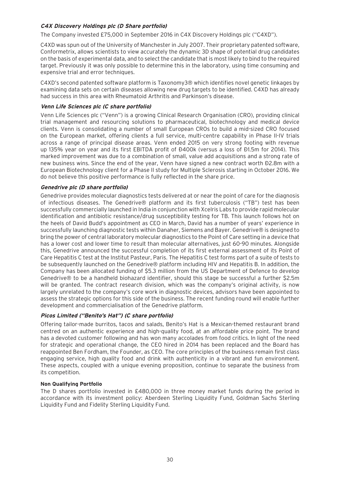#### **C4X Discovery Holdings plc (D Share portfolio)**

The Company invested £75,000 in September 2016 in C4X Discovery Holdings plc ("C4XD").

C4XD was spun out of the University of Manchester in July 2007. Their proprietary patented software, Conformetrix, allows scientists to view accurately the dynamic 3D shape of potential drug candidates on the basis of experimental data, and to select the candidate that is most likely to bind to the required target. Previously it was only possible to determine this in the laboratory, using time consuming and expensive trial and error techniques.

C4XD's second patented software platform is Taxonomy3® which identifies novel genetic linkages by examining data sets on certain diseases allowing new drug targets to be identified. C4XD has already had success in this area with Rheumatoid Arthritis and Parkinson's disease.

#### **Venn Life Sciences plc (C share portfolio)**

Venn Life Sciences plc ("Venn") is a growing Clinical Research Organisation (CRO), providing clinical trial management and resourcing solutions to pharmaceutical, biotechnology and medical device clients. Venn is consolidating a number of small European CROs to build a mid-sized CRO focused on the European market, offering clients a full service, multi-centre capability in Phase II-IV trials across a range of principal disease areas. Venn ended 2015 on very strong footing with revenue up 135% year on year and its first EBITDA profit of Đ400k (versus a loss of Đ1.5m for 2014). This marked improvement was due to a combination of small, value add acquisitions and a strong rate of new business wins. Since the end of the year, Venn have signed a new contract worth Đ2.8m with a European Biotechnology client for a Phase II study for Multiple Sclerosis starting in October 2016. We do not believe this positive performance is fully reflected in the share price.

#### **Genedrive plc (D share portfolio)**

Genedrive provides molecular diagnostics tests delivered at or near the point of care for the diagnosis of infectious diseases. The Genedrive® platform and its first tuberculosis ("TB") test has been successfully commercially launched in India in conjunction with Xcelris Labs to provide rapid molecular identification and antibiotic resistance/drug susceptibility testing for TB. This launch follows hot on the heels of David Budd's appointment as CEO in March, David has a number of years' experience in successfully launching diagnostic tests within Danaher, Siemens and Bayer. Genedrive® is designed to bring the power of central laboratory molecular diagnostics to the Point of Care setting in a device that has a lower cost and lower time to result than molecular alternatives, just 60-90 minutes. Alongside this, Genedrive announced the successful completion of its first external assessment of its Point of Care Hepatitis C test at the Institut Pasteur, Paris. The Hepatitis C test forms part of a suite of tests to be subsequently launched on the Genedrive® platform including HIV and Hepatitis B. In addition, the Company has been allocated funding of \$5.3 million from the US Department of Defence to develop Genedrive® to be a handheld biohazard identifier, should this stage be successful a further \$2.5m will be granted. The contract research division, which was the company's original activity, is now largely unrelated to the company's core work in diagnostic devices, advisors have been appointed to assess the strategic options for this side of the business. The recent funding round will enable further development and commercialisation of the Genedrive platform.

#### **Picos Limited ("Benito's Hat") (C share portfolio)**

Offering tailor-made burritos, tacos and salads, Benito's Hat is a Mexican-themed restaurant brand centred on an authentic experience and high-quality food, at an affordable price point. The brand has a devoted customer following and has won many accolades from food critics. In light of the need for strategic and operational change, the CEO hired in 2014 has been replaced and the Board has reappointed Ben Fordham, the Founder, as CEO. The core principles of the business remain first class engaging service, high quality food and drink with authenticity in a vibrant and fun environment. These aspects, coupled with a unique evening proposition, continue to separate the business from its competition.

#### **Non Qualifying Portfolio**

The D shares portfolio invested in £480,000 in three money market funds during the period in accordance with its investment policy: Aberdeen Sterling Liquidity Fund, Goldman Sachs Sterling Liquidity Fund and Fidelity Sterling Liquidity Fund.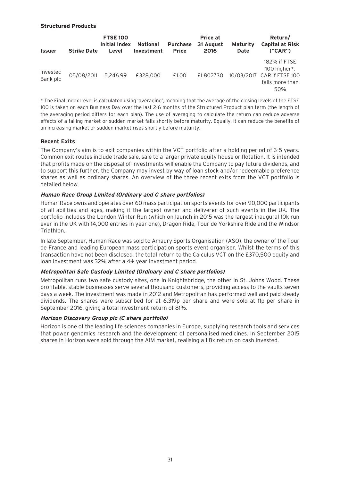#### **Structured Products**

| <b>Issuer</b>        | <b>Strike Date</b> | <b>FTSE 100</b><br>Initial Index<br>Level | Notional<br>Investment | <b>Purchase</b><br><b>Price</b> | Price at<br>31 August<br>2016 | <b>Maturity</b><br><b>Date</b> | Return/<br><b>Capital at Risk</b><br>(''CAR'')                                       |
|----------------------|--------------------|-------------------------------------------|------------------------|---------------------------------|-------------------------------|--------------------------------|--------------------------------------------------------------------------------------|
| Investec<br>Bank plc | 05/08/2011         | 5,246.99                                  | £328,000               | £1.00                           | £1.802730                     |                                | 182% if FTSE<br>100 higher*;<br>10/03/2017 CAR if FTSE 100<br>falls more than<br>50% |

\* The Final Index Level is calculated using 'averaging', meaning that the average of the closing levels of the FTSE 100 is taken on each Business Day over the last 2-6 months of the Structured Product plan term (the length of the averaging period differs for each plan). The use of averaging to calculate the return can reduce adverse effects of a falling market or sudden market falls shortly before maturity. Equally, it can reduce the benefits of an increasing market or sudden market rises shortly before maturity.

#### **Recent Exits**

The Company's aim is to exit companies within the VCT portfolio after a holding period of 3-5 years. Common exit routes include trade sale, sale to a larger private equity house or flotation. It is intended that profits made on the disposal of investments will enable the Company to pay future dividends, and to support this further, the Company may invest by way of loan stock and/or redeemable preference shares as well as ordinary shares. An overview of the three recent exits from the VCT portfolio is detailed below.

#### **Human Race Group Limited (Ordinary and C share portfolios)**

Human Race owns and operates over 60 mass participation sports events for over 90,000 participants of all abilities and ages, making it the largest owner and deliverer of such events in the UK. The portfolio includes the London Winter Run (which on launch in 2015 was the largest inaugural 10k run ever in the UK with 14,000 entries in year one), Dragon Ride, Tour de Yorkshire Ride and the Windsor Triathlon.

In late September, Human Race was sold to Amaury Sports Organisation (ASO), the owner of the Tour de France and leading European mass participation sports event organiser. Whilst the terms of this transaction have not been disclosed, the total return to the Calculus VCT on the £370,500 equity and loan investment was 32% after a 4½ year investment period.

#### **Metropolitan Safe Custody Limited (Ordinary and C share portfolios)**

Metropolitan runs two safe custody sites, one in Knightsbridge, the other in St. Johns Wood. These profitable, stable businesses serve several thousand customers, providing access to the vaults seven days a week. The investment was made in 2012 and Metropolitan has performed well and paid steady dividends. The shares were subscribed for at 6.319p per share and were sold at 11p per share in September 2016, giving a total investment return of 81%.

#### **Horizon Discovery Group plc (C share portfolio)**

Horizon is one of the leading life sciences companies in Europe, supplying research tools and services that power genomics research and the development of personalised medicines. In September 2015 shares in Horizon were sold through the AIM market, realising a 1.8x return on cash invested.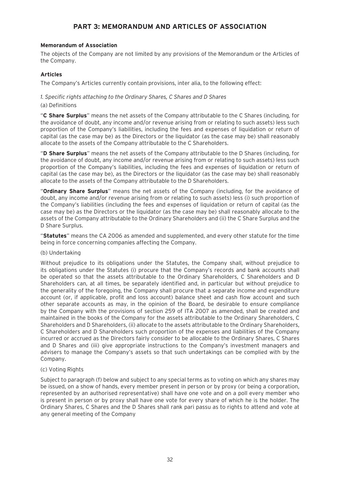# **PART 3: MEMORANDUM AND ARTICLES OF ASSOCIATION**

#### **Memorandum of Association**

The objects of the Company are not limited by any provisions of the Memorandum or the Articles of the Company.

#### **Articles**

The Company's Articles currently contain provisions, inter alia, to the following effect:

#### *1. Specific rights attaching to the Ordinary Shares, C Shares and D Shares*

(a) Definitions

"**C Share Surplus**" means the net assets of the Company attributable to the C Shares (including, for the avoidance of doubt, any income and/or revenue arising from or relating to such assets) less such proportion of the Company's liabilities, including the fees and expenses of liquidation or return of capital (as the case may be) as the Directors or the liquidator (as the case may be) shall reasonably allocate to the assets of the Company attributable to the C Shareholders.

"**D Share Surplus**" means the net assets of the Company attributable to the D Shares (including, for the avoidance of doubt, any income and/or revenue arising from or relating to such assets) less such proportion of the Company's liabilities, including the fees and expenses of liquidation or return of capital (as the case may be), as the Directors or the liquidator (as the case may be) shall reasonably allocate to the assets of the Company attributable to the D Shareholders.

"**Ordinary Share Surplus**" means the net assets of the Company (including, for the avoidance of doubt, any income and/or revenue arising from or relating to such assets) less (i) such proportion of the Company's liabilities (including the fees and expenses of liquidation or return of capital (as the case may be) as the Directors or the liquidator (as the case may be) shall reasonably allocate to the assets of the Company attributable to the Ordinary Shareholders and (ii) the C Share Surplus and the D Share Surplus.

"**Statutes**" means the CA 2006 as amended and supplemented, and every other statute for the time being in force concerning companies affecting the Company.

#### (b) Undertaking

Without prejudice to its obligations under the Statutes, the Company shall, without prejudice to its obligations under the Statutes (i) procure that the Company's records and bank accounts shall be operated so that the assets attributable to the Ordinary Shareholders, C Shareholders and D Shareholders can, at all times, be separately identified and, in particular but without prejudice to the generality of the foregoing, the Company shall procure that a separate income and expenditure account (or, if applicable, profit and loss account) balance sheet and cash flow account and such other separate accounts as may, in the opinion of the Board, be desirable to ensure compliance by the Company with the provisions of section 259 of ITA 2007 as amended, shall be created and maintained in the books of the Company for the assets attributable to the Ordinary Shareholders, C Shareholders and D Shareholders, (ii) allocate to the assets attributable to the Ordinary Shareholders, C Shareholders and D Shareholders such proportion of the expenses and liabilities of the Company incurred or accrued as the Directors fairly consider to be allocable to the Ordinary Shares, C Shares and D Shares and (iii) give appropriate instructions to the Company's investment managers and advisers to manage the Company's assets so that such undertakings can be complied with by the Company.

#### (c) Voting Rights

Subject to paragraph (f) below and subject to any special terms as to voting on which any shares may be issued, on a show of hands, every member present in person or by proxy (or being a corporation, represented by an authorised representative) shall have one vote and on a poll every member who is present in person or by proxy shall have one vote for every share of which he is the holder. The Ordinary Shares, C Shares and the D Shares shall rank pari passu as to rights to attend and vote at any general meeting of the Company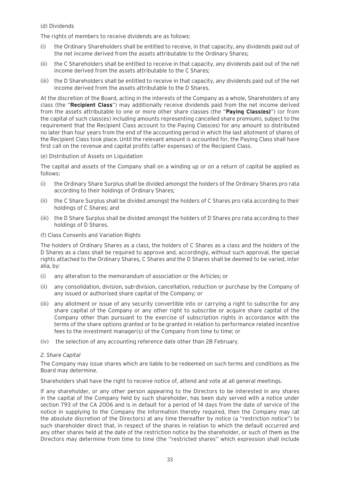#### (d) Dividends

The rights of members to receive dividends are as follows:

- (i) the Ordinary Shareholders shall be entitled to receive, in that capacity, any dividends paid out of the net income derived from the assets attributable to the Ordinary Shares;
- (ii) the C Shareholders shall be entitled to receive in that capacity, any dividends paid out of the net income derived from the assets attributable to the C Shares;
- (iii) the D Shareholders shall be entitled to receive in that capacity, any dividends paid out of the net income derived from the assets attributable to the D Shares.

At the discretion of the Board, acting in the interests of the Company as a whole, Shareholders of any class (the "**Recipient Class**") may additionally receive dividends paid from the net income derived from the assets attributable to one or more other share classes (the "**Paying Class(es)**") (or from the capital of such class(es) including amounts representing cancelled share premium), subject to the requirement that the Recipient Class account to the Paying Class(es) for any amount so distributed no later than four years from the end of the accounting period in which the last allotment of shares of the Recipient Class took place. Until the relevant amount is accounted for, the Paying Class shall have first call on the revenue and capital profits (after expenses) of the Recipient Class.

#### (e) Distribution of Assets on Liquidation

The capital and assets of the Company shall on a winding up or on a return of capital be applied as follows:

- (i) the Ordinary Share Surplus shall be divided amongst the holders of the Ordinary Shares pro rata according to their holdings of Ordinary Shares;
- (ii) the C Share Surplus shall be divided amongst the holders of C Shares pro rata according to their holdings of C Shares; and
- (iii) the D Share Surplus shall be divided amongst the holders of D Shares pro rata according to their holdings of D Shares.
- (f) Class Consents and Variation Rights

The holders of Ordinary Shares as a class, the holders of C Shares as a class and the holders of the D Shares as a class shall be required to approve and, accordingly, without such approval, the special rights attached to the Ordinary Shares, C Shares and the D Shares shall be deemed to be varied, inter alia, by:

- (i) any alteration to the memorandum of association or the Articles; or
- (ii) any consolidation, division, sub-division, cancellation, reduction or purchase by the Company of any issued or authorised share capital of the Company; or
- (iii) any allotment or issue of any security convertible into or carrying a right to subscribe for any share capital of the Company or any other right to subscribe or acquire share capital of the Company other than pursuant to the exercise of subscription rights in accordance with the terms of the share options granted or to be granted in relation to performance related incentive fees to the investment manager(s) of the Company from time to time; or
- (iv) the selection of any accounting reference date other than 28 February.

#### *2. Share Capital*

The Company may issue shares which are liable to be redeemed on such terms and conditions as the Board may determine.

Shareholders shall have the right to receive notice of, attend and vote at all general meetings.

If any shareholder, or any other person appearing to the Directors to be interested in any shares in the capital of the Company held by such shareholder, has been duly served with a notice under section 793 of the CA 2006 and is in default for a period of 14 days from the date of service of the notice in supplying to the Company the information thereby required, then the Company may (at the absolute discretion of the Directors) at any time thereafter by notice (a ''restriction notice'') to such shareholder direct that, in respect of the shares in relation to which the default occurred and any other shares held at the date of the restriction notice by the shareholder, or such of them as the Directors may determine from time to time (the ''restricted shares'' which expression shall include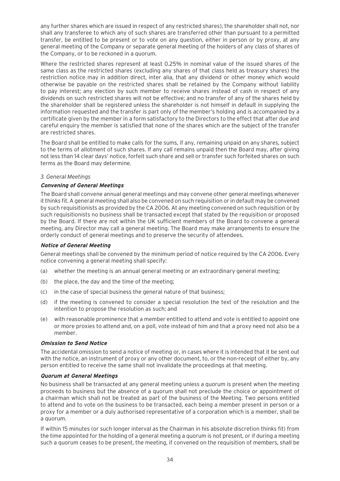any further shares which are issued in respect of any restricted shares), the shareholder shall not, nor shall any transferee to which any of such shares are transferred other than pursuant to a permitted transfer, be entitled to be present or to vote on any question, either in person or by proxy, at any general meeting of the Company or separate general meeting of the holders of any class of shares of the Company, or to be reckoned in a quorum.

Where the restricted shares represent at least 0.25% in nominal value of the issued shares of the same class as the restricted shares (excluding any shares of that class held as treasury shares) the restriction notice may in addition direct, inter alia, that any dividend or other money which would otherwise be payable on the restricted shares shall be retained by the Company without liability to pay interest; any election by such member to receive shares instead of cash in respect of any dividends on such restricted shares will not be effective; and no transfer of any of the shares held by the shareholder shall be registered unless the shareholder is not himself in default in supplying the information requested and the transfer is part only of the member's holding and is accompanied by a certificate given by the member in a form satisfactory to the Directors to the effect that after due and careful enquiry the member is satisfied that none of the shares which are the subject of the transfer are restricted shares.

The Board shall be entitled to make calls for the sums, if any, remaining unpaid on any shares, subject to the terms of allotment of such shares. If any call remains unpaid then the Board may, after giving not less than 14 clear days' notice, forfeit such share and sell or transfer such forfeited shares on such terms as the Board may determine.

#### *3. General Meetings*

#### **Convening of General Meetings**

The Board shall convene annual general meetings and may convene other general meetings whenever it thinks fit. A general meeting shall also be convened on such requisition or in default may be convened by such requisitionists as provided by the CA 2006. At any meeting convened on such requisition or by such requisitionists no business shall be transacted except that stated by the requisition or proposed by the Board. If there are not within the UK sufficient members of the Board to convene a general meeting, any Director may call a general meeting. The Board may make arrangements to ensure the orderly conduct of general meetings and to preserve the security of attendees.

#### **Notice of General Meeting**

General meetings shall be convened by the minimum period of notice required by the CA 2006. Every notice convening a general meeting shall specify:

- (a) whether the meeting is an annual general meeting or an extraordinary general meeting;
- (b) the place, the day and the time of the meeting;
- (c) in the case of special business the general nature of that business;
- (d) if the meeting is convened to consider a special resolution the text of the resolution and the intention to propose the resolution as such; and
- (e) with reasonable prominence that a member entitled to attend and vote is entitled to appoint one or more proxies to attend and, on a poll, vote instead of him and that a proxy need not also be a member.

#### **Omission to Send Notice**

The accidental omission to send a notice of meeting or, in cases where it is intended that it be sent out with the notice, an instrument of proxy or any other document, to, or the non-receipt of either by, any person entitled to receive the same shall not invalidate the proceedings at that meeting.

#### **Quorum at General Meetings**

No business shall be transacted at any general meeting unless a quorum is present when the meeting proceeds to business but the absence of a quorum shall not preclude the choice or appointment of a chairman which shall not be treated as part of the business of the Meeting. Two persons entitled to attend and to vote on the business to be transacted, each being a member present in person or a proxy for a member or a duly authorised representative of a corporation which is a member, shall be a quorum.

If within 15 minutes (or such longer interval as the Chairman in his absolute discretion thinks fit) from the time appointed for the holding of a general meeting a quorum is not present, or if during a meeting such a quorum ceases to be present, the meeting, if convened on the requisition of members, shall be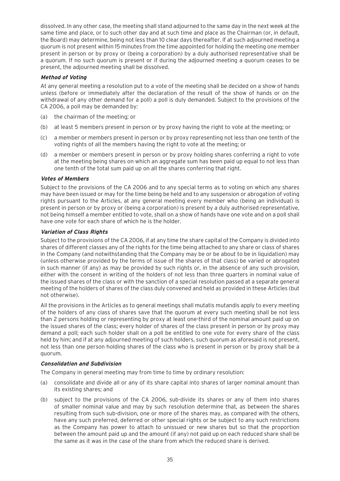dissolved. In any other case, the meeting shall stand adjourned to the same day in the next week at the same time and place, or to such other day and at such time and place as the Chairman (or, in default, the Board) may determine, being not less than 10 clear days thereafter. lf at such adjourned meeting a quorum is not present within 15 minutes from the time appointed for holding the meeting one member present in person or by proxy or (being a corporation) by a duly authorised representative shall be a quorum. If no such quorum is present or if during the adjourned meeting a quorum ceases to be present, the adjourned meeting shall be dissolved.

#### **Method of Voting**

At any general meeting a resolution put to a vote of the meeting shall be decided on a show of hands unless (before or immediately after the declaration of the result of the show of hands or on the withdrawal of any other demand for a poll) a poll is duly demanded. Subject to the provisions of the CA 2006, a poll may be demanded by:

- (a) the chairman of the meeting; or
- (b) at least 5 members present in person or by proxy having the right to vote at the meeting; or
- (c) a member or members present in person or by proxy representing not less than one tenth of the voting rights of all the members having the right to vote at the meeting; or
- (d) a member or members present in person or by proxy holding shares conferring a right to vote at the meeting being shares on which an aggregate sum has been paid up equal to not less than one tenth of the total sum paid up on all the shares conferring that right.

#### **Votes of Members**

Subject to the provisions of the CA 2006 and to any special terms as to voting on which any shares may have been issued or may for the time being be held and to any suspension or abrogation of voting rights pursuant to the Articles, at any general meeting every member who (being an individual) is present in person or by proxy or (being a corporation) is present by a duly authorised representative, not being himself a member entitled to vote, shall on a show of hands have one vote and on a poll shall have one vote for each share of which he is the holder.

#### **Variation of Class Rights**

Subject to the provisions of the CA 2006, if at any time the share capital of the Company is divided into shares of different classes any of the rights for the time being attached to any share or class of shares in the Company (and notwithstanding that the Company may be or be about to be in liquidation) may (unless otherwise provided by the terms of issue of the shares of that class) be varied or abrogated in such manner (if any) as may be provided by such rights or, in the absence of any such provision, either with the consent in writing of the holders of not less than three quarters in nominal value of the issued shares of the class or with the sanction of a special resolution passed at a separate general meeting of the holders of shares of the class duly convened and held as provided in these Articles (but not otherwise).

All the provisions in the Articles as to general meetings shall mutatis mutandis apply to every meeting of the holders of any class of shares save that the quorum at every such meeting shall be not less than 2 persons holding or representing by proxy at least one-third of the nominal amount paid up on the issued shares of the class; every holder of shares of the class present in person or by proxy may demand a poll; each such holder shall on a poll be entitled to one vote for every share of the class held by him; and if at any adjourned meeting of such holders, such quorum as aforesaid is not present, not less than one person holding shares of the class who is present in person or by proxy shall be a quorum.

#### **Consolidation and Subdivision**

The Company in general meeting may from time to time by ordinary resolution:

- (a) consolidate and divide all or any of its share capital into shares of larger nominal amount than its existing shares; and
- (b) subject to the provisions of the CA 2006, sub-divide its shares or any of them into shares of smaller nominal value and may by such resolution determine that, as between the shares resulting from such sub-division, one or more of the shares may, as compared with the others, have any such preferred, deferred or other special rights or be subject to any such restrictions as the Company has power to attach to unissued or new shares but so that the proportion between the amount paid up and the amount (if any) not paid up on each reduced share shall be the same as it was in the case of the share from which the reduced share is derived.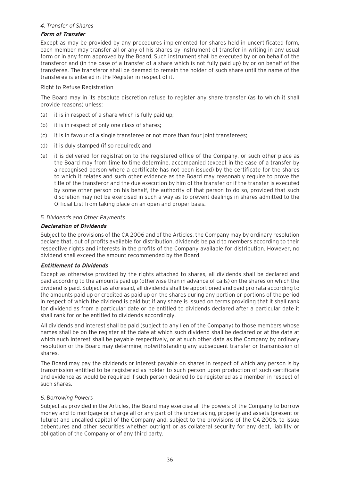#### *4. Transfer of Shares*

#### **Form of Transfer**

Except as may be provided by any procedures implemented for shares held in uncertificated form, each member may transfer all or any of his shares by instrument of transfer in writing in any usual form or in any form approved by the Board. Such instrument shall be executed by or on behalf of the transferor and (in the case of a transfer of a share which is not fully paid up) by or on behalf of the transferee. The transferor shall be deemed to remain the holder of such share until the name of the transferee is entered in the Register in respect of it.

#### Right to Refuse Registration

The Board may in its absolute discretion refuse to register any share transfer (as to which it shall provide reasons) unless:

- (a) it is in respect of a share which is fully paid up;
- (b) it is in respect of only one class of shares;
- (c) it is in favour of a single transferee or not more than four joint transferees;
- (d) it is duly stamped (if so required); and
- (e) it is delivered for registration to the registered office of the Company, or such other place as the Board may from time to time determine, accompanied (except in the case of a transfer by a recognised person where a certificate has not been issued) by the certificate for the shares to which it relates and such other evidence as the Board may reasonably require to prove the title of the transferor and the due execution by him of the transfer or if the transfer is executed by some other person on his behalf, the authority of that person to do so, provided that such discretion may not be exercised in such a way as to prevent dealings in shares admitted to the Official List from taking place on an open and proper basis.

#### *5. Dividends and Other Payments*

#### **Declaration of Dividends**

Subject to the provisions of the CA 2006 and of the Articles, the Company may by ordinary resolution declare that, out of profits available for distribution, dividends be paid to members according to their respective rights and interests in the profits of the Company available for distribution. However, no dividend shall exceed the amount recommended by the Board.

#### **Entitlement to Dividends**

Except as otherwise provided by the rights attached to shares, all dividends shall be declared and paid according to the amounts paid up (otherwise than in advance of calls) on the shares on which the dividend is paid. Subject as aforesaid, all dividends shall be apportioned and paid pro rata according to the amounts paid up or credited as paid up on the shares during any portion or portions of the period in respect of which the dividend is paid but if any share is issued on terms providing that it shall rank for dividend as from a particular date or be entitled to dividends declared after a particular date it shall rank for or be entitled to dividends accordingly.

All dividends and interest shall be paid (subject to any lien of the Company) to those members whose names shall be on the register at the date at which such dividend shall be declared or at the date at which such interest shall be payable respectively, or at such other date as the Company by ordinary resolution or the Board may determine, notwithstanding any subsequent transfer or transmission of shares.

The Board may pay the dividends or interest payable on shares in respect of which any person is by transmission entitled to be registered as holder to such person upon production of such certificate and evidence as would be required if such person desired to be registered as a member in respect of such shares.

#### *6. Borrowing Powers*

Subject as provided in the Articles, the Board may exercise all the powers of the Company to borrow money and to mortgage or charge all or any part of the undertaking, property and assets (present or future) and uncalled capital of the Company and, subject to the provisions of the CA 2006, to issue debentures and other securities whether outright or as collateral security for any debt, liability or obligation of the Company or of any third party.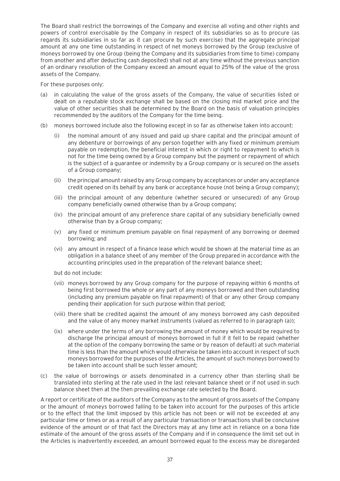The Board shall restrict the borrowings of the Company and exercise all voting and other rights and powers of control exercisable by the Company in respect of its subsidiaries so as to procure (as regards its subsidiaries in so far as it can procure by such exercise) that the aggregate principal amount at any one time outstanding in respect of net moneys borrowed by the Group (exclusive of moneys borrowed by one Group (being the Company and its subsidiaries from time to time) company from another and after deducting cash deposited) shall not at any time without the previous sanction of an ordinary resolution of the Company exceed an amount equal to 25% of the value of the gross assets of the Company.

For these purposes only:

- (a) in calculating the value of the gross assets of the Company, the value of securities listed or dealt on a reputable stock exchange shall be based on the closing mid market price and the value of other securities shall be determined by the Board on the basis of valuation principles recommended by the auditors of the Company for the time being.
- (b) moneys borrowed include also the following except in so far as otherwise taken into account:
	- (i) the nominal amount of any issued and paid up share capital and the principal amount of any debenture or borrowings of any person together with any fixed or minimum premium payable on redemption, the beneficial interest in which or right to repayment to which is not for the time being owned by a Group company but the payment or repayment of which is the subject of a guarantee or indemnity by a Group company or is secured on the assets of a Group company;
	- (ii) the principal amount raised by any Group company by acceptances or under any acceptance credit opened on its behalf by any bank or acceptance house (not being a Group company);
	- (iii) the principal amount of any debenture (whether secured or unsecured) of any Group company beneficially owned otherwise than by a Group company;
	- (iv) the principal amount of any preference share capital of any subsidiary beneficially owned otherwise than by a Group company;
	- (v) any fixed or minimum premium payable on final repayment of any borrowing or deemed borrowing; and
	- (vi) any amount in respect of a finance lease which would be shown at the material time as an obligation in a balance sheet of any member of the Group prepared in accordance with the accounting principles used in the preparation of the relevant balance sheet;

but do not include:

- (vii) moneys borrowed by any Group company for the purpose of repaying within 6 months of being first borrowed the whole or any part of any moneys borrowed and then outstanding (including any premium payable on final repayment) of that or any other Group company pending their application for such purpose within that period;
- (viii) there shall be credited against the amount of any moneys borrowed any cash deposited and the value of any money market instruments (valued as referred to in paragraph (a));
- (ix) where under the terms of any borrowing the amount of money which would be required to discharge the principal amount of moneys borrowed in full if it fell to be repaid (whether at the option of the company borrowing the same or by reason of default) at such material time is less than the amount which would otherwise be taken into account in respect of such moneys borrowed for the purposes of the Articles, the amount of such moneys borrowed to be taken into account shall be such lesser amount;
- (c) the value of borrowings or assets denominated in a currency other than sterling shall be translated into sterling at the rate used in the last relevant balance sheet or if not used in such balance sheet then at the then prevailing exchange rate selected by the Board.

A report or certificate of the auditors of the Company as to the amount of gross assets of the Company or the amount of moneys borrowed falling to be taken into account for the purposes of this article or to the effect that the limit imposed by this article has not been or will not be exceeded at any particular time or times or as a result of any particular transaction or transactions shall be conclusive evidence of the amount or of that fact the Directors may at any time act in reliance on a bona fide estimate of the amount of the gross assets of the Company and if in consequence the limit set out in the Articles is inadvertently exceeded, an amount borrowed equal to the excess may be disregarded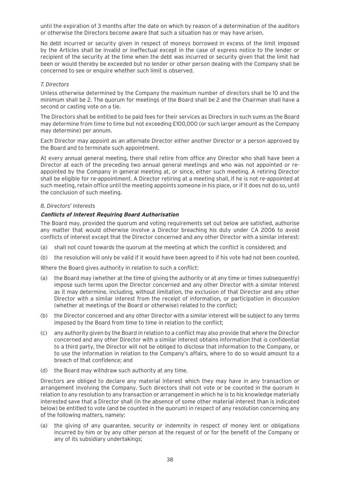until the expiration of 3 months after the date on which by reason of a determination of the auditors or otherwise the Directors become aware that such a situation has or may have arisen.

No debt incurred or security given in respect of moneys borrowed in excess of the limit imposed by the Articles shall be invalid or ineffectual except in the case of express notice to the lender or recipient of the security at the time when the debt was incurred or security given that the limit had been or would thereby be exceeded but no lender or other person dealing with the Company shall be concerned to see or enquire whether such limit is observed.

#### *7. Directors*

Unless otherwise determined by the Company the maximum number of directors shall be 10 and the minimum shall be 2. The quorum for meetings of the Board shall be 2 and the Chairman shall have a second or casting vote on a tie.

The Directors shall be entitled to be paid fees for their services as Directors in such sums as the Board may determine from time to time but not exceeding £100,000 (or such larger amount as the Company may determine) per annum.

Each Director may appoint as an alternate Director either another Director or a person approved by the Board and to terminate such appointment.

At every annual general meeting, there shall retire from office any Director who shall have been a Director at each of the preceding two annual general meetings and who was not appointed or reappointed by the Company in general meeting at, or since, either such meeting. A retiring Director shall be eligible for re-appointment. A Director retiring at a meeting shall, if he is not re-appointed at such meeting, retain office until the meeting appoints someone in his place, or if it does not do so, until the conclusion of such meeting.

#### *8. Directors' Interests*

#### **Conflicts of Interest Requiring Board Authorisation**

The Board may, provided the quorum and voting requirements set out below are satisfied, authorise any matter that would otherwise involve a Director breaching his duty under CA 2006 to avoid conflicts of interest except that the Director concerned and any other Director with a similar interest:

- (a) shall not count towards the quorum at the meeting at which the conflict is considered; and
- (b) the resolution will only be valid if it would have been agreed to if his vote had not been counted.

Where the Board gives authority in relation to such a conflict:

- (a) the Board may (whether at the time of giving the authority or at any time or times subsequently) impose such terms upon the Director concerned and any other Director with a similar interest as it may determine, including, without limitation, the exclusion of that Director and any other Director with a similar interest from the receipt of information, or participation in discussion (whether at meetings of the Board or otherwise) related to the conflict;
- (b) the Director concerned and any other Director with a similar interest will be subject to any terms imposed by the Board from time to time in relation to the conflict;
- (c) any authority given by the Board in relation to a conflict may also provide that where the Director concerned and any other Director with a similar interest obtains information that is confidential to a third party, the Director will not be obliged to disclose that information to the Company, or to use the information in relation to the Company's affairs, where to do so would amount to a breach of that confidence; and
- (d) the Board may withdraw such authority at any time.

Directors are obliged to declare any material interest which they may have in any transaction or arrangement involving the Company. Such directors shall not vote or be counted in the quorum in relation to any resolution to any transaction or arrangement in which he is to his knowledge materially interested save that a Director shall (in the absence of some other material interest than is indicated below) be entitled to vote (and be counted in the quorum) in respect of any resolution concerning any of the following matters, namely:

(a) the giving of any guarantee, security or indemnity in respect of money lent or obligations incurred by him or by any other person at the request of or for the benefit of the Company or any of its subsidiary undertakings;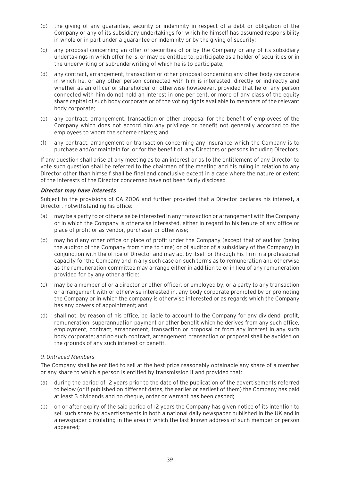- (b) the giving of any guarantee, security or indemnity in respect of a debt or obligation of the Company or any of its subsidiary undertakings for which he himself has assumed responsibility in whole or in part under a guarantee or indemnity or by the giving of security;
- (c) any proposal concerning an offer of securities of or by the Company or any of its subsidiary undertakings in which offer he is, or may be entitled to, participate as a holder of securities or in the underwriting or sub-underwriting of which he is to participate;
- (d) any contract, arrangement, transaction or other proposal concerning any other body corporate in which he, or any other person connected with him is interested, directly or indirectly and whether as an officer or shareholder or otherwise howsoever, provided that he or any person connected with him do not hold an interest in one per cent. or more of any class of the equity share capital of such body corporate or of the voting rights available to members of the relevant body corporate;
- (e) any contract, arrangement, transaction or other proposal for the benefit of employees of the Company which does not accord him any privilege or benefit not generally accorded to the employees to whom the scheme relates; and
- (f) any contract, arrangement or transaction concerning any insurance which the Company is to purchase and/or maintain for, or for the benefit of, any Directors or persons including Directors.

If any question shall arise at any meeting as to an interest or as to the entitlement of any Director to vote such question shall be referred to the chairman of the meeting and his ruling in relation to any Director other than himself shall be final and conclusive except in a case where the nature or extent of the interests of the Director concerned have not been fairly disclosed

#### **Director may have interests**

Subject to the provisions of CA 2006 and further provided that a Director declares his interest, a Director, notwithstanding his office:

- (a) may be a party to or otherwise be interested in any transaction or arrangement with the Company or in which the Company is otherwise interested, either in regard to his tenure of any office or place of profit or as vendor, purchaser or otherwise;
- (b) may hold any other office or place of profit under the Company (except that of auditor (being the auditor of the Company from time to time) or of auditor of a subsidiary of the Company) in conjunction with the office of Director and may act by itself or through his firm in a professional capacity for the Company and in any such case on such terms as to remuneration and otherwise as the remuneration committee may arrange either in addition to or in lieu of any remuneration provided for by any other article;
- (c) may be a member of or a director or other officer, or employed by, or a party to any transaction or arrangement with or otherwise interested in, any body corporate promoted by or promoting the Company or in which the company is otherwise interested or as regards which the Company has any powers of appointment; and
- (d) shall not, by reason of his office, be liable to account to the Company for any dividend, profit, remuneration, superannuation payment or other benefit which he derives from any such office, employment, contract, arrangement, transaction or proposal or from any interest in any such body corporate; and no such contract, arrangement, transaction or proposal shall be avoided on the grounds of any such interest or benefit.

#### *9. Untraced Members*

The Company shall be entitled to sell at the best price reasonably obtainable any share of a member or any share to which a person is entitled by transmission if and provided that:

- (a) during the period of 12 years prior to the date of the publication of the advertisements referred to below (or if published on different dates, the earlier or earliest of them) the Company has paid at least 3 dividends and no cheque, order or warrant has been cashed;
- (b) on or after expiry of the said period of 12 years the Company has given notice of its intention to sell such share by advertisements in both a national daily newspaper published in the UK and in a newspaper circulating in the area in which the last known address of such member or person appeared;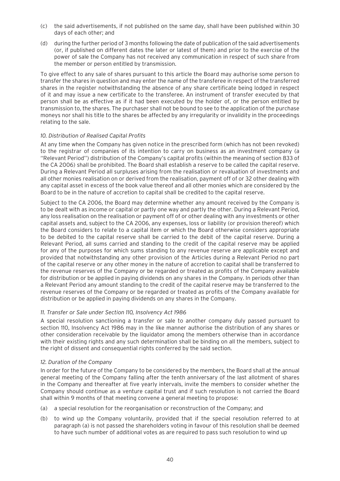- (c) the said advertisements, if not published on the same day, shall have been published within 30 days of each other; and
- (d) during the further period of 3 months following the date of publication of the said advertisements (or, if published on different dates the later or latest of them) and prior to the exercise of the power of sale the Company has not received any communication in respect of such share from the member or person entitled by transmission.

To give effect to any sale of shares pursuant to this article the Board may authorise some person to transfer the shares in question and may enter the name of the transferee in respect of the transferred shares in the register notwithstanding the absence of any share certificate being lodged in respect of it and may issue a new certificate to the transferee. An instrument of transfer executed by that person shall be as effective as if it had been executed by the holder of, or the person entitled by transmission to, the shares. The purchaser shall not be bound to see to the application of the purchase moneys nor shall his title to the shares be affected by any irregularity or invalidity in the proceedings relating to the sale.

#### *10. Distribution of Realised Capital Profits*

At any time when the Company has given notice in the prescribed form (which has not been revoked) to the registrar of companies of its intention to carry on business as an investment company (a ''Relevant Period'') distribution of the Company's capital profits (within the meaning of section 833 of the CA 2006) shall be prohibited. The Board shall establish a reserve to be called the capital reserve. During a Relevant Period all surpluses arising from the realisation or revaluation of investments and all other monies realisation on or derived from the realisation, payment off of or 32 other dealing with any capital asset in excess of the book value thereof and all other monies which are considered by the Board to be in the nature of accretion to capital shall be credited to the capital reserve.

Subject to the CA 2006, the Board may determine whether any amount received by the Company is to be dealt with as income or capital or partly one way and partly the other. During a Relevant Period, any loss realisation on the realisation or payment off of or other dealing with any investments or other capital assets and, subject to the CA 2006, any expenses, loss or liability (or provision thereof) which the Board considers to relate to a capital item or which the Board otherwise considers appropriate to be debited to the capital reserve shall be carried to the debit of the capital reserve. During a Relevant Period, all sums carried and standing to the credit of the capital reserve may be applied for any of the purposes for which sums standing to any revenue reserve are applicable except and provided that notwithstanding any other provision of the Articles during a Relevant Period no part of the capital reserve or any other money in the nature of accretion to capital shall be transferred to the revenue reserves of the Company or be regarded or treated as profits of the Company available for distribution or be applied in paying dividends on any shares in the Company. In periods other than a Relevant Period any amount standing to the credit of the capital reserve may be transferred to the revenue reserves of the Company or be regarded or treated as profits of the Company available for distribution or be applied in paying dividends on any shares in the Company.

#### *11. Transfer or Sale under Section 110, Insolvency Act 1986*

A special resolution sanctioning a transfer or sale to another company duly passed pursuant to section 110, Insolvency Act 1986 may in the like manner authorise the distribution of any shares or other consideration receivable by the liquidator among the members otherwise than in accordance with their existing rights and any such determination shall be binding on all the members, subject to the right of dissent and consequential rights conferred by the said section.

#### *12. Duration of the Company*

In order for the future of the Company to be considered by the members, the Board shall at the annual general meeting of the Company falling after the tenth anniversary of the last allotment of shares in the Company and thereafter at five yearly intervals, invite the members to consider whether the Company should continue as a venture capital trust and if such resolution is not carried the Board shall within 9 months of that meeting convene a general meeting to propose:

- (a) a special resolution for the reorganisation or reconstruction of the Company; and
- (b) to wind up the Company voluntarily, provided that if the special resolution referred to at paragraph (a) is not passed the shareholders voting in favour of this resolution shall be deemed to have such number of additional votes as are required to pass such resolution to wind up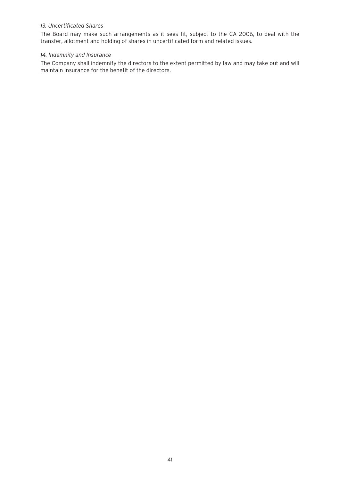#### *13. Uncertificated Shares*

The Board may make such arrangements as it sees fit, subject to the CA 2006, to deal with the transfer, allotment and holding of shares in uncertificated form and related issues.

#### *14. Indemnity and Insurance*

The Company shall indemnify the directors to the extent permitted by law and may take out and will maintain insurance for the benefit of the directors.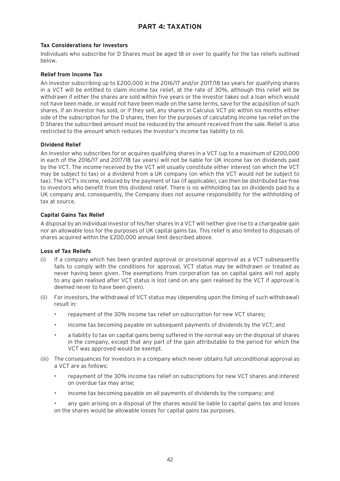# **PART 4: TAXATION**

#### **Tax Considerations for Investors**

Individuals who subscribe for D Shares must be aged 18 or over to qualify for the tax reliefs outlined below.

#### **Relief from Income Tax**

An investor subscribing up to £200,000 in the 2016/17 and/or 2017/18 tax years for qualifying shares in a VCT will be entitled to claim income tax relief, at the rate of 30%, although this relief will be withdrawn if either the shares are sold within five years or the investor takes out a loan which would not have been made, or would not have been made on the same terms, save for the acquisition of such shares. If an Investor has sold, or if they sell, any shares in Calculus VCT plc within six months either side of the subscription for the D shares, then for the purposes of calculating income tax relief on the D Shares the subscribed amount must be reduced by the amount received from the sale. Relief is also restricted to the amount which reduces the Investor's income tax liability to nil.

#### **Dividend Relief**

An investor who subscribes for or acquires qualifying shares in a VCT (up to a maximum of £200,000 in each of the 2016/17 and 2017/18 tax years) will not be liable for UK income tax on dividends paid by the VCT. The income received by the VCT will usually constitute either interest (on which the VCT may be subject to tax) or a dividend from a UK company (on which the VCT would not be subject to tax). The VCT's income, reduced by the payment of tax (if applicable), can then be distributed tax-free to investors who benefit from this dividend relief. There is no withholding tax on dividends paid by a UK company and, consequently, the Company does not assume responsibility for the withholding of tax at source.

#### **Capital Gains Tax Relief**

A disposal by an individual investor of his/her shares in a VCT will neither give rise to a chargeable gain nor an allowable loss for the purposes of UK capital gains tax. This relief is also limited to disposals of shares acquired within the £200,000 annual limit described above.

#### **Loss of Tax Reliefs**

- (i) If a company which has been granted approval or provisional approval as a VCT subsequently fails to comply with the conditions for approval, VCT status may be withdrawn or treated as never having been given. The exemptions from corporation tax on capital gains will not apply to any gain realised after VCT status is lost (and on any gain realised by the VCT if approval is deemed never to have been given).
- (ii) For investors, the withdrawal of VCT status may (depending upon the timing of such withdrawal) result in:
	- repayment of the 30% income tax relief on subscription for new VCT shares;
	- income tax becoming payable on subsequent payments of dividends by the VCT; and
	- a liability to tax on capital gains being suffered in the normal way on the disposal of shares in the company, except that any part of the gain attributable to the period for which the VCT was approved would be exempt.
- (iii) The consequences for investors in a company which never obtains full unconditional approval as a VCT are as follows:
	- repayment of the 30% income tax relief on subscriptions for new VCT shares and interest on overdue tax may arise;
	- income tax becoming payable on all payments of dividends by the company; and

• any gain arising on a disposal of the shares would be liable to capital gains tax and losses on the shares would be allowable losses for capital gains tax purposes.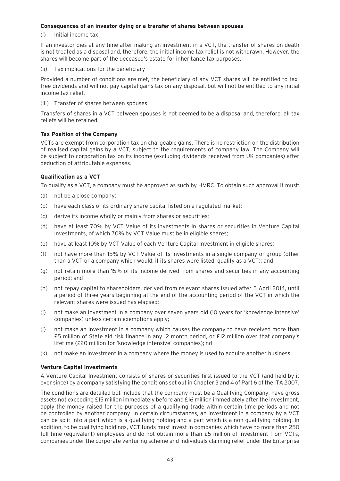#### **Consequences of an investor dying or a transfer of shares between spouses**

(i) Initial income tax

If an investor dies at any time after making an investment in a VCT, the transfer of shares on death is not treated as a disposal and, therefore, the initial income tax relief is not withdrawn. However, the shares will become part of the deceased's estate for inheritance tax purposes.

(ii) Tax implications for the beneficiary

Provided a number of conditions are met, the beneficiary of any VCT shares will be entitled to taxfree dividends and will not pay capital gains tax on any disposal, but will not be entitled to any initial income tax relief.

(iii) Transfer of shares between spouses

Transfers of shares in a VCT between spouses is not deemed to be a disposal and, therefore, all tax reliefs will be retained.

#### **Tax Position of the Company**

VCTs are exempt from corporation tax on chargeable gains. There is no restriction on the distribution of realised capital gains by a VCT, subject to the requirements of company law. The Company will be subject to corporation tax on its income (excluding dividends received from UK companies) after deduction of attributable expenses.

#### **Qualification as a VCT**

To qualify as a VCT, a company must be approved as such by HMRC. To obtain such approval it must:

- (a) not be a close company;
- (b) have each class of its ordinary share capital listed on a regulated market;
- (c) derive its income wholly or mainly from shares or securities;
- (d) have at least 70% by VCT Value of its investments in shares or securities in Venture Capital Investments, of which 70% by VCT Value must be in eligible shares;
- (e) have at least 10% by VCT Value of each Venture Capital Investment in eligible shares;
- (f) not have more than 15% by VCT Value of its investments in a single company or group (other than a VCT or a company which would, if its shares were listed, qualify as a VCT); and
- (g) not retain more than 15% of its income derived from shares and securities in any accounting period; and
- (h) not repay capital to shareholders, derived from relevant shares issued after 5 April 2014, until a period of three years beginning at the end of the accounting period of the VCT in which the relevant shares were issued has elapsed;
- (i) not make an investment in a company over seven years old (10 years for 'knowledge intensive' companies) unless certain exemptions apply;
- (j) not make an investment in a company which causes the company to have received more than £5 million of State aid risk finance in any 12 month period, or £12 million over that company's lifetime (£20 million for 'knowledge intensive' companies); nd
- (k) not make an investment in a company where the money is used to acquire another business.

#### **Venture Capital Investments**

A Venture Capital Investment consists of shares or securities first issued to the VCT (and held by it ever since) by a company satisfying the conditions set out in Chapter 3 and 4 of Part 6 of the ITA 2007.

The conditions are detailed but include that the company must be a Qualifying Company, have gross assets not exceeding £15 million immediately before and £16 million immediately after the investment, apply the money raised for the purposes of a qualifying trade within certain time periods and not be controlled by another company. In certain circumstances, an investment in a company by a VCT can be split into a part which is a qualifying holding and a part which is a non-qualifying holding. In addition, to be qualifying holdings, VCT funds must invest in companies which have no more than 250 full time (equivalent) employees and do not obtain more than £5 million of investment from VCTs, companies under the corporate venturing scheme and individuals claiming relief under the Enterprise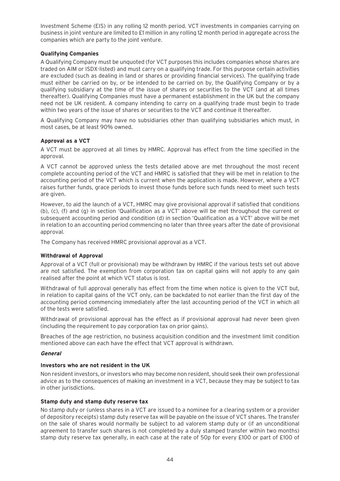Investment Scheme (EIS) in any rolling 12 month period. VCT investments in companies carrying on business in joint venture are limited to £1 million in any rolling 12 month period in aggregate across the companies which are party to the joint venture.

#### **Qualifying Companies**

A Qualifying Company must be unquoted (for VCT purposes this includes companies whose shares are traded on AIM or ISDX-listed) and must carry on a qualifying trade. For this purpose certain activities are excluded (such as dealing in land or shares or providing financial services). The qualifying trade must either be carried on by, or be intended to be carried on by, the Qualifying Company or by a qualifying subsidiary at the time of the issue of shares or securities to the VCT (and at all times thereafter). Qualifying Companies must have a permanent establishment in the UK but the company need not be UK resident. A company intending to carry on a qualifying trade must begin to trade within two years of the issue of shares or securities to the VCT and continue it thereafter.

A Qualifying Company may have no subsidiaries other than qualifying subsidiaries which must, in most cases, be at least 90% owned.

#### **Approval as a VCT**

A VCT must be approved at all times by HMRC. Approval has effect from the time specified in the approval.

A VCT cannot be approved unless the tests detailed above are met throughout the most recent complete accounting period of the VCT and HMRC is satisfied that they will be met in relation to the accounting period of the VCT which is current when the application is made. However, where a VCT raises further funds, grace periods to invest those funds before such funds need to meet such tests are given.

However, to aid the launch of a VCT, HMRC may give provisional approval if satisfied that conditions (b), (c), (f) and (g) in section 'Qualification as a VCT' above will be met throughout the current or subsequent accounting period and condition (d) in section 'Qualification as a VCT' above will be met in relation to an accounting period commencing no later than three years after the date of provisional approval.

The Company has received HMRC provisional approval as a VCT.

#### **Withdrawal of Approval**

Approval of a VCT (full or provisional) may be withdrawn by HMRC if the various tests set out above are not satisfied. The exemption from corporation tax on capital gains will not apply to any gain realised after the point at which VCT status is lost.

Withdrawal of full approval generally has effect from the time when notice is given to the VCT but, in relation to capital gains of the VCT only, can be backdated to not earlier than the first day of the accounting period commencing immediately after the last accounting period of the VCT in which all of the tests were satisfied.

Withdrawal of provisional approval has the effect as if provisional approval had never been given (including the requirement to pay corporation tax on prior gains).

Breaches of the age restriction, no business acquisition condition and the investment limit condition mentioned above can each have the effect that VCT approval is withdrawn.

#### **General**

#### **Investors who are not resident in the UK**

Non resident investors, or investors who may become non resident, should seek their own professional advice as to the consequences of making an investment in a VCT, because they may be subject to tax in other jurisdictions.

#### **Stamp duty and stamp duty reserve tax**

No stamp duty or (unless shares in a VCT are issued to a nominee for a clearing system or a provider of depository receipts) stamp duty reserve tax will be payable on the issue of VCT shares. The transfer on the sale of shares would normally be subject to ad valorem stamp duty or (if an unconditional agreement to transfer such shares is not completed by a duly stamped transfer within two months) stamp duty reserve tax generally, in each case at the rate of 50p for every £100 or part of £100 of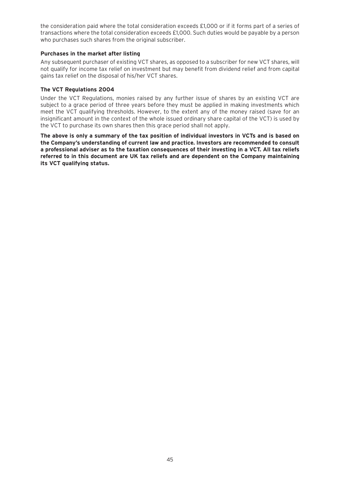the consideration paid where the total consideration exceeds £1,000 or if it forms part of a series of transactions where the total consideration exceeds £1,000. Such duties would be payable by a person who purchases such shares from the original subscriber.

#### **Purchases in the market after listing**

Any subsequent purchaser of existing VCT shares, as opposed to a subscriber for new VCT shares, will not qualify for income tax relief on investment but may benefit from dividend relief and from capital gains tax relief on the disposal of his/her VCT shares.

#### **The VCT Regulations 2004**

Under the VCT Regulations, monies raised by any further issue of shares by an existing VCT are subject to a grace period of three years before they must be applied in making investments which meet the VCT qualifying thresholds. However, to the extent any of the money raised (save for an insignificant amount in the context of the whole issued ordinary share capital of the VCT) is used by the VCT to purchase its own shares then this grace period shall not apply.

**The above is only a summary of the tax position of individual investors in VCTs and is based on the Company's understanding of current law and practice. Investors are recommended to consult a professional adviser as to the taxation consequences of their investing in a VCT. All tax reliefs referred to in this document are UK tax reliefs and are dependent on the Company maintaining its VCT qualifying status.**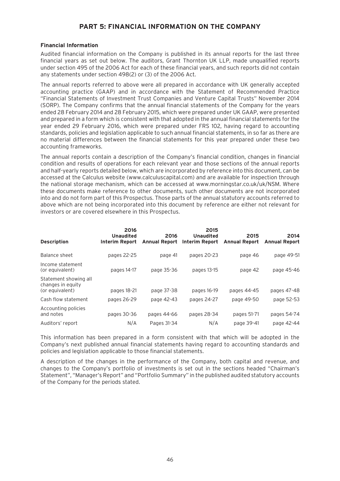# **PART 5: FINANCIAL INFORMATION ON THE COMPANY**

#### **Financial Information**

Audited financial information on the Company is published in its annual reports for the last three financial years as set out below. The auditors, Grant Thornton UK LLP, made unqualified reports under section 495 of the 2006 Act for each of these financial years, and such reports did not contain any statements under section 498(2) or (3) of the 2006 Act.

The annual reports referred to above were all prepared in accordance with UK generally accepted accounting practice (GAAP) and in accordance with the Statement of Recommended Practice "Financial Statements of Investment Trust Companies and Venture Capital Trusts" November 2014 (SORP). The Company confirms that the annual financial statements of the Company for the years ended 28 February 2014 and 28 February 2015, which were prepared under UK GAAP, were presented and prepared in a form which is consistent with that adopted in the annual financial statements for the year ended 29 February 2016, which were prepared under FRS 102, having regard to accounting standards, policies and legislation applicable to such annual financial statements, in so far as there are no material differences between the financial statements for this year prepared under these two accounting frameworks.

The annual reports contain a description of the Company's financial condition, changes in financial condition and results of operations for each relevant year and those sections of the annual reports and half-yearly reports detailed below, which are incorporated by reference into this document, can be accessed at the Calculus website (www.calculuscapital.com) and are available for inspection through the national storage mechanism, which can be accessed at www.morningstar.co.uk/uk/NSM. Where these documents make reference to other documents, such other documents are not incorporated into and do not form part of this Prospectus. Those parts of the annual statutory accounts referred to above which are not being incorporated into this document by reference are either not relevant for investors or are covered elsewhere in this Prospectus.

| <b>Description</b>                                            | 2016<br><b>Unaudited</b><br>Interim Report | 2016<br><b>Annual Report</b> | 2015<br><b>Unaudited</b><br>Interim Report | 2015<br><b>Annual Report</b> | 2014<br><b>Annual Report</b> |
|---------------------------------------------------------------|--------------------------------------------|------------------------------|--------------------------------------------|------------------------------|------------------------------|
| Balance sheet                                                 | pages 22-25                                | page 41                      | pages 20-23                                | page 46                      | page 49-51                   |
| Income statement<br>(or equivalent)                           | pages 14-17                                | page 35-36                   | pages 13-15                                | page 42                      | page 45-46                   |
| Statement showing all<br>changes in equity<br>(or equivalent) | pages 18-21                                | page 37-38                   | pages 16-19                                | pages 44-45                  | pages 47-48                  |
| Cash flow statement                                           | pages 26-29                                | page 42-43                   | pages 24-27                                | page 49-50                   | page 52-53                   |
| Accounting policies<br>and notes                              | pages 30-36                                | pages 44-66                  | pages 28-34                                | pages 51-71                  | pages 54-74                  |
| Auditors' report                                              | N/A                                        | Pages 31-34                  | N/A                                        | page 39-41                   | page 42-44                   |

This information has been prepared in a form consistent with that which will be adopted in the Company's next published annual financial statements having regard to accounting standards and policies and legislation applicable to those financial statements.

A description of the changes in the performance of the Company, both capital and revenue, and changes to the Company's portfolio of investments is set out in the sections headed "Chairman's Statement", "Manager's Report" and "Portfolio Summary" in the published audited statutory accounts of the Company for the periods stated.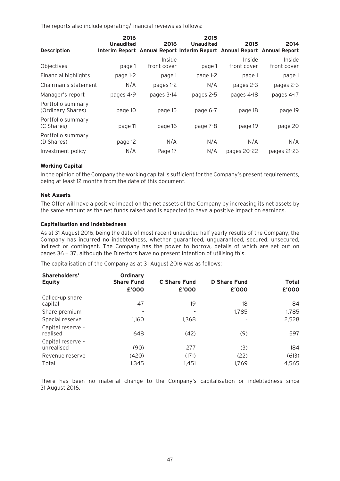The reports also include operating/financial reviews as follows:

| <b>Description</b>                     | 2016<br><b>Unaudited</b> | 2016                  | 2015<br><b>Unaudited</b><br>Interim Report Annual Report Interim Report Annual Report Annual Report | 2015                  | 2014                  |
|----------------------------------------|--------------------------|-----------------------|-----------------------------------------------------------------------------------------------------|-----------------------|-----------------------|
| Objectives                             | page 1                   | Inside<br>front cover | page 1                                                                                              | Inside<br>front cover | Inside<br>front cover |
| Financial highlights                   | page 1-2                 | page 1                | page 1-2                                                                                            | page 1                | page 1                |
| Chairman's statement                   | N/A                      | pages 1-2             | N/A                                                                                                 | pages 2-3             | pages 2-3             |
| Manager's report                       | pages 4-9                | pages 3-14            | pages 2-5                                                                                           | pages 4-18            | pages 4-17            |
| Portfolio summary<br>(Ordinary Shares) | page 10                  | page 15               | page 6-7                                                                                            | page 18               | page 19               |
| Portfolio summary<br>(C Shares)        | page 11                  | page 16               | page 7-8                                                                                            | page 19               | page 20               |
| Portfolio summary<br>(D Shares)        | page 12                  | N/A                   | N/A                                                                                                 | N/A                   | N/A                   |
| Investment policy                      | N/A                      | Page 17               | N/A                                                                                                 | pages 20-22           | pages 21-23           |

#### **Working Capital**

In the opinion of the Company the working capital is sufficient for the Company's present requirements, being at least 12 months from the date of this document.

#### **Net Assets**

The Offer will have a positive impact on the net assets of the Company by increasing its net assets by the same amount as the net funds raised and is expected to have a positive impact on earnings.

#### **Capitalisation and Indebtedness**

As at 31 August 2016, being the date of most recent unaudited half yearly results of the Company, the Company has incurred no indebtedness, whether guaranteed, unguaranteed, secured, unsecured, indirect or contingent. The Company has the power to borrow, details of which are set out on pages 36 — 37, although the Directors have no present intention of utilising this.

The capitalisation of the Company as at 31 August 2016 was as follows:

| Shareholders'<br><b>Equity</b>  | Ordinary<br><b>Share Fund</b> | <b>C</b> Share Fund      | <b>D</b> Share Fund | <b>Total</b> |
|---------------------------------|-------------------------------|--------------------------|---------------------|--------------|
|                                 | £'000                         | £'000                    | £'000               | £'000        |
| Called-up share<br>capital      | 47                            | 19                       | 18                  | 84           |
| Share premium                   |                               | $\overline{\phantom{a}}$ | 1,785               | 1,785        |
| Special reserve                 | 1,160                         | 1,368                    |                     | 2,528        |
| Capital reserve -<br>realised   | 648                           | (42)                     | (9)                 | 597          |
| Capital reserve -<br>unrealised | (90)                          | 277                      | (3)                 | 184          |
| Revenue reserve                 | (420)                         | (171)                    | (22)                | (613)        |
| Total                           | 1,345                         | 1,451                    | 1,769               | 4,565        |

There has been no material change to the Company's capitalisation or indebtedness since 31 August 2016.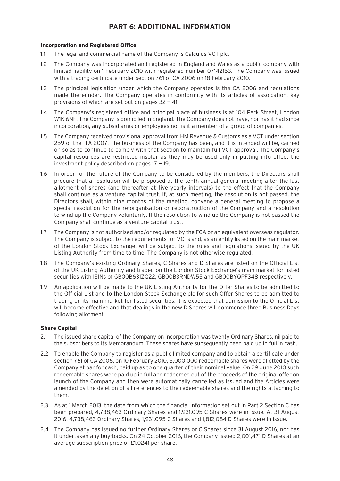# **PART 6: ADDITIONAL INFORMATION**

#### **Incorporation and Registered Office**

- 1.1 The legal and commercial name of the Company is Calculus VCT plc.
- 1.2 The Company was incorporated and registered in England and Wales as a public company with limited liability on 1 February 2010 with registered number 07142153. The Company was issued with a trading certificate under section 761 of CA 2006 on 18 February 2010.
- 1.3 The principal legislation under which the Company operates is the CA 2006 and regulations made thereunder. The Company operates in conformity with its articles of assoication, key provisions of which are set out on pages  $32 - 41$ .
- 1.4 The Company's registered office and principal place of business is at 104 Park Street, London W1K 6NF. The Company is domiciled in England. The Company does not have, nor has it had since incorporation, any subsidiaries or employees nor is it a member of a group of companies.
- 1.5 The Company received provisional approval from HM Revenue & Customs as a VCT under section 259 of the ITA 2007. The business of the Company has been, and it is intended will be, carried on so as to continue to comply with that section to maintain full VCT approval. The Company's capital resources are restricted insofar as they may be used only in putting into effect the investment policy described on pages  $17 - 19$ .
- 1.6 In order for the future of the Company to be considered by the members, the Directors shall procure that a resolution will be proposed at the tenth annual general meeting after the last allotment of shares (and thereafter at five yearly intervals) to the effect that the Company shall continue as a venture capital trust. If, at such meeting, the resolution is not passed, the Directors shall, within nine months of the meeting, convene a general meeting to propose a special resolution for the re-organisation or reconstruction of the Company and a resolution to wind up the Company voluntarily. If the resolution to wind up the Company is not passed the Company shall continue as a venture capital trust.
- 1.7 The Company is not authorised and/or regulated by the FCA or an equivalent overseas regulator. The Company is subject to the requirements for VCTs and, as an entity listed on the main market of the London Stock Exchange, will be subject to the rules and regulations issued by the UK Listing Authority from time to time. The Company is not otherwise regulated.
- 1.8 The Company's existing Ordinary Shares, C Shares and D Shares are listed on the Official List of the UK Listing Authority and traded on the London Stock Exchange's main market for listed securities with ISINs of GB00B631ZQ22, GB00B3RNDW55 and GB00BYQPF348 respectively.
- 1.9 An application will be made to the UK Listing Authority for the Offer Shares to be admitted to the Official List and to the London Stock Exchange plc for such Offer Shares to be admitted to trading on its main market for listed securities. It is expected that admission to the Official List will become effective and that dealings in the new D Shares will commence three Business Days following allotment.

#### **Share Capital**

- 2.1 The issued share capital of the Company on incorporation was twenty Ordinary Shares, nil paid to the subscribers to its Memorandum. These shares have subsequently been paid up in full in cash.
- 2.2 To enable the Company to register as a public limited company and to obtain a certificate under section 761 of CA 2006, on 10 February 2010, 5,000,000 redeemable shares were allotted by the Company at par for cash, paid up as to one quarter of their nominal value. On 29 June 2010 such redeemable shares were paid up in full and redeemed out of the proceeds of the original offer on launch of the Company and then were automatically cancelled as issued and the Articles were amended by the deletion of all references to the redeemable shares and the rights attaching to them.
- 2.3 As at 1 March 2013, the date from which the financial information set out in Part 2 Section C has been prepared, 4,738,463 Ordinary Shares and 1,931,095 C Shares were in issue. At 31 August 2016, 4,738,463 Ordinary Shares, 1,931,095 C Shares and 1,812,084 D Shares were in issue.
- 2.4 The Company has issued no further Ordinary Shares or C Shares since 31 August 2016, nor has it undertaken any buy-backs. On 24 October 2016, the Company issued 2,001,471 D Shares at an average subscription price of £1.0241 per share.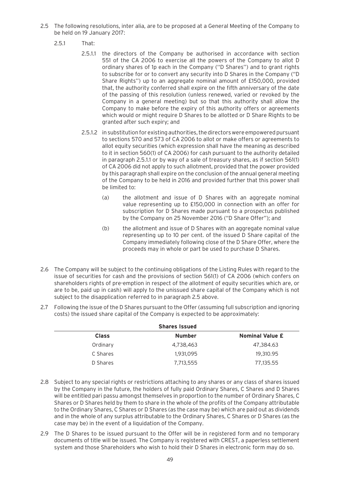- 2.5 The following resolutions, inter alia, are to be proposed at a General Meeting of the Company to be held on 19 January 2017:
	- 2.5.1 That:
		- 2.5.1.1 the directors of the Company be authorised in accordance with section 551 of the CA 2006 to exercise all the powers of the Company to allot D ordinary shares of 1p each in the Company (''D Shares'') and to grant rights to subscribe for or to convert any security into D Shares in the Company ("D Share Rights'') up to an aggregate nominal amount of £150,000, provided that, the authority conferred shall expire on the fifth anniversary of the date of the passing of this resolution (unless renewed, varied or revoked by the Company in a general meeting) but so that this authority shall allow the Company to make before the expiry of this authority offers or agreements which would or might require D Shares to be allotted or D Share Rights to be granted after such expiry; and
		- 2.5.1.2 in substitution for existing authorities, the directors were empowered pursuant to sections 570 and 573 of CA 2006 to allot or make offers or agreements to allot equity securities (which expression shall have the meaning as described to it in section 560(1) of CA 2006) for cash pursuant to the authority detailed in paragraph 2.5.1.1 or by way of a sale of treasury shares, as if section 561(1) of CA 2006 did not apply to such allotment, provided that the power provided by this paragraph shall expire on the conclusion of the annual general meeting of the Company to be held in 2016 and provided further that this power shall be limited to:
			- (a) the allotment and issue of D Shares with an aggregate nominal value representing up to £150,000 in connection with an offer for subscription for D Shares made pursuant to a prospectus published by the Company on 25 November 2016 ("D Share Offer"); and
			- (b) the allotment and issue of D Shares with an aggregate nominal value representing up to 10 per cent. of the issued D Share capital of the Company immediately following close of the D Share Offer, where the proceeds may in whole or part be used to purchase D Shares.
- 2.6 The Company will be subject to the continuing obligations of the Listing Rules with regard to the issue of securities for cash and the provisions of section 561(1) of CA 2006 (which confers on shareholders rights of pre-emption in respect of the allotment of equity securities which are, or are to be, paid up in cash) will apply to the unissued share capital of the Company which is not subject to the disapplication referred to in paragraph 2.5 above.
- 2.7 Following the issue of the D Shares pursuant to the Offer (assuming full subscription and ignoring costs) the issued share capital of the Company is expected to be approximately:

| <b>Shares Issued</b> |               |                        |  |
|----------------------|---------------|------------------------|--|
| <b>Class</b>         | <b>Number</b> | <b>Nominal Value £</b> |  |
| Ordinary             | 4,738,463     | 47.384.63              |  |
| C Shares             | 1,931,095     | 19,310.95              |  |
| D Shares             | 7,713,555     | 77,135.55              |  |

- 2.8 Subject to any special rights or restrictions attaching to any shares or any class of shares issued by the Company in the future, the holders of fully paid Ordinary Shares, C Shares and D Shares will be entitled pari passu amongst themselves in proportion to the number of Ordinary Shares, C Shares or D Shares held by them to share in the whole of the profits of the Company attributable to the Ordinary Shares, C Shares or D Shares (as the case may be) which are paid out as dividends and in the whole of any surplus attributable to the Ordinary Shares, C Shares or D Shares (as the case may be) in the event of a liquidation of the Company.
- 2.9 The D Shares to be issued pursuant to the Offer will be in registered form and no temporary documents of title will be issued. The Company is registered with CREST, a paperless settlement system and those Shareholders who wish to hold their D Shares in electronic form may do so.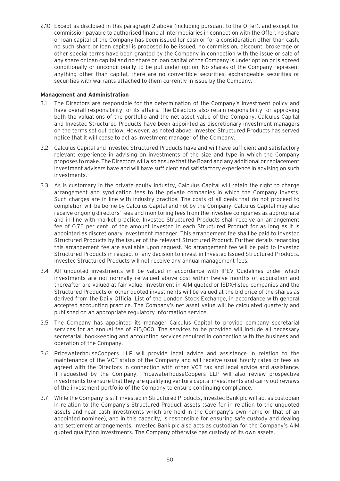2.10 Except as disclosed in this paragraph 2 above (including pursuant to the Offer), and except for commission payable to authorised financial intermediaries in connection with the Offer, no share or loan capital of the Company has been issued for cash or for a consideration other than cash, no such share or loan capital is proposed to be issued, no commission, discount, brokerage or other special terms have been granted by the Company in connection with the issue or sale of any share or loan capital and no share or loan capital of the Company is under option or is agreed conditionally or unconditionally to be put under option. No shares of the Company represent anything other than capital, there are no convertible securities, exchangeable securities or securities with warrants attached to them currently in issue by the Company.

#### **Management and Administration**

- 3.1 The Directors are responsible for the determination of the Company's investment policy and have overall responsibility for its affairs. The Directors also retain responsibility for approving both the valuations of the portfolio and the net asset value of the Company. Calculus Capital and Investec Structured Products have been appointed as discretionary investment managers on the terms set out below. However, as noted above, Investec Structured Products has served notice that it will cease to act as investment manager of the Company.
- 3.2 Calculus Capital and Investec Structured Products have and will have sufficient and satisfactory relevant experience in advising on investments of the size and type in which the Company proposes to make. The Directors will also ensure that the Board and any additional or replacement investment advisers have and will have sufficient and satisfactory experience in advising on such investments.
- 3.3 As is customary in the private equity industry, Calculus Capital will retain the right to charge arrangement and syndication fees to the private companies in which the Company invests. Such charges are in line with industry practice. The costs of all deals that do not proceed to completion will be borne by Calculus Capital and not by the Company. Calculus Capital may also receive ongoing directors' fees and monitoring fees from the investee companies as appropriate and in line with market practice. Investec Structured Products shall receive an arrangement fee of 0.75 per cent. of the amount invested in each Structured Product for as long as it is appointed as discretionary investment manager. This arrangement fee shall be paid to Investec Structured Products by the issuer of the relevant Structured Product. Further details regarding this arrangement fee are available upon request. No arrangement fee will be paid to Investec Structured Products in respect of any decision to invest in Investec Issued Structured Products. Investec Structured Products will not receive any annual management fees.
- 3.4 All unquoted investments will be valued in accordance with IPEV Guidelines under which investments are not normally re-valued above cost within twelve months of acquisition and thereafter are valued at fair value. Investment in AIM quoted or ISDX-listed companies and the Structured Products or other quoted investments will be valued at the bid price of the shares as derived from the Daily Official List of the London Stock Exchange, in accordance with general accepted accounting practice. The Company's net asset value will be calculated quarterly and published on an appropriate regulatory information service.
- 3.5 The Company has appointed its manager Calculus Capital to provide company secretarial services for an annual fee of £15,000. The services to be provided will include all necessary secretarial, bookkeeping and accounting services required in connection with the business and operation of the Company.
- 3.6 PricewaterhouseCoopers LLP will provide legal advice and assistance in relation to the maintenance of the VCT status of the Company and will receive usual hourly rates or fees as agreed with the Directors in connection with other VCT tax and legal advice and assistance. If requested by the Company, PricewaterhouseCoopers LLP will also review prospective investments to ensure that they are qualifying venture capital investments and carry out reviews of the investment portfolio of the Company to ensure continuing compliance.
- 3.7 While the Company is still invested in Structured Products, Investec Bank plc will act as custodian in relation to the Company's Structured Product assets (save for in relation to the unquoted assets and near cash investments which are held in the Company's own name or that of an appointed nominee), and in this capacity, is responsible for ensuring safe custody and dealing and settlement arrangements. Investec Bank plc also acts as custodian for the Company's AIM quoted qualifying investments. The Company otherwise has custody of its own assets.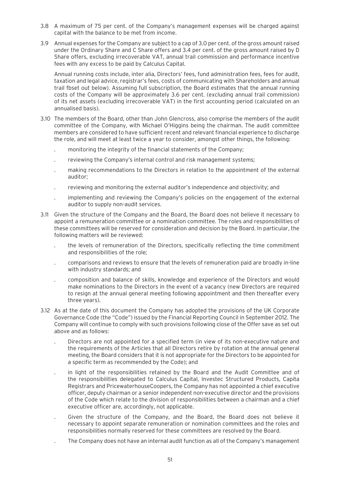- 3.8 A maximum of 75 per cent. of the Company's management expenses will be charged against capital with the balance to be met from income.
- 3.9 Annual expenses for the Company are subject to a cap of 3.0 per cent. of the gross amount raised under the Ordinary Share and C Share offers and 3.4 per cent. of the gross amount raised by D Share offers, excluding irrecoverable VAT, annual trail commission and performance incentive fees with any excess to be paid by Calculus Capital.

Annual running costs include, inter alia, Directors' fees, fund administration fees, fees for audit, taxation and legal advice, registrar's fees, costs of communicating with Shareholders and annual trail fbset out below). Assuming full subscription, the Board estimates that the annual running costs of the Company will be approximately 3.6 per cent. (excluding annual trail commission) of its net assets (excluding irrecoverable VAT) in the first accounting period (calculated on an annualised basis).

- 3.10 The members of the Board, other than John Glencross, also comprise the members of the audit committee of the Company, with Michael O'Higgins being the chairman. The audit committee members are considered to have sufficient recent and relevant financial experience to discharge the role, and will meet at least twice a year to consider, amongst other things, the following:
	- . monitoring the integrity of the financial statements of the Company;
	- . reviewing the Company's internal control and risk management systems;
	- . making recommendations to the Directors in relation to the appointment of the external auditor;
	- . reviewing and monitoring the external auditor's independence and objectivity; and
	- . implementing and reviewing the Company's policies on the engagement of the external auditor to supply non-audit services.
- 3.11 Given the structure of the Company and the Board, the Board does not believe it necessary to appoint a remuneration committee or a nomination committee. The roles and responsibilities of these committees will be reserved for consideration and decision by the Board. In particular, the following matters will be reviewed:
	- . the levels of remuneration of the Directors, specifically reflecting the time commitment and responsibilities of the role;
	- . comparisons and reviews to ensure that the levels of remuneration paid are broadly in-line with industry standards; and
	- . composition and balance of skills, knowledge and experience of the Directors and would make nominations to the Directors in the event of a vacancy (new Directors are required to resign at the annual general meeting following appointment and then thereafter every three years).
- 3.12 As at the date of this document the Company has adopted the provisions of the UK Corporate Governance Code (the "Code") issued by the Financial Reporting Council in September 2012. The Company will continue to comply with such provisions following close of the Offer save as set out above and as follows:
	- . Directors are not appointed for a specified term (in view of its non-executive nature and the requirements of the Articles that all Directors retire by rotation at the annual general meeting, the Board considers that it is not appropriate for the Directors to be appointed for a specific term as recommended by the Code); and
	- . in light of the responsibilities retained by the Board and the Audit Committee and of the responsibilities delegated to Calculus Capital, Investec Structured Products, Capita Registrars and PricewaterhouseCoopers, the Company has not appointed a chief executive officer, deputy chairman or a senior independent non-executive director and the provisions of the Code which relate to the division of responsibilities between a chairman and a chief executive officer are, accordingly, not applicable.
	- . Given the structure of the Company, and the Board, the Board does not believe it necessary to appoint separate remuneration or nomination committees and the roles and responsibilities normally reserved for these committees are resolved by the Board.
	- . The Company does not have an internal audit function as all of the Company's management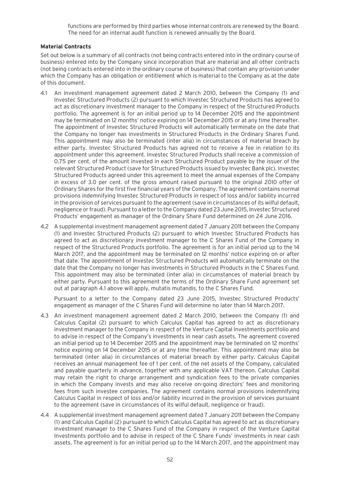functions are performed by third parties whose internal controls are renewed by the Board. The need for an internal audit function is renewed annually by the Board.

#### **Material Contracts**

Set out below is a summary of all contracts (not being contracts entered into in the ordinary course of business) entered into by the Company since incorporation that are material and all other contracts (not being contracts entered into in the ordinary course of business) that contain any provision under which the Company has an obligation or entitlement which is material to the Company as at the date of this document.

- 4.1 An investment management agreement dated 2 March 2010, between the Company (1) and Investec Structured Products (2) pursuant to which Investec Structured Products has agreed to act as discretionary investment manager to the Company in respect of the Structured Products portfolio. The agreement is for an initial period up to 14 December 2015 and the appointment may be terminated on 12 months' notice expiring on 14 December 2015 or at any time thereafter. The appointment of Investec Structured Products will automatically terminate on the date that the Company no longer has investments in Structured Products in the Ordinary Shares Fund. This appointment may also be terminated (inter alia) in circumstances of material breach by either party. Investec Structured Products has agreed not to receive a fee in relation to its appointment under this agreement. Investec Structured Products shall receive a commission of 0.75 per cent. of the amount invested in each Structured Product payable by the issuer of the relevant Structured Product (save for Structured Products issued by Investec Bank plc). Investec Structured Products agreed under this agreement to meet the annual expenses of the Company in excess of 3.0 per cent. of the gross amount raised pursuant to the original 2010 offer of Ordinary Shares for the first five financial years of the Company. The agreement contains normal provisions indemnifying Investec Structured Products in respect of loss and/or liability incurred in the provision of services pursuant to the agreement (save in circumstances of its wilful default, negligence or fraud). Pursuant to a letter to the Company dated 23 June 2015, Investec Structured Products' engagement as manager of the Ordinary Share Fund determined on 24 June 2016.
- 4.2 A supplemental investment management agreement dated 7 January 2011 between the Company (1) and Investec Structured Products (2) pursuant to which Investec Structured Products has agreed to act as discretionary investment manager to the C Shares Fund of the Company in respect of the Structured Products portfolio. The agreement is for an initial period up to the 14 March 2017, and the appointment may be terminated on 12 months' notice expiring on or after that date. The appointment of Investec Structured Products will automatically terminate on the date that the Company no longer has investments in Structured Products in the C Shares Fund. This appointment may also be terminated (inter alia) in circumstances of material breach by either party. Pursuant to this agreement the terms of the Ordinary Share Fund agreement set out at paragraph 4.1 above will apply, mutatis mutandis, to the C Shares Fund.

Pursuant to a letter to the Company dated 23 June 2015, Investec Structured Products' engagement as manager of the C Shares Fund will determine no later than 14 March 2017.

- 4.3 An investment management agreement dated 2 March 2010, between the Company (1) and Calculus Capital (2) pursuant to which Calculus Capital has agreed to act as discretionary investment manager to the Company in respect of the Venture Capital Investments portfolio and to advise in respect of the Company's investments in near cash assets. The agreement covered an initial period up to 14 December 2015 and the appointment may be terminated on 12 months' notice expiring on 14 December 2015 or at any time thereafter. This appointment may also be terminated (inter alia) in circumstances of material breach by either party. Calculus Capital receives an annual management fee of 1 per cent. of the net assets of the Company, calculated and payable quarterly in advance, together with any applicable VAT thereon. Calculus Capital may retain the right to charge arrangement and syndication fees to the private companies in which the Company invests and may also receive on-going directors' fees and monitoring fees from such investee companies. The agreement contains normal provisions indemnifying Calculus Capital in respect of loss and/or liability incurred in the provision of services pursuant to the agreement (save in circumstances of its wilful default, negligence or fraud).
- 4.4 A supplemental investment management agreement dated 7 January 2011 between the Company (1) and Calculus Capital (2) pursuant to which Calculus Capital has agreed to act as discretionary investment manager to the C Shares Fund of the Company in respect of the Venture Capital Investments portfolio and to advise in respect of the C Share Funds' investments in near cash assets. The agreement is for an initial period up to the 14 March 2017, and the appointment may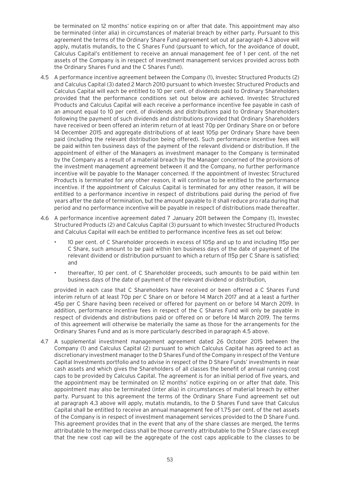be terminated on 12 months' notice expiring on or after that date. This appointment may also be terminated (inter alia) in circumstances of material breach by either party. Pursuant to this agreement the terms of the Ordinary Share Fund agreement set out at paragraph 4.3 above will apply, mutatis mutandis, to the C Shares Fund (pursuant to which, for the avoidance of doubt, Calculus Capital's entitlement to receive an annual management fee of 1 per cent. of the net assets of the Company is in respect of investment management services provided across both the Ordinary Shares Fund and the C Shares Fund).

- 4.5 A performance incentive agreement between the Company (1), Investec Structured Products (2) and Calculus Capital (3) dated 2 March 2010 pursuant to which Investec Structured Products and Calculus Capital will each be entitled to 10 per cent. of dividends paid to Ordinary Shareholders provided that the performance conditions set out below are achieved. Investec Structured Products and Calculus Capital will each receive a performance incentive fee payable in cash of an amount equal to 10 per cent. of dividends and distributions paid to Ordinary Shareholders following the payment of such dividends and distributions provided that Ordinary Shareholders have received or been offered an interim return of at least 70p per Ordinary Share on or before 14 December 2015 and aggregate distributions of at least 105p per Ordinary Share have been paid (including the relevant distribution being offered). Such performance incentive fees will be paid within ten business days of the payment of the relevant dividend or distribution. If the appointment of either of the Managers as investment manager to the Company is terminated by the Company as a result of a material breach by the Manager concerned of the provisions of the investment management agreement between it and the Company, no further performance incentive will be payable to the Manager concerned. If the appointment of Investec Structured Products is terminated for any other reason, it will continue to be entitled to the performance incentive. If the appointment of Calculus Capital is terminated for any other reason, it will be entitled to a performance incentive in respect of distributions paid during the period of five years after the date of termination, but the amount payable to it shall reduce pro rata during that period and no performance incentive will be payable in respect of distributions made thereafter.
- 4.6 A performance incentive agreement dated 7 January 2011 between the Company (1), Investec Structured Products (2) and Calculus Capital (3) pursuant to which Investec Structured Products and Calculus Capital will each be entitled to performance incentive fees as set out below:
	- 10 per cent. of C Shareholder proceeds in excess of 105p and up to and including 115p per C Share, such amount to be paid within ten business days of the date of payment of the relevant dividend or distribution pursuant to which a return of 115p per C Share is satisfied; and
	- thereafter, 10 per cent. of C Shareholder proceeds, such amounts to be paid within ten business days of the date of payment of the relevant dividend or distribution,

provided in each case that C Shareholders have received or been offered a C Shares Fund interim return of at least 70p per C Share on or before 14 March 2017 and at a least a further 45p per C Share having been received or offered for payment on or before 14 March 2019. In addition, performance incentive fees in respect of the C Shares Fund will only be payable in respect of dividends and distributions paid or offered on or before 14 March 2019. The terms of this agreement will otherwise be materially the same as those for the arrangements for the Ordinary Shares Fund and as is more particularly described in paragraph 4.5 above.

4.7 A supplemental investment management agreement dated 26 October 2015 between the Company (1) and Calculus Capital (2) pursuant to which Calculus Capital has agreed to act as discretionary investment manager to the D Shares Fund of the Company in respect of the Venture Capital Investments portfolio and to advise in respect of the D Share Funds' investments in near cash assets and which gives the Shareholders of all classes the benefit of annual running cost caps to be provided by Calculus Capital. The agreement is for an initial period of five years, and the appointment may be terminated on 12 months' notice expiring on or after that date. This appointment may also be terminated (inter alia) in circumstances of material breach by either party. Pursuant to this agreement the terms of the Ordinary Share Fund agreement set out at paragraph 4.3 above will apply, mutatis mutandis, to the D Shares Fund save that Calculus Capital shall be entitled to receive an annual management fee of 1.75 per cent. of the net assets of the Company is in respect of investment management services provided to the D Share Fund. This agreement provides that in the event that any of the share classes are merged, the terms attributable to the merged class shall be those currently attributable to the D Share class except that the new cost cap will be the aggregate of the cost caps applicable to the classes to be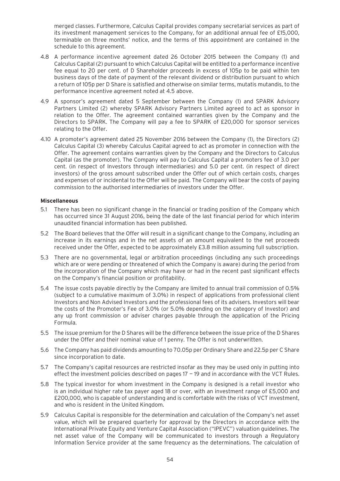merged classes. Furthermore, Calculus Capital provides company secretarial services as part of its investment management services to the Company, for an additional annual fee of £15,000, terminable on three months' notice, and the terms of this appointment are contained in the schedule to this agreement.

- 4.8 A performance incentive agreement dated 26 October 2015 between the Company (1) and Calculus Capital (2) pursuant to which Calculus Capital will be entitled to a performance incentive fee equal to 20 per cent. of D Shareholder proceeds in excess of 105p to be paid within ten business days of the date of payment of the relevant dividend or distribution pursuant to which a return of 105p per D Share is satisfied and otherwise on similar terms, mutatis mutandis, to the performance incentive agreement noted at 4.5 above.
- 4.9 A sponsor's agreement dated 5 September between the Company (1) and SPARK Advisory Partners Limited (2) whereby SPARK Advisory Partners Limited agreed to act as sponsor in relation to the Offer. The agreement contained warranties given by the Company and the Directors to SPARK. The Company will pay a fee to SPARK of £20,000 for sponsor services relating to the Offer.
- 4.10 A promoter's agreement dated 25 November 2016 between the Company (1), the Directors (2) Calculus Capital (3) whereby Calculus Capital agreed to act as promoter in connection with the Offer. The agreement contains warranties given by the Company and the Directors to Calculus Capital (as the promoter). The Company will pay to Calculus Capital a promoters fee of 3.0 per cent. (in respect of Investors through intermediaries) and 5.0 per cent. (in respect of direct investors) of the gross amount subscribed under the Offer out of which certain costs, charges and expenses of or incidental to the Offer will be paid. The Company will bear the costs of paying commission to the authorised intermediaries of investors under the Offer.

#### **Miscellaneous**

- 5.1 There has been no significant change in the financial or trading position of the Company which has occurred since 31 August 2016, being the date of the last financial period for which interim unaudited financial information has been published.
- 5.2 The Board believes that the Offer will result in a significant change to the Company, including an increase in its earnings and in the net assets of an amount equivalent to the net proceeds received under the Offer, expected to be approximately £3.8 million assuming full subscription.
- 5.3 There are no governmental, legal or arbitration proceedings (including any such proceedings which are or were pending or threatened of which the Company is aware) during the period from the incorporation of the Company which may have or had in the recent past significant effects on the Company's financial position or profitability.
- 5.4 The issue costs payable directly by the Company are limited to annual trail commission of 0.5% (subject to a cumulative maximum of 3.0%) in respect of applications from professional client Investors and Non Advised Investors and the professional fees of its advisers. Investors will bear the costs of the Promoter's Fee of 3.0% (or 5.0% depending on the category of Investor) and any up front commission or adviser charges payable through the application of the Pricing Formula.
- 5.5 The issue premium for the D Shares will be the difference between the issue price of the D Shares under the Offer and their nominal value of 1 penny. The Offer is not underwritten.
- 5.6 The Company has paid dividends amounting to 70.05p per Ordinary Share and 22.5p per C Share since incorporation to date.
- 5.7 The Company's capital resources are restricted insofar as they may be used only in putting into effect the investment policies described on pages 17 - 19 and in accordance with the VCT Rules.
- 5.8 The typical investor for whom investment in the Company is designed is a retail investor who is an individual higher rate tax payer aged 18 or over, with an investment range of £5,000 and £200,000, who is capable of understanding and is comfortable with the risks of VCT investment, and who is resident in the United Kingdom.
- 5.9 Calculus Capital is responsible for the determination and calculation of the Company's net asset value, which will be prepared quarterly for approval by the Directors in accordance with the International Private Equity and Venture Capital Association ("IPEVC") valuation guidelines. The net asset value of the Company will be communicated to investors through a Regulatory Information Service provider at the same frequency as the determinations. The calculation of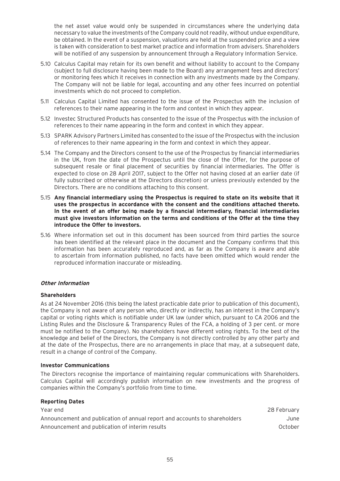the net asset value would only be suspended in circumstances where the underlying data necessary to value the investments of the Company could not readily, without undue expenditure, be obtained. In the event of a suspension, valuations are held at the suspended price and a view is taken with consideration to best market practice and information from advisers. Shareholders will be notified of any suspension by announcement through a Regulatory Information Service.

- 5.10 Calculus Capital may retain for its own benefit and without liability to account to the Company (subject to full disclosure having been made to the Board) any arrangement fees and directors' or monitoring fees which it receives in connection with any investments made by the Company. The Company will not be liable for legal, accounting and any other fees incurred on potential investments which do not proceed to completion.
- 5.11 Calculus Capital Limited has consented to the issue of the Prospectus with the inclusion of references to their name appearing in the form and context in which they appear.
- 5.12 Investec Structured Products has consented to the issue of the Prospectus with the inclusion of references to their name appearing in the form and context in which they appear.
- 5.13 SPARK Advisory Partners Limited has consented to the issue of the Prospectus with the inclusion of references to their name appearing in the form and context in which they appear.
- 5.14 The Company and the Directors consent to the use of the Prospectus by financial intermediaries in the UK, from the date of the Prospectus until the close of the Offer, for the purpose of subsequent resale or final placement of securities by financial intermediaries. The Offer is expected to close on 28 April 2017, subject to the Offer not having closed at an earlier date (if fully subscribed or otherwise at the Directors discretion) or unless previously extended by the Directors. There are no conditions attaching to this consent.
- 5.15 **Any financial intermediary using the Prospectus is required to state on its website that it uses the prospectus in accordance with the consent and the conditions attached thereto. In the event of an offer being made by a financial intermediary, financial intermediaries must give investors information on the terms and conditions of the Offer at the time they introduce the Offer to investors.**
- 5.16 Where information set out in this document has been sourced from third parties the source has been identified at the relevant place in the document and the Company confirms that this information has been accurately reproduced and, as far as the Company is aware and able to ascertain from information published, no facts have been omitted which would render the reproduced information inaccurate or misleading.

#### **Other Information**

#### **Shareholders**

As at 24 November 2016 (this being the latest practicable date prior to publication of this document), the Company is not aware of any person who, directly or indirectly, has an interest in the Company's capital or voting rights which is notifiable under UK law (under which, pursuant to CA 2006 and the Listing Rules and the Disclosure & Transparency Rules of the FCA, a holding of 3 per cent. or more must be notified to the Company). No shareholders have different voting rights. To the best of the knowledge and belief of the Directors, the Company is not directly controlled by any other party and at the date of the Prospectus, there are no arrangements in place that may, at a subsequent date, result in a change of control of the Company.

#### **Investor Communications**

**Reporting Dates**

The Directors recognise the importance of maintaining regular communications with Shareholders. Calculus Capital will accordingly publish information on new investments and the progress of companies within the Company's portfolio from time to time.

| Reporting Dates                                                            |             |
|----------------------------------------------------------------------------|-------------|
| Year end                                                                   | 28 February |
| Announcement and publication of annual report and accounts to shareholders | June        |
| Announcement and publication of interim results                            | October     |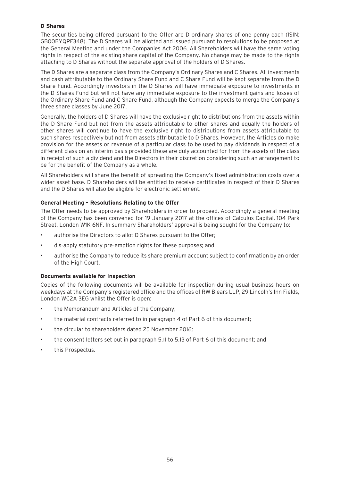#### **D Shares**

The securities being offered pursuant to the Offer are D ordinary shares of one penny each (ISIN: GB00BYQPF348). The D Shares will be allotted and issued pursuant to resolutions to be proposed at the General Meeting and under the Companies Act 2006. All Shareholders will have the same voting rights in respect of the existing share capital of the Company. No change may be made to the rights attaching to D Shares without the separate approval of the holders of D Shares.

The D Shares are a separate class from the Company's Ordinary Shares and C Shares. All investments and cash attributable to the Ordinary Share Fund and C Share Fund will be kept separate from the D Share Fund. Accordingly investors in the D Shares will have immediate exposure to investments in the D Shares Fund but will not have any immediate exposure to the investment gains and losses of the Ordinary Share Fund and C Share Fund, although the Company expects to merge the Company's three share classes by June 2017.

Generally, the holders of D Shares will have the exclusive right to distributions from the assets within the D Share Fund but not from the assets attributable to other shares and equally the holders of other shares will continue to have the exclusive right to distributions from assets attributable to such shares respectively but not from assets attributable to D Shares. However, the Articles do make provision for the assets or revenue of a particular class to be used to pay dividends in respect of a different class on an interim basis provided these are duly accounted for from the assets of the class in receipt of such a dividend and the Directors in their discretion considering such an arrangement to be for the benefit of the Company as a whole.

All Shareholders will share the benefit of spreading the Company's fixed administration costs over a wider asset base. D Shareholders will be entitled to receive certificates in respect of their D Shares and the D Shares will also be eligible for electronic settlement.

#### **General Meeting – Resolutions Relating to the Offer**

The Offer needs to be approved by Shareholders in order to proceed. Accordingly a general meeting of the Company has been convened for 19 January 2017 at the offices of Calculus Capital, 104 Park Street, London W1K 6NF. In summary Shareholders' approval is being sought for the Company to:

- authorise the Directors to allot D Shares pursuant to the Offer;
- dis-apply statutory pre-emption rights for these purposes; and
- authorise the Company to reduce its share premium account subject to confirmation by an order of the High Court.

#### **Documents available for Inspection**

Copies of the following documents will be available for inspection during usual business hours on weekdays at the Company's registered office and the offices of RW Blears LLP, 29 Lincoln's Inn Fields, London WC2A 3EG whilst the Offer is open:

- the Memorandum and Articles of the Company;
- the material contracts referred to in paragraph 4 of Part 6 of this document;
- the circular to shareholders dated 25 November 2016;
- the consent letters set out in paragraph 5.11 to 5.13 of Part 6 of this document; and
- this Prospectus.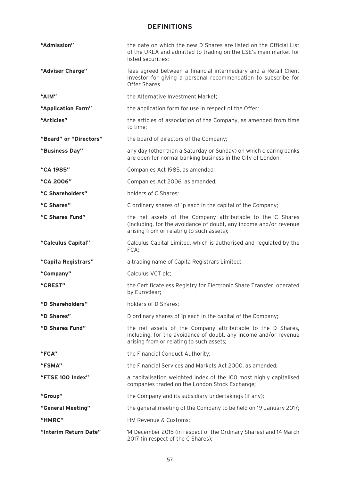# **DEFINITIONS**

| "Admission"            | the date on which the new D Shares are listed on the Official List<br>of the UKLA and admitted to trading on the LSE's main market for<br>listed securities;                 |
|------------------------|------------------------------------------------------------------------------------------------------------------------------------------------------------------------------|
| "Adviser Charge"       | fees agreed between a financial intermediary and a Retail Client<br>Investor for giving a personal recommendation to subscribe for<br><b>Offer Shares</b>                    |
| "AIM"                  | the Alternative Investment Market;                                                                                                                                           |
| "Application Form"     | the application form for use in respect of the Offer;                                                                                                                        |
| "Articles"             | the articles of association of the Company, as amended from time<br>to time;                                                                                                 |
| "Board" or "Directors" | the board of directors of the Company;                                                                                                                                       |
| "Business Day"         | any day (other than a Saturday or Sunday) on which clearing banks<br>are open for normal banking business in the City of London;                                             |
| "CA 1985"              | Companies Act 1985, as amended;                                                                                                                                              |
| "CA 2006"              | Companies Act 2006, as amended;                                                                                                                                              |
| "C Shareholders"       | holders of C Shares;                                                                                                                                                         |
| "C Shares"             | C ordinary shares of 1p each in the capital of the Company;                                                                                                                  |
| "C Shares Fund"        | the net assets of the Company attributable to the C Shares<br>(including, for the avoidance of doubt, any income and/or revenue<br>arising from or relating to such assets); |
| "Calculus Capital"     | Calculus Capital Limited, which is authorised and regulated by the<br>FCA;                                                                                                   |
| "Capita Registrars"    | a trading name of Capita Registrars Limited;                                                                                                                                 |
| "Company"              | Calculus VCT plc;                                                                                                                                                            |
| "CREST"                | the Certificateless Registry for Electronic Share Transfer, operated<br>by Euroclear;                                                                                        |
| "D Shareholders"       | holders of D Shares;                                                                                                                                                         |
| "D Shares"             | D ordinary shares of 1p each in the capital of the Company;                                                                                                                  |
| "D Shares Fund"        | the net assets of the Company attributable to the D Shares,<br>including, for the avoidance of doubt, any income and/or revenue<br>arising from or relating to such assets;  |
| "FCA"                  | the Financial Conduct Authority;                                                                                                                                             |
| "FSMA"                 | the Financial Services and Markets Act 2000, as amended;                                                                                                                     |
| "FTSE 100 Index"       | a capitalisation weighted index of the 100 most highly capitalised<br>companies traded on the London Stock Exchange;                                                         |
| "Group"                | the Company and its subsidiary undertakings (if any);                                                                                                                        |
| "General Meeting"      | the general meeting of the Company to be held on 19 January 2017;                                                                                                            |
| "HMRC"                 | HM Revenue & Customs;                                                                                                                                                        |
| "Interim Return Date"  | 14 December 2015 (in respect of the Ordinary Shares) and 14 March<br>2017 (in respect of the C Shares);                                                                      |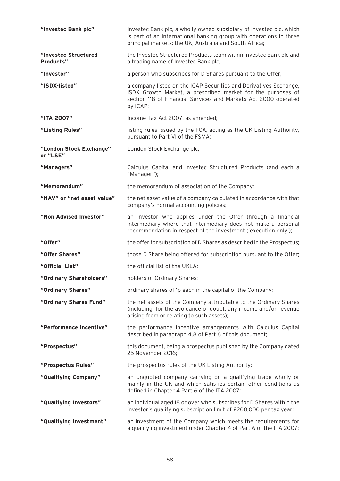| "Investec Bank plc"                 | Investec Bank plc, a wholly owned subsidiary of Investec plc, which<br>is part of an international banking group with operations in three<br>principal markets: the UK, Australia and South Africa;             |
|-------------------------------------|-----------------------------------------------------------------------------------------------------------------------------------------------------------------------------------------------------------------|
| "Investec Structured<br>Products"   | the Investec Structured Products team within Investec Bank plc and<br>a trading name of Investec Bank plc;                                                                                                      |
| "Investor"                          | a person who subscribes for D Shares pursuant to the Offer;                                                                                                                                                     |
| "ISDX-listed"                       | a company listed on the ICAP Securities and Derivatives Exchange,<br>ISDX Growth Market, a prescribed market for the purposes of<br>section 118 of Financial Services and Markets Act 2000 operated<br>by ICAP; |
| "ITA 2007"                          | Income Tax Act 2007, as amended;                                                                                                                                                                                |
| "Listing Rules"                     | listing rules issued by the FCA, acting as the UK Listing Authority,<br>pursuant to Part VI of the FSMA;                                                                                                        |
| "London Stock Exchange"<br>or "LSE" | London Stock Exchange plc;                                                                                                                                                                                      |
| "Managers"                          | Calculus Capital and Investec Structured Products (and each a<br>"Manager");                                                                                                                                    |
| "Memorandum"                        | the memorandum of association of the Company;                                                                                                                                                                   |
| "NAV" or "net asset value"          | the net asset value of a company calculated in accordance with that<br>company's normal accounting policies;                                                                                                    |
| "Non Advised Investor"              | an investor who applies under the Offer through a financial<br>intermediary where that intermediary does not make a personal<br>recommendation in respect of the investment ('execution only');                 |
| "Offer"                             | the offer for subscription of D Shares as described in the Prospectus;                                                                                                                                          |
| "Offer Shares"                      | those D Share being offered for subscription pursuant to the Offer;                                                                                                                                             |
| "Official List"                     | the official list of the UKLA;                                                                                                                                                                                  |
| "Ordinary Shareholders"             | holders of Ordinary Shares;                                                                                                                                                                                     |
| "Ordinary Shares"                   | ordinary shares of 1p each in the capital of the Company;                                                                                                                                                       |
| "Ordinary Shares Fund"              | the net assets of the Company attributable to the Ordinary Shares<br>(including, for the avoidance of doubt, any income and/or revenue<br>arising from or relating to such assets);                             |
| "Performance Incentive"             | the performance incentive arrangements with Calculus Capital<br>described in paragraph 4.8 of Part 6 of this document;                                                                                          |
| "Prospectus"                        | this document, being a prospectus published by the Company dated<br>25 November 2016;                                                                                                                           |
| "Prospectus Rules"                  | the prospectus rules of the UK Listing Authority;                                                                                                                                                               |
| "Qualifying Company"                | an unquoted company carrying on a qualifying trade wholly or<br>mainly in the UK and which satisfies certain other conditions as<br>defined in Chapter 4 Part 6 of the ITA 2007;                                |
| "Qualifying Investors"              | an individual aged 18 or over who subscribes for D Shares within the<br>investor's qualifying subscription limit of £200,000 per tax year;                                                                      |
| "Qualifying Investment"             | an investment of the Company which meets the requirements for<br>a qualifying investment under Chapter 4 of Part 6 of the ITA 2007;                                                                             |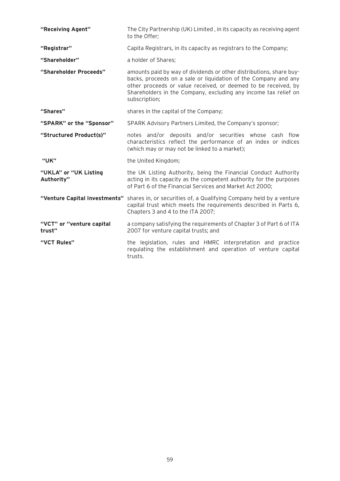| "Receiving Agent"                   | The City Partnership (UK) Limited, in its capacity as receiving agent<br>to the Offer;                                                                                                                                                                                                       |
|-------------------------------------|----------------------------------------------------------------------------------------------------------------------------------------------------------------------------------------------------------------------------------------------------------------------------------------------|
| "Registrar"                         | Capita Registrars, in its capacity as registrars to the Company;                                                                                                                                                                                                                             |
| "Shareholder"                       | a holder of Shares:                                                                                                                                                                                                                                                                          |
| "Shareholder Proceeds"              | amounts paid by way of dividends or other distributions, share buy-<br>backs, proceeds on a sale or liquidation of the Company and any<br>other proceeds or value received, or deemed to be received, by<br>Shareholders in the Company, excluding any income tax relief on<br>subscription; |
| "Shares"                            | shares in the capital of the Company;                                                                                                                                                                                                                                                        |
| "SPARK" or the "Sponsor"            | SPARK Advisory Partners Limited, the Company's sponsor;                                                                                                                                                                                                                                      |
| "Structured Product(s)"             | notes and/or deposits and/or securities whose cash flow<br>characteristics reflect the performance of an index or indices<br>(which may or may not be linked to a market);                                                                                                                   |
| "UK"                                | the United Kingdom;                                                                                                                                                                                                                                                                          |
| "UKLA" or "UK Listing<br>Authority" | the UK Listing Authority, being the Financial Conduct Authority<br>acting in its capacity as the competent authority for the purposes<br>of Part 6 of the Financial Services and Market Act 2000;                                                                                            |
|                                     | "Venture Capital Investments" shares in, or securities of, a Qualifying Company held by a venture<br>capital trust which meets the requirements described in Parts 6,<br>Chapters 3 and 4 to the ITA 2007;                                                                                   |
| "VCT" or "venture capital<br>trust" | a company satisfying the requirements of Chapter 3 of Part 6 of ITA<br>2007 for venture capital trusts; and                                                                                                                                                                                  |
| "VCT Rules"                         | the legislation, rules and HMRC interpretation and practice<br>regulating the establishment and operation of venture capital<br>trusts.                                                                                                                                                      |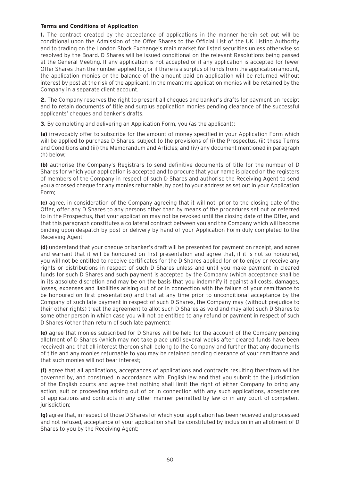#### **Terms and Conditions of Application**

**1.** The contract created by the acceptance of applications in the manner herein set out will be conditional upon the Admission of the Offer Shares to the Official List of the UK Listing Authority and to trading on the London Stock Exchange's main market for listed securities unless otherwise so resolved by the Board. D Shares will be issued conditional on the relevant Resolutions being passed at the General Meeting. If any application is not accepted or if any application is accepted for fewer Offer Shares than the number applied for, or if there is a surplus of funds from the application amount, the application monies or the balance of the amount paid on application will be returned without interest by post at the risk of the applicant. In the meantime application monies will be retained by the Company in a separate client account.

**2.** The Company reserves the right to present all cheques and banker's drafts for payment on receipt and to retain documents of title and surplus application monies pending clearance of the successful applicants' cheques and banker's drafts.

**3.** By completing and delivering an Application Form, you (as the applicant):

**(a)** irrevocably offer to subscribe for the amount of money specified in your Application Form which will be applied to purchase D Shares, subject to the provisions of (i) the Prospectus, (ii) these Terms and Conditions and (iii) the Memorandum and Articles; and (iv) any document mentioned in paragraph (h) below;

**(b)** authorise the Company's Registrars to send definitive documents of title for the number of D Shares for which your application is accepted and to procure that your name is placed on the registers of members of the Company in respect of such D Shares and authorise the Receiving Agent to send you a crossed cheque for any monies returnable, by post to your address as set out in your Application Form;

**(c)** agree, in consideration of the Company agreeing that it will not, prior to the closing date of the Offer, offer any D Shares to any persons other than by means of the procedures set out or referred to in the Prospectus, that your application may not be revoked until the closing date of the Offer, and that this paragraph constitutes a collateral contract between you and the Company which will become binding upon despatch by post or delivery by hand of your Application Form duly completed to the Receiving Agent;

**(d)** understand that your cheque or banker's draft will be presented for payment on receipt, and agree and warrant that it will be honoured on first presentation and agree that, if it is not so honoured, you will not be entitled to receive certificates for the D Shares applied for or to enjoy or receive any rights or distributions in respect of such D Shares unless and until you make payment in cleared funds for such D Shares and such payment is accepted by the Company (which acceptance shall be in its absolute discretion and may be on the basis that you indemnify it against all costs, damages, losses, expenses and liabilities arising out of or in connection with the failure of your remittance to be honoured on first presentation) and that at any time prior to unconditional acceptance by the Company of such late payment in respect of such D Shares, the Company may (without prejudice to their other rights) treat the agreement to allot such D Shares as void and may allot such D Shares to some other person in which case you will not be entitled to any refund or payment in respect of such D Shares (other than return of such late payment);

**(e)** agree that monies subscribed for D Shares will be held for the account of the Company pending allotment of D Shares (which may not take place until several weeks after cleared funds have been received) and that all interest thereon shall belong to the Company and further that any documents of title and any monies returnable to you may be retained pending clearance of your remittance and that such monies will not bear interest;

**(f)** agree that all applications, acceptances of applications and contracts resulting therefrom will be governed by, and construed in accordance with, English law and that you submit to the jurisdiction of the English courts and agree that nothing shall limit the right of either Company to bring any action, suit or proceeding arising out of or in connection with any such applications, acceptances of applications and contracts in any other manner permitted by law or in any court of competent jurisdiction;

**(g)** agree that, in respect of those D Shares for which your application has been received and processed and not refused, acceptance of your application shall be constituted by inclusion in an allotment of D Shares to you by the Receiving Agent;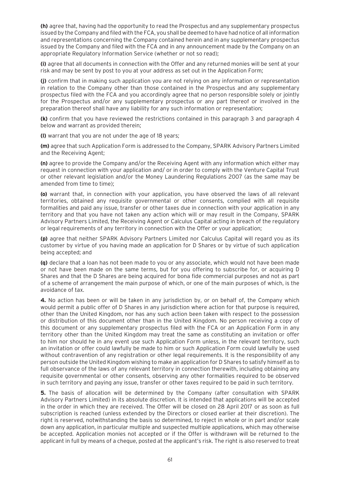**(h)** agree that, having had the opportunity to read the Prospectus and any supplementary prospectus issued by the Company and filed with the FCA, you shall be deemed to have had notice of all information and representations concerning the Company contained herein and in any supplementary prospectus issued by the Company and filed with the FCA and in any announcement made by the Company on an appropriate Regulatory Information Service (whether or not so read);

**(i)** agree that all documents in connection with the Offer and any returned monies will be sent at your risk and may be sent by post to you at your address as set out in the Application Form;

**(j)** confirm that in making such application you are not relying on any information or representation in relation to the Company other than those contained in the Prospectus and any supplementary prospectus filed with the FCA and you accordingly agree that no person responsible solely or jointly for the Prospectus and/or any supplementary prospectus or any part thereof or involved in the preparation thereof shall have any liability for any such information or representation;

**(k)** confirm that you have reviewed the restrictions contained in this paragraph 3 and paragraph 4 below and warrant as provided therein;

**(l)** warrant that you are not under the age of 18 years;

**(m)** agree that such Application Form is addressed to the Company, SPARK Advisory Partners Limited and the Receiving Agent;

**(n)** agree to provide the Company and/or the Receiving Agent with any information which either may request in connection with your application and/ or in order to comply with the Venture Capital Trust or other relevant legislation and/or the Money Laundering Regulations 2007 (as the same may be amended from time to time);

**(o)** warrant that, in connection with your application, you have observed the laws of all relevant territories, obtained any requisite governmental or other consents, complied with all requisite formalities and paid any issue, transfer or other taxes due in connection with your application in any territory and that you have not taken any action which will or may result in the Company, SPARK Advisory Partners Limited, the Receiving Agent or Calculus Capital acting in breach of the regulatory or legal requirements of any territory in connection with the Offer or your application;

**(p)** agree that neither SPARK Advisory Partners Limited nor Calculus Capital will regard you as its customer by virtue of you having made an application for D Shares or by virtue of such application being accepted; and

**(q)** declare that a loan has not been made to you or any associate, which would not have been made or not have been made on the same terms, but for you offering to subscribe for, or acquiring D Shares and that the D Shares are being acquired for bona fide commercial purposes and not as part of a scheme of arrangement the main purpose of which, or one of the main purposes of which, is the avoidance of tax.

**4.** No action has been or will be taken in any jurisdiction by, or on behalf of, the Company which would permit a public offer of D Shares in any jurisdiction where action for that purpose is required, other than the United Kingdom, nor has any such action been taken with respect to the possession or distribution of this document other than in the United Kingdom. No person receiving a copy of this document or any supplementary prospectus filed with the FCA or an Application Form in any territory other than the United Kingdom may treat the same as constituting an invitation or offer to him nor should he in any event use such Application Form unless, in the relevant territory, such an invitation or offer could lawfully be made to him or such Application Form could lawfully be used without contravention of any registration or other legal requirements. It is the responsibility of any person outside the United Kingdom wishing to make an application for D Shares to satisfy himself as to full observance of the laws of any relevant territory in connection therewith, including obtaining any requisite governmental or other consents, observing any other formalities required to be observed in such territory and paying any issue, transfer or other taxes required to be paid in such territory.

**5.** The basis of allocation will be determined by the Company (after consultation with SPARK Advisory Partners Limited) in its absolute discretion. It is intended that applications will be accepted in the order in which they are received. The Offer will be closed on 28 April 2017 or as soon as full subscription is reached (unless extended by the Directors or closed earlier at their discretion). The right is reserved, notwithstanding the basis so determined, to reject in whole or in part and/or scale down any application, in particular multiple and suspected multiple applications, which may otherwise be accepted. Application monies not accepted or if the Offer is withdrawn will be returned to the applicant in full by means of a cheque, posted at the applicant's risk. The right is also reserved to treat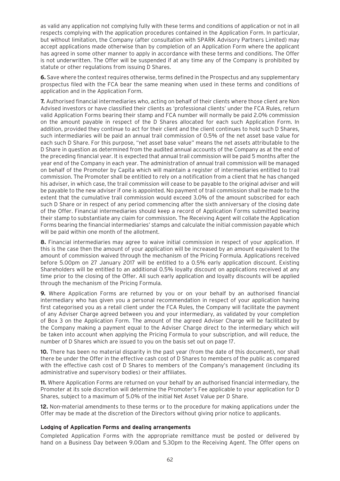as valid any application not complying fully with these terms and conditions of application or not in all respects complying with the application procedures contained in the Application Form. In particular, but without limitation, the Company (after consultation with SPARK Advisory Partners Limited) may accept applications made otherwise than by completion of an Application Form where the applicant has agreed in some other manner to apply in accordance with these terms and conditions. The Offer is not underwritten. The Offer will be suspended if at any time any of the Company is prohibited by statute or other regulations from issuing D Shares.

**6.** Save where the context requires otherwise, terms defined in the Prospectus and any supplementary prospectus filed with the FCA bear the same meaning when used in these terms and conditions of application and in the Application Form.

**7.** Authorised financial intermediaries who, acting on behalf of their clients where those client are Non Advised investors or have classified their clients as 'professional clients' under the FCA Rules, return valid Application Forms bearing their stamp and FCA number will normally be paid 2.0% commission on the amount payable in respect of the D Shares allocated for each such Application Form. In addition, provided they continue to act for their client and the client continues to hold such D Shares, such intermediaries will be paid an annual trail commission of 0.5% of the net asset base value for each such D Share. For this purpose, "net asset base value" means the net assets attributable to the D Share in question as determined from the audited annual accounts of the Company as at the end of the preceding financial year. It is expected that annual trail commission will be paid 5 months after the year end of the Company in each year. The administration of annual trail commission will be managed on behalf of the Promoter by Capita which will maintain a register of intermediaries entitled to trail commission. The Promoter shall be entitled to rely on a notification from a client that he has changed his adviser, in which case, the trail commission will cease to be payable to the original adviser and will be payable to the new adviser if one is appointed. No payment of trail commission shall be made to the extent that the cumulative trail commission would exceed 3.0% of the amount subscribed for each such D Share or in respect of any period commencing after the sixth anniversary of the closing date of the Offer. Financial intermediaries should keep a record of Application Forms submitted bearing their stamp to substantiate any claim for commission. The Receiving Agent will collate the Application Forms bearing the financial intermediaries' stamps and calculate the initial commission payable which will be paid within one month of the allotment.

**8.** Financial intermediaries may agree to waive initial commission in respect of your application. If this is the case then the amount of your application will be increased by an amount equivalent to the amount of commission waived through the mechanism of the Pricing Formula. Applications received before 5.00pm on 27 January 2017 will be entitled to a 0.5% early application discount. Existing Shareholders will be entitled to an additional 0.5% loyalty discount on applications received at any time prior to the closing of the Offer. All such early application and loyalty discounts will be applied through the mechanism of the Pricing Formula.

**9.** Where Application Forms are returned by you or on your behalf by an authorised financial intermediary who has given you a personal recommendation in respect of your application having first categorised you as a retail client under the FCA Rules, the Company will facilitate the payment of any Adviser Charge agreed between you and your intermediary, as validated by your completion of Box 3 on the Application Form. The amount of the agreed Adviser Charge will be facilitated by the Company making a payment equal to the Adviser Charge direct to the intermediary which will be taken into account when applying the Pricing Formula to your subscription, and will reduce, the number of D Shares which are issued to you on the basis set out on page 17.

**10.** There has been no material disparity in the past year (from the date of this document), nor shall there be under the Offer in the effective cash cost of D Shares to members of the public as compared with the effective cash cost of D Shares to members of the Company's management (including its administrative and supervisory bodies) or their affiliates.

**11.** Where Application Forms are returned on your behalf by an authorised financial intermediary, the Promoter at its sole discretion will determine the Promoter's Fee applicable to your application for D Shares, subject to a maximum of 5.0% of the initial Net Asset Value per D Share.

**12.** Non-material amendments to these terms or to the procedure for making applications under the Offer may be made at the discretion of the Directors without giving prior notice to applicants.

#### **Lodging of Application Forms and dealing arrangements**

Completed Application Forms with the appropriate remittance must be posted or delivered by hand on a Business Day between 9.00am and 5.30pm to the Receiving Agent. The Offer opens on